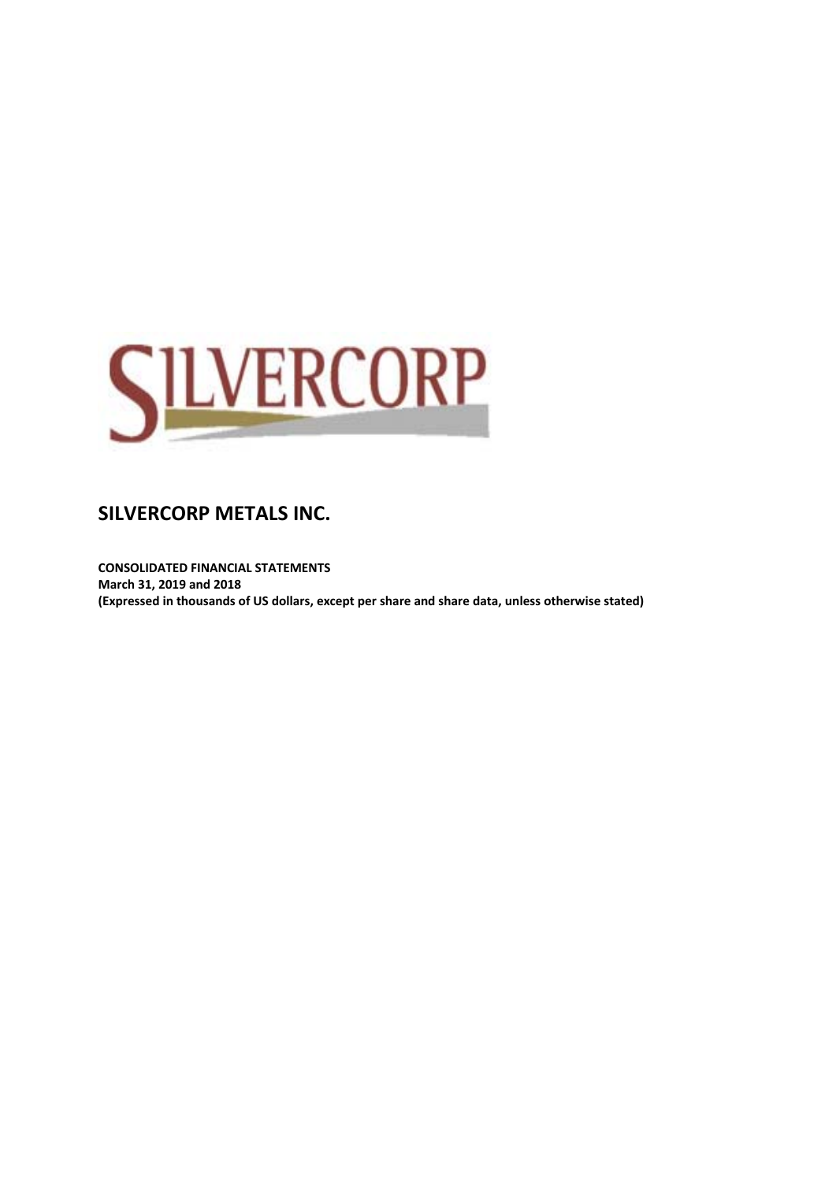

**CONSOLIDATED FINANCIAL STATEMENTS March 31, 2019 and 2018 (Expressed in thousands of US dollars, except per share and share data, unless otherwise stated)**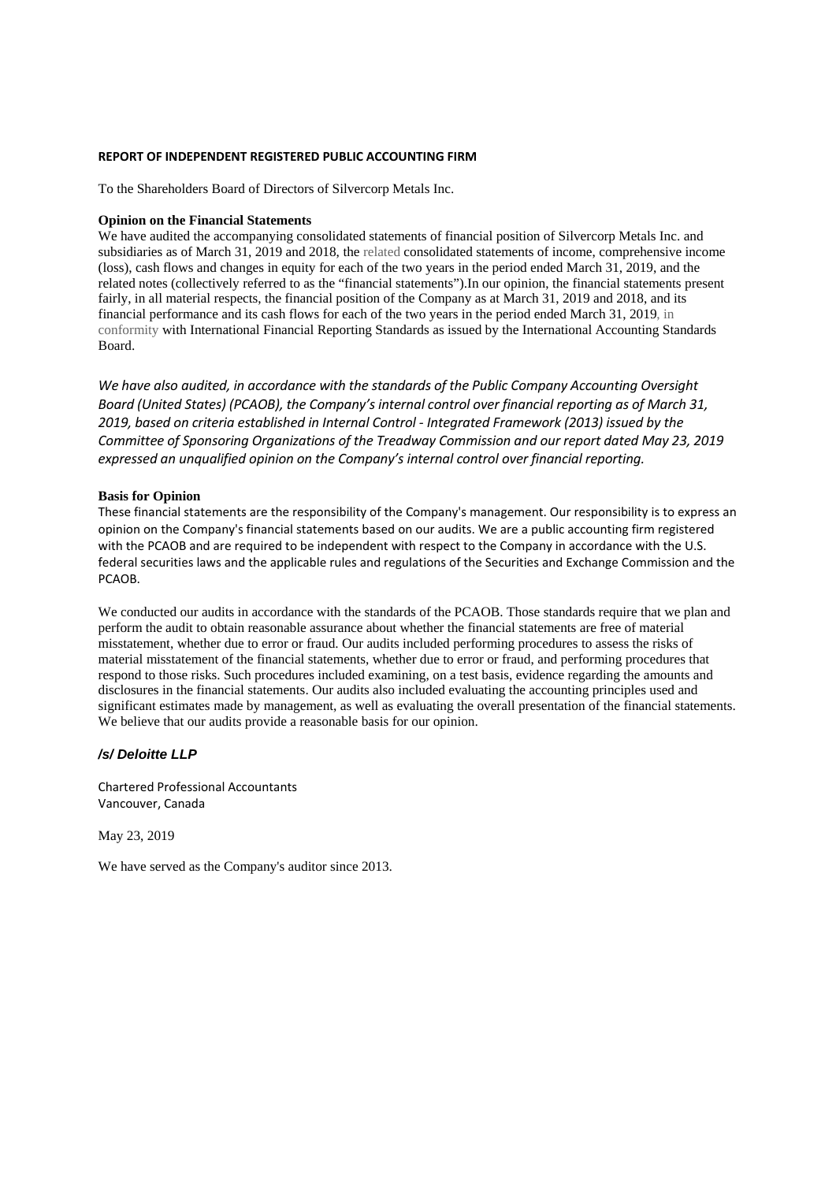#### **REPORT OF INDEPENDENT REGISTERED PUBLIC ACCOUNTING FIRM**

To the Shareholders Board of Directors of Silvercorp Metals Inc.

#### **Opinion on the Financial Statements**

We have audited the accompanying consolidated statements of financial position of Silvercorp Metals Inc. and subsidiaries as of March 31, 2019 and 2018, the related consolidated statements of income, comprehensive income (loss), cash flows and changes in equity for each of the two years in the period ended March 31, 2019, and the related notes (collectively referred to as the "financial statements").In our opinion, the financial statements present fairly, in all material respects, the financial position of the Company as at March 31, 2019 and 2018, and its financial performance and its cash flows for each of the two years in the period ended March 31, 2019, in conformity with International Financial Reporting Standards as issued by the International Accounting Standards Board.

*We have also audited, in accordance with the standards of the Public Company Accounting Oversight Board (United States) (PCAOB), the Company's internal control over financial reporting as of March 31, 2019, based on criteria established in Internal Control ‐ Integrated Framework (2013) issued by the Committee of Sponsoring Organizations of the Treadway Commission and our report dated May 23, 2019 expressed an unqualified opinion on the Company's internal control over financial reporting.*

#### **Basis for Opinion**

These financial statements are the responsibility of the Company's management. Our responsibility is to express an opinion on the Company's financial statements based on our audits. We are a public accounting firm registered with the PCAOB and are required to be independent with respect to the Company in accordance with the U.S. federal securities laws and the applicable rules and regulations of the Securities and Exchange Commission and the PCAOB.

We conducted our audits in accordance with the standards of the PCAOB. Those standards require that we plan and perform the audit to obtain reasonable assurance about whether the financial statements are free of material misstatement, whether due to error or fraud. Our audits included performing procedures to assess the risks of material misstatement of the financial statements, whether due to error or fraud, and performing procedures that respond to those risks. Such procedures included examining, on a test basis, evidence regarding the amounts and disclosures in the financial statements. Our audits also included evaluating the accounting principles used and significant estimates made by management, as well as evaluating the overall presentation of the financial statements. We believe that our audits provide a reasonable basis for our opinion.

#### */s/ Deloitte LLP*

Chartered Professional Accountants Vancouver, Canada

May 23, 2019

We have served as the Company's auditor since 2013.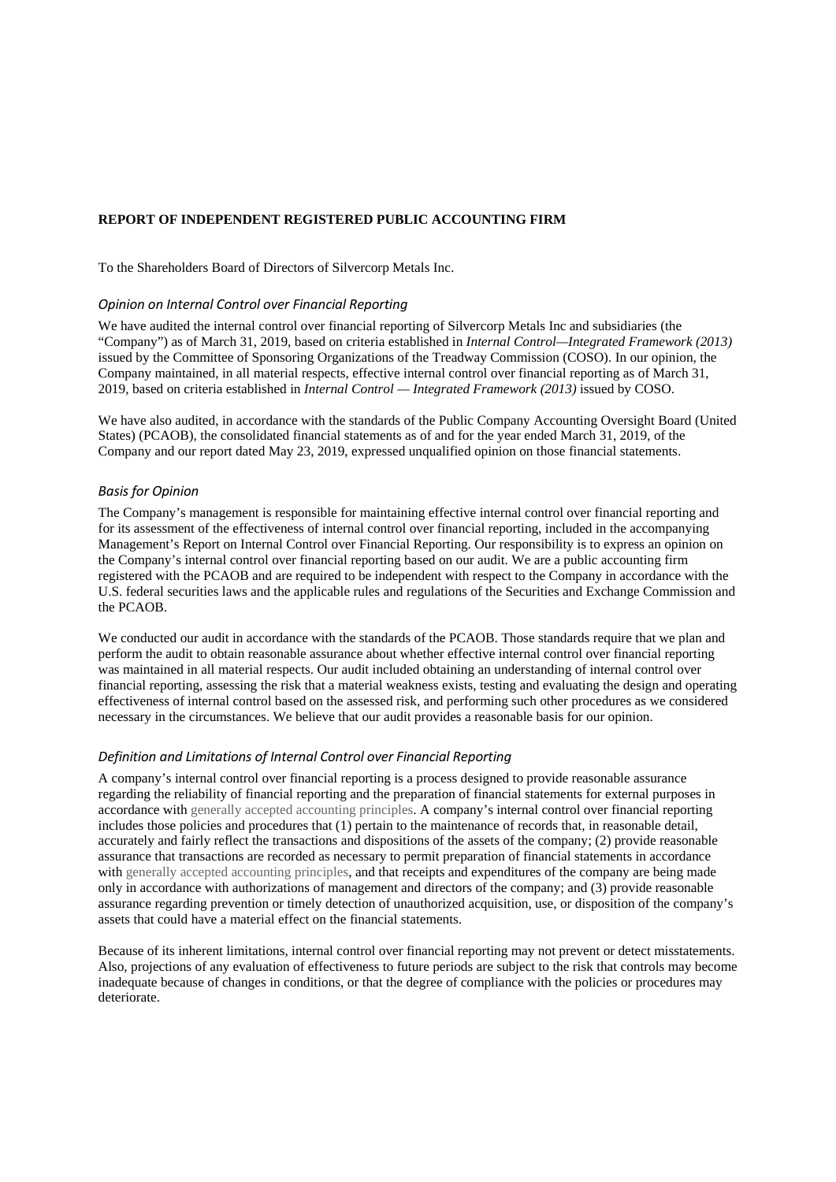#### **REPORT OF INDEPENDENT REGISTERED PUBLIC ACCOUNTING FIRM**

To the Shareholders Board of Directors of Silvercorp Metals Inc.

#### *Opinion on Internal Control over Financial Reporting*

We have audited the internal control over financial reporting of Silvercorp Metals Inc and subsidiaries (the "Company") as of March 31, 2019, based on criteria established in *Internal Control—Integrated Framework (2013)* issued by the Committee of Sponsoring Organizations of the Treadway Commission (COSO). In our opinion, the Company maintained, in all material respects, effective internal control over financial reporting as of March 31, 2019, based on criteria established in *Internal Control — Integrated Framework (2013)* issued by COSO.

We have also audited, in accordance with the standards of the Public Company Accounting Oversight Board (United States) (PCAOB), the consolidated financial statements as of and for the year ended March 31, 2019, of the Company and our report dated May 23, 2019, expressed unqualified opinion on those financial statements.

#### *Basis for Opinion*

The Company's management is responsible for maintaining effective internal control over financial reporting and for its assessment of the effectiveness of internal control over financial reporting, included in the accompanying Management's Report on Internal Control over Financial Reporting. Our responsibility is to express an opinion on the Company's internal control over financial reporting based on our audit. We are a public accounting firm registered with the PCAOB and are required to be independent with respect to the Company in accordance with the U.S. federal securities laws and the applicable rules and regulations of the Securities and Exchange Commission and the PCAOB.

We conducted our audit in accordance with the standards of the PCAOB. Those standards require that we plan and perform the audit to obtain reasonable assurance about whether effective internal control over financial reporting was maintained in all material respects. Our audit included obtaining an understanding of internal control over financial reporting, assessing the risk that a material weakness exists, testing and evaluating the design and operating effectiveness of internal control based on the assessed risk, and performing such other procedures as we considered necessary in the circumstances. We believe that our audit provides a reasonable basis for our opinion.

#### *Definition and Limitations of Internal Control over Financial Reporting*

A company's internal control over financial reporting is a process designed to provide reasonable assurance regarding the reliability of financial reporting and the preparation of financial statements for external purposes in accordance with generally accepted accounting principles. A company's internal control over financial reporting includes those policies and procedures that (1) pertain to the maintenance of records that, in reasonable detail, accurately and fairly reflect the transactions and dispositions of the assets of the company; (2) provide reasonable assurance that transactions are recorded as necessary to permit preparation of financial statements in accordance with generally accepted accounting principles, and that receipts and expenditures of the company are being made only in accordance with authorizations of management and directors of the company; and (3) provide reasonable assurance regarding prevention or timely detection of unauthorized acquisition, use, or disposition of the company's assets that could have a material effect on the financial statements.

Because of its inherent limitations, internal control over financial reporting may not prevent or detect misstatements. Also, projections of any evaluation of effectiveness to future periods are subject to the risk that controls may become inadequate because of changes in conditions, or that the degree of compliance with the policies or procedures may deteriorate.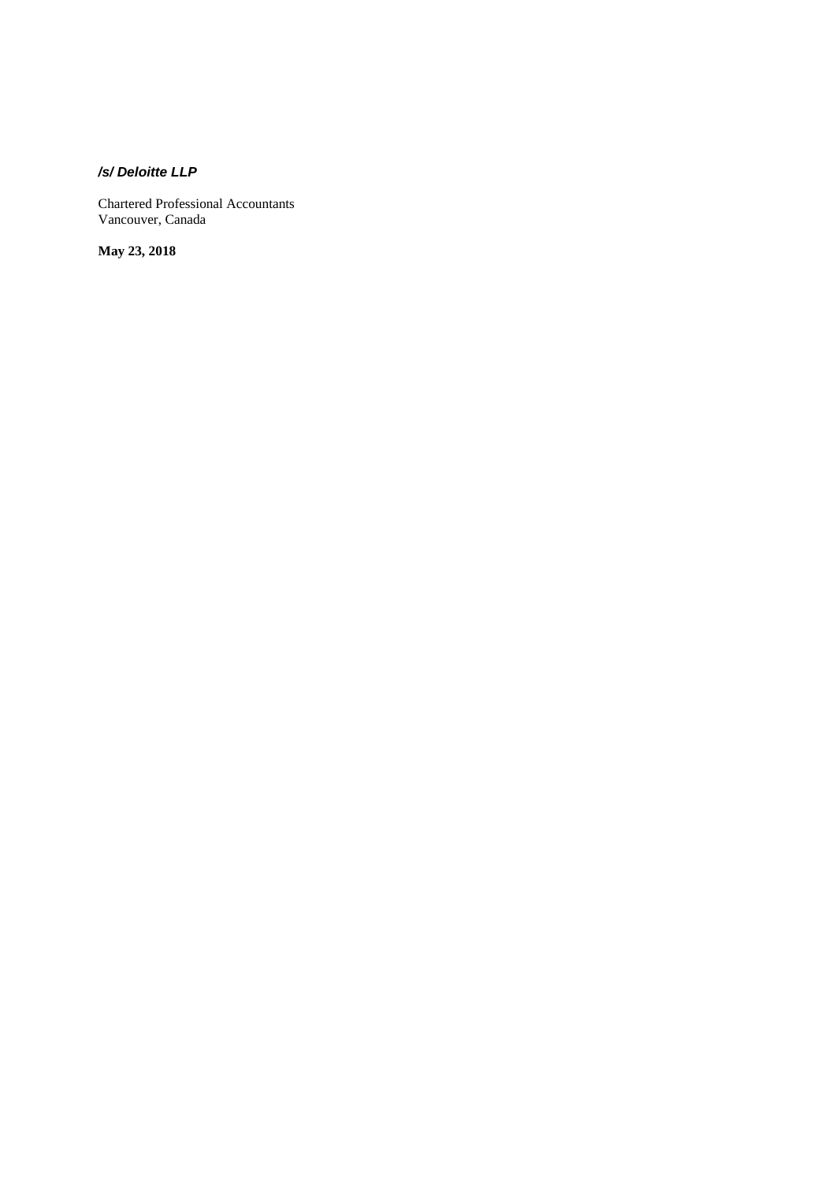### */s/ Deloitte LLP*

Chartered Professional Accountants Vancouver, Canada

**May 23, 2018**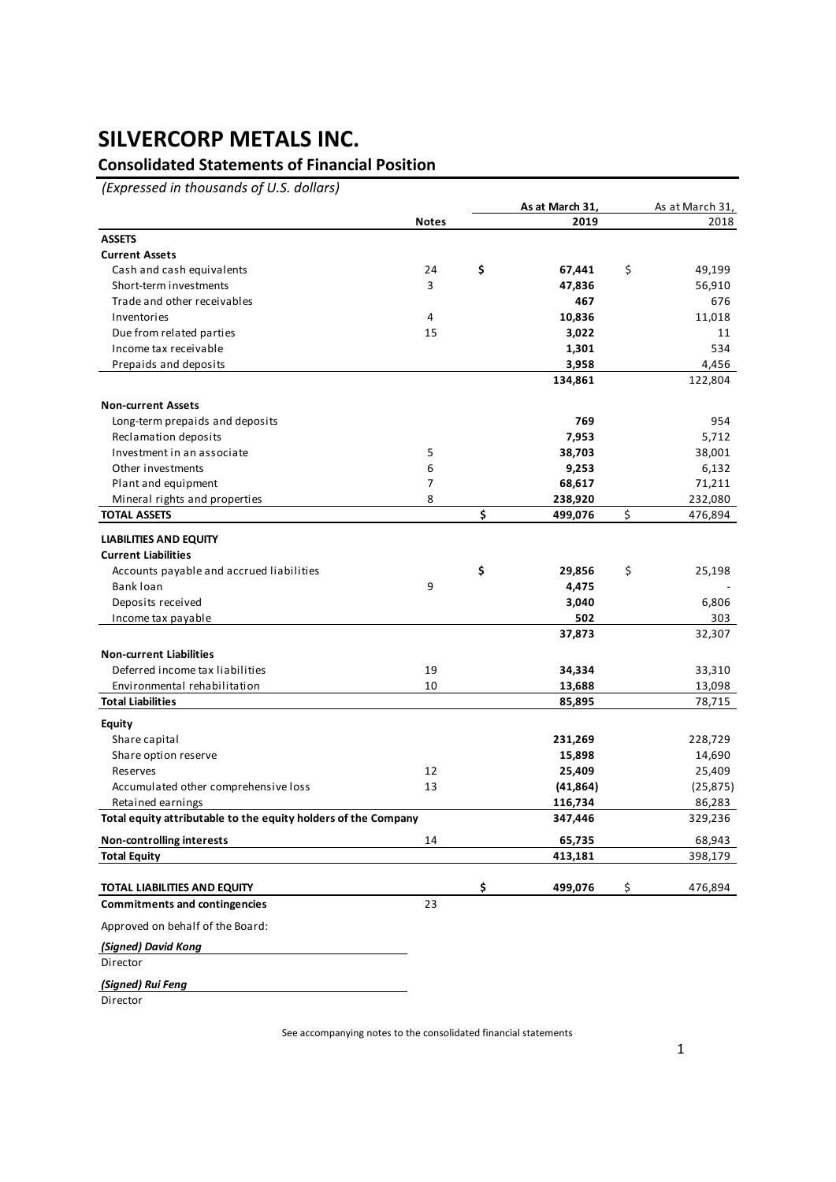### **Consolidated Statements of Financial Position**

*(Expressed in thousands of U.S. dollars)*

|                                                                      |              | As at March 31, | As at March 31, |
|----------------------------------------------------------------------|--------------|-----------------|-----------------|
|                                                                      | <b>Notes</b> | 2019            | 2018            |
| <b>ASSETS</b>                                                        |              |                 |                 |
| <b>Current Assets</b>                                                |              |                 |                 |
| Cash and cash equivalents                                            | 24           | \$<br>67,441    | \$<br>49,199    |
| Short-term investments                                               | 3            | 47,836          | 56,910          |
| Trade and other receivables                                          |              | 467             | 676             |
| Inventories                                                          | 4            | 10,836          | 11,018          |
| Due from related parties                                             | 15           | 3,022           | 11              |
| Income tax receivable                                                |              | 1,301           | 534             |
| Prepaids and deposits                                                |              | 3,958           | 4,456           |
|                                                                      |              | 134,861         | 122,804         |
| <b>Non-current Assets</b>                                            |              |                 |                 |
| Long-term prepaids and deposits                                      |              | 769             | 954             |
| Reclamation deposits                                                 |              | 7,953           | 5,712           |
| Investment in an associate                                           | 5            | 38,703          | 38,001          |
| Other investments                                                    | 6            | 9,253           | 6,132           |
| Plant and equipment                                                  | 7            | 68,617          | 71,211          |
| Mineral rights and properties                                        | 8            | 238,920         | 232,080         |
| <b>TOTAL ASSETS</b>                                                  |              | \$<br>499,076   | \$<br>476,894   |
|                                                                      |              |                 |                 |
| <b>LIABILITIES AND EQUITY</b>                                        |              |                 |                 |
| <b>Current Liabilities</b>                                           |              |                 |                 |
| Accounts payable and accrued liabilities                             |              | \$<br>29,856    | \$<br>25,198    |
| Bank loan                                                            | 9            | 4,475           |                 |
| Deposits received                                                    |              | 3,040           | 6,806           |
| Income tax payable                                                   |              | 502             | 303             |
|                                                                      |              | 37,873          | 32,307          |
| <b>Non-current Liabilities</b>                                       |              |                 |                 |
| Deferred income tax liabilities                                      | 19           | 34,334          | 33,310          |
| Environmental rehabilitation                                         | 10           | 13,688          | 13,098          |
| <b>Total Liabilities</b>                                             |              | 85,895          | 78,715          |
| Equity                                                               |              |                 |                 |
| Share capital                                                        |              | 231,269         | 228,729         |
| Share option reserve                                                 |              | 15,898          | 14,690          |
| Reserves                                                             | 12           | 25,409          | 25,409          |
| Accumulated other comprehensive loss                                 | 13           | (41, 864)       | (25, 875)       |
| Retained earnings                                                    |              | 116,734         | 86,283          |
| Total equity attributable to the equity holders of the Company       |              | 347,446         | 329,236         |
| Non-controlling interests                                            | 14           | 65,735          | 68,943          |
| <b>Total Equity</b>                                                  |              | 413,181         | 398,179         |
|                                                                      |              |                 |                 |
| TOTAL LIABILITIES AND EQUITY<br><b>Commitments and contingencies</b> | 23           | \$<br>499,076   | \$<br>476,894   |
|                                                                      |              |                 |                 |
| Approved on behalf of the Board:                                     |              |                 |                 |
| (Signed) David Kong                                                  |              |                 |                 |
| Director                                                             |              |                 |                 |
| (Signed) Rui Feng                                                    |              |                 |                 |
| Director                                                             |              |                 |                 |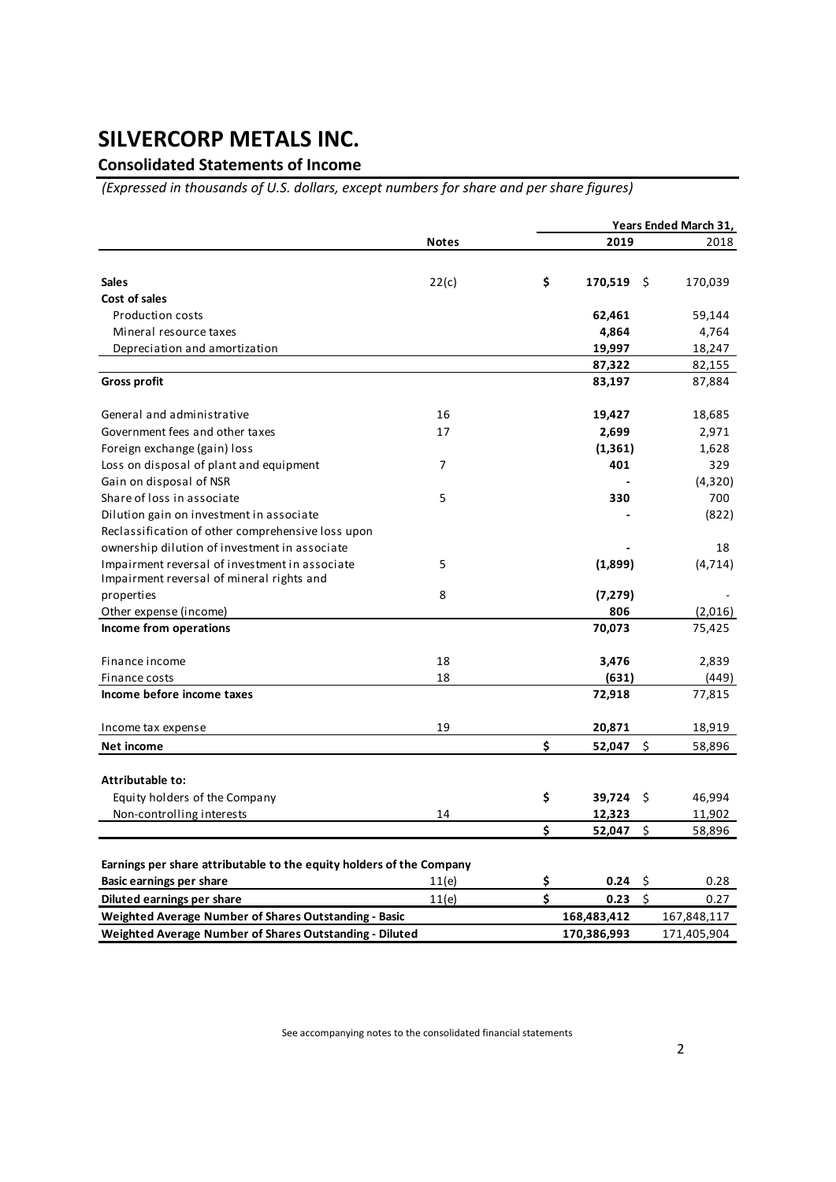### **Consolidated Statements of Income**

*(Expressed in thousands of U.S. dollars, except numbers for share and per share figures)*

|                                                                                             |              | Years Ended March 31, |                  |     |                  |  |  |  |
|---------------------------------------------------------------------------------------------|--------------|-----------------------|------------------|-----|------------------|--|--|--|
|                                                                                             | <b>Notes</b> |                       | 2019             |     | 2018             |  |  |  |
|                                                                                             |              |                       |                  |     |                  |  |  |  |
| <b>Sales</b>                                                                                | 22(c)        | \$                    | 170,519          | -\$ | 170,039          |  |  |  |
| Cost of sales                                                                               |              |                       |                  |     |                  |  |  |  |
| <b>Production costs</b>                                                                     |              |                       | 62,461           |     | 59,144           |  |  |  |
| Mineral resource taxes                                                                      |              |                       | 4,864            |     | 4,764            |  |  |  |
| Depreciation and amortization                                                               |              |                       | 19,997           |     | 18,247           |  |  |  |
|                                                                                             |              |                       | 87,322           |     | 82,155           |  |  |  |
| <b>Gross profit</b>                                                                         |              |                       | 83,197           |     | 87,884           |  |  |  |
| General and administrative                                                                  | 16           |                       | 19,427           |     | 18,685           |  |  |  |
| Government fees and other taxes                                                             | 17           |                       | 2,699            |     | 2,971            |  |  |  |
| Foreign exchange (gain) loss                                                                |              |                       | (1, 361)         |     | 1,628            |  |  |  |
| Loss on disposal of plant and equipment                                                     | 7            |                       | 401              |     | 329              |  |  |  |
| Gain on disposal of NSR                                                                     |              |                       |                  |     | (4,320)          |  |  |  |
| Share of loss in associate                                                                  | 5            |                       | 330              |     | 700              |  |  |  |
| Dilution gain on investment in associate                                                    |              |                       |                  |     | (822)            |  |  |  |
| Reclassification of other comprehensive loss upon                                           |              |                       |                  |     |                  |  |  |  |
| ownership dilution of investment in associate                                               |              |                       |                  |     | 18               |  |  |  |
| Impairment reversal of investment in associate<br>Impairment reversal of mineral rights and | 5            |                       | (1,899)          |     | (4, 714)         |  |  |  |
| properties                                                                                  | 8            |                       | (7,279)          |     |                  |  |  |  |
| Other expense (income)                                                                      |              |                       | 806              |     | (2,016)          |  |  |  |
| Income from operations                                                                      |              |                       | 70,073           |     | 75,425           |  |  |  |
| Finance income                                                                              | 18           |                       | 3,476            |     | 2,839            |  |  |  |
| Finance costs                                                                               | 18           |                       | (631)            |     | (449)            |  |  |  |
| Income before income taxes                                                                  |              |                       | 72,918           |     | 77,815           |  |  |  |
| Income tax expense                                                                          | 19           |                       | 20,871           |     | 18,919           |  |  |  |
| Net income                                                                                  |              | Ś                     | 52,047           | Ś.  | 58,896           |  |  |  |
| Attributable to:                                                                            |              |                       |                  |     |                  |  |  |  |
|                                                                                             |              | \$                    | 39,724           | Ŝ.  |                  |  |  |  |
| Equity holders of the Company                                                               | 14           |                       |                  |     | 46,994           |  |  |  |
| Non-controlling interests                                                                   |              | \$                    | 12,323<br>52,047 | \$  | 11,902<br>58,896 |  |  |  |
|                                                                                             |              |                       |                  |     |                  |  |  |  |
| Earnings per share attributable to the equity holders of the Company                        |              |                       |                  |     |                  |  |  |  |
| Basic earnings per share                                                                    | 11(e)        | <u>\$</u>             | 0.24             | \$  | 0.28             |  |  |  |
| Diluted earnings per share                                                                  | 11(e)        | \$                    | 0.23             | \$  | 0.27             |  |  |  |
| Weighted Average Number of Shares Outstanding - Basic                                       |              |                       | 168,483,412      |     | 167,848,117      |  |  |  |
| Weighted Average Number of Shares Outstanding - Diluted                                     |              |                       | 170,386,993      |     | 171,405,904      |  |  |  |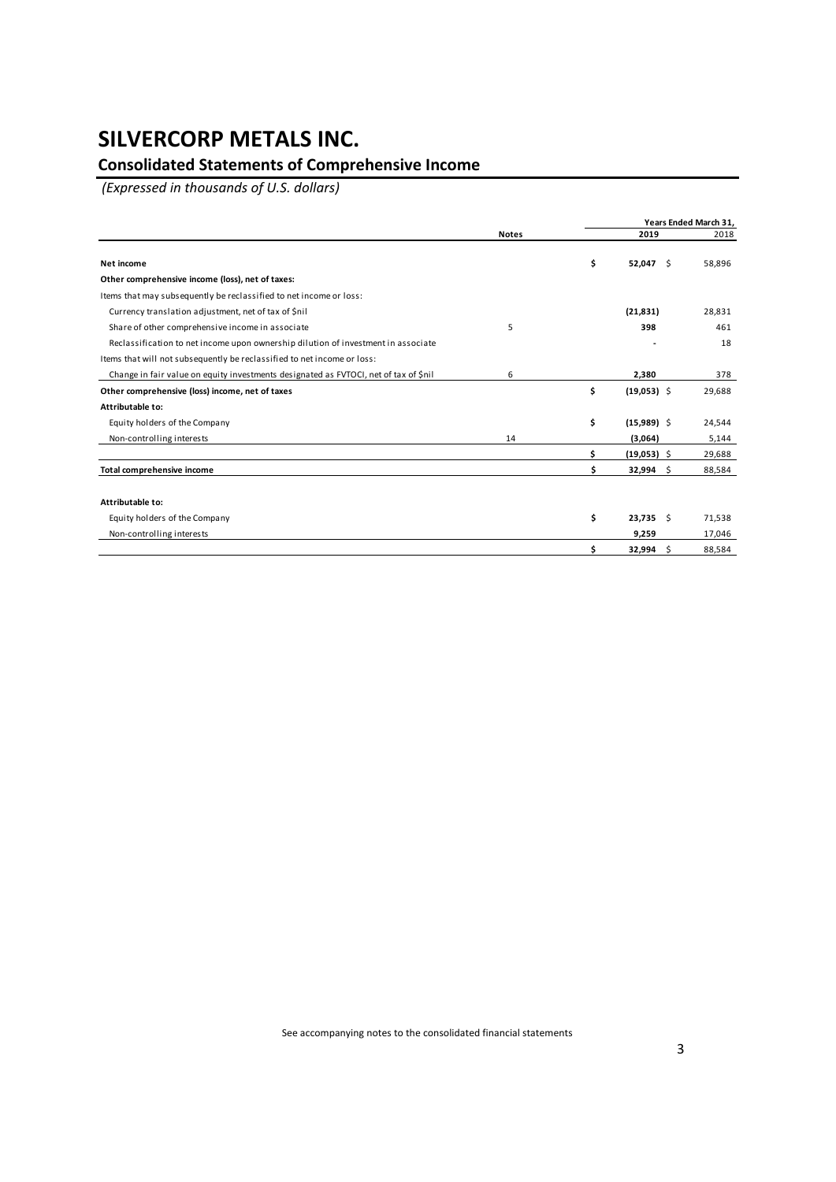### **Consolidated Statements of Comprehensive Income**

*(Expressed in thousands of U.S. dollars)*

|                                                                                      |              |    |               | Years Ended March 31, |
|--------------------------------------------------------------------------------------|--------------|----|---------------|-----------------------|
|                                                                                      | <b>Notes</b> |    | 2019          | 2018                  |
| Net income                                                                           |              | \$ | $52,047$ \$   | 58,896                |
| Other comprehensive income (loss), net of taxes:                                     |              |    |               |                       |
| Items that may subsequently be reclassified to net income or loss:                   |              |    |               |                       |
| Currency translation adjustment, net of tax of \$nil                                 |              |    | (21, 831)     | 28,831                |
| Share of other comprehensive income in associate                                     | 5            |    | 398           | 461                   |
| Reclassification to net income upon ownership dilution of investment in associate    |              |    |               | 18                    |
| Items that will not subsequently be reclassified to net income or loss:              |              |    |               |                       |
| Change in fair value on equity investments designated as FVTOCI, net of tax of \$nil | 6            |    | 2,380         | 378                   |
| Other comprehensive (loss) income, net of taxes                                      |              | \$ | $(19,053)$ \$ | 29,688                |
| Attributable to:                                                                     |              |    |               |                       |
| Equity holders of the Company                                                        |              | \$ | $(15,989)$ \$ | 24,544                |
| Non-controlling interests                                                            | 14           |    | (3,064)       | 5,144                 |
|                                                                                      |              | Ś  | $(19,053)$ \$ | 29,688                |
| Total comprehensive income                                                           |              | \$ | $32,994$ \$   | 88,584                |
|                                                                                      |              |    |               |                       |
| Attributable to:                                                                     |              |    |               |                       |
| Equity holders of the Company                                                        |              | \$ | $23,735$ \$   | 71,538                |
| Non-controlling interests                                                            |              |    | 9,259         | 17,046                |
|                                                                                      |              | Ś. | $32,994$ \$   | 88,584                |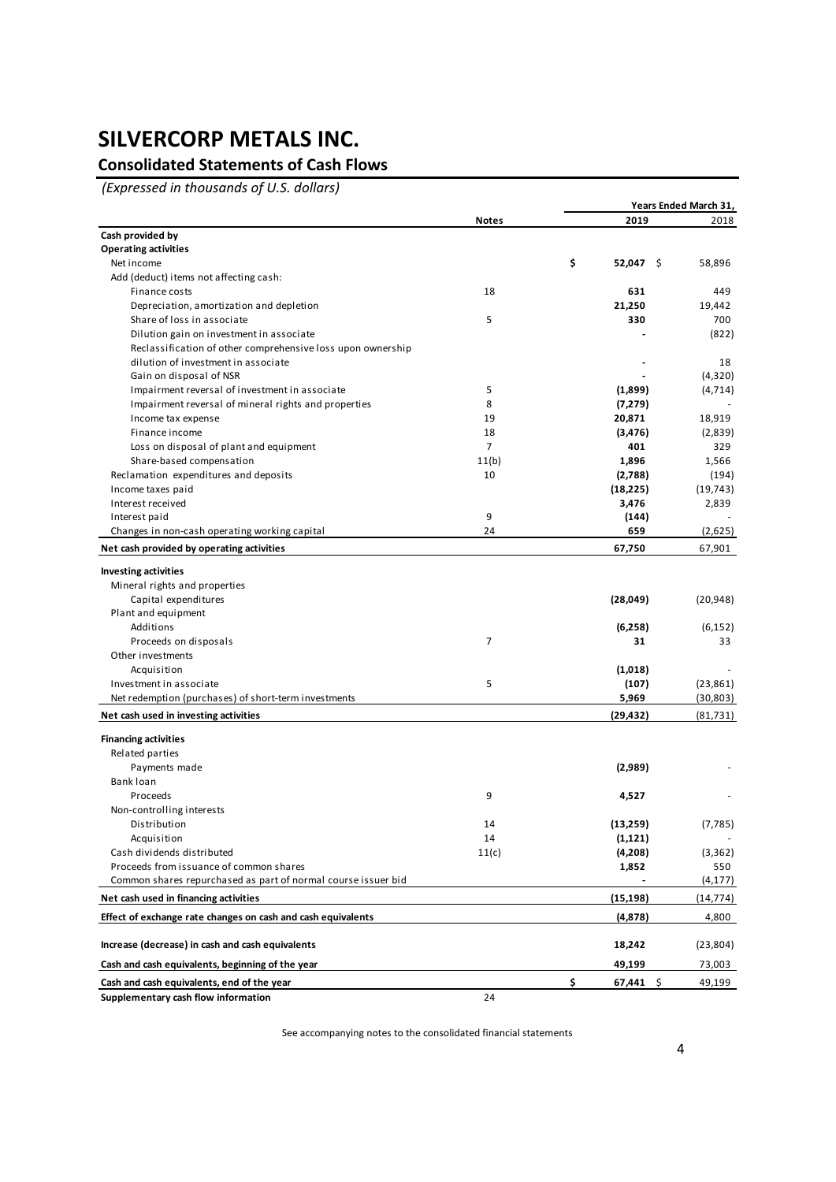### **Consolidated Statements of Cash Flows**

*(Expressed in thousands of U.S. dollars)*

|                                                               |                |                   | Years Ended March 31, |
|---------------------------------------------------------------|----------------|-------------------|-----------------------|
|                                                               | <b>Notes</b>   | 2019              | 2018                  |
| Cash provided by                                              |                |                   |                       |
| <b>Operating activities</b>                                   |                |                   |                       |
| Net income                                                    |                | \$<br>$52,047$ \$ | 58,896                |
| Add (deduct) items not affecting cash:                        |                |                   |                       |
| Finance costs                                                 | 18             | 631               | 449                   |
| Depreciation, amortization and depletion                      |                | 21,250            | 19,442                |
| Share of loss in associate                                    | 5              | 330               | 700                   |
| Dilution gain on investment in associate                      |                |                   | (822)                 |
| Reclassification of other comprehensive loss upon ownership   |                |                   |                       |
| dilution of investment in associate                           |                |                   | 18                    |
| Gain on disposal of NSR                                       |                |                   | (4,320)               |
| Impairment reversal of investment in associate                | 5              | (1,899)           | (4, 714)              |
| Impairment reversal of mineral rights and properties          | 8              | (7, 279)          |                       |
| Income tax expense                                            | 19             | 20,871            | 18,919                |
| Finance income                                                | 18             | (3, 476)          | (2,839)               |
| Loss on disposal of plant and equipment                       | $\overline{7}$ | 401               | 329                   |
| Share-based compensation                                      | 11(b)          | 1,896             | 1,566                 |
| Reclamation expenditures and deposits                         | 10             | (2,788)           | (194)                 |
| Income taxes paid                                             |                | (18, 225)         | (19, 743)             |
| Interest received                                             |                | 3,476             | 2,839                 |
| Interest paid                                                 | 9              | (144)             |                       |
| Changes in non-cash operating working capital                 | 24             | 659               | (2,625)               |
| Net cash provided by operating activities                     |                | 67,750            | 67,901                |
| <b>Investing activities</b>                                   |                |                   |                       |
| Mineral rights and properties                                 |                |                   |                       |
| Capital expenditures                                          |                | (28,049)          | (20, 948)             |
| Plant and equipment                                           |                |                   |                       |
| Additions                                                     |                | (6,258)           | (6, 152)              |
| Proceeds on disposals                                         | $\overline{7}$ | 31                | 33                    |
| Other investments                                             |                |                   |                       |
| Acquisition                                                   |                | (1,018)           |                       |
| Investment in associate                                       | 5              | (107)             | (23, 861)             |
| Net redemption (purchases) of short-term investments          |                | 5,969             | (30, 803)             |
| Net cash used in investing activities                         |                | (29, 432)         | (81, 731)             |
| <b>Financing activities</b>                                   |                |                   |                       |
| Related parties                                               |                |                   |                       |
| Payments made                                                 |                | (2,989)           |                       |
| Bank loan                                                     |                |                   |                       |
| Proceeds                                                      | 9              | 4,527             |                       |
| Non-controlling interests                                     |                |                   |                       |
| Distribution                                                  | 14             | (13,259)          | (7, 785)              |
| Acquisition                                                   | 14             | (1, 121)          |                       |
| Cash dividends distributed                                    | 11(c)          | (4,208)           | (3, 362)              |
| Proceeds from issuance of common shares                       |                | 1,852             | 550                   |
| Common shares repurchased as part of normal course issuer bid |                |                   | (4, 177)              |
| Net cash used in financing activities                         |                | (15, 198)         | (14, 774)             |
| Effect of exchange rate changes on cash and cash equivalents  |                | (4,878)           | 4,800                 |
| Increase (decrease) in cash and cash equivalents              |                | 18,242            | (23, 804)             |
| Cash and cash equivalents, beginning of the year              |                | 49,199            | 73,003                |
| Cash and cash equivalents, end of the year                    |                | \$<br>67,441 \$   | 49,199                |
| Supplementary cash flow information                           | 24             |                   |                       |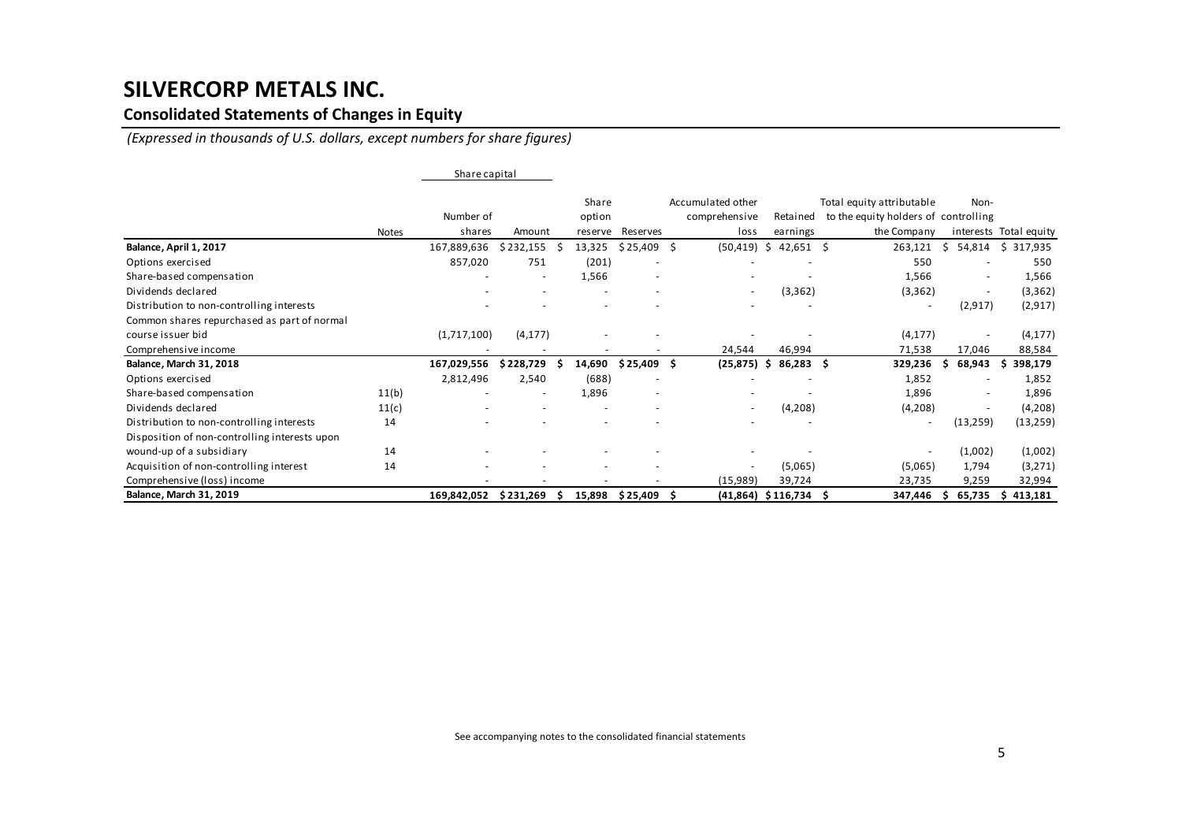### **Consolidated Statements of Changes in Equity**

*(Expressed in thousands of U.S. dollars, except numbers for share figures)*

|                                               |              | Share capital |           |   |         |                 |    |                          |                    |     |                                      |              |                        |
|-----------------------------------------------|--------------|---------------|-----------|---|---------|-----------------|----|--------------------------|--------------------|-----|--------------------------------------|--------------|------------------------|
|                                               |              |               |           |   | Share   |                 |    | Accumulated other        |                    |     | Total equity attributable            | Non-         |                        |
|                                               |              | Number of     |           |   | option  |                 |    | comprehensive            | Retained           |     | to the equity holders of controlling |              |                        |
|                                               | <b>Notes</b> | shares        | Amount    |   | reserve | Reserves        |    | loss                     | earnings           |     | the Company                          |              | interests Total equity |
| Balance, April 1, 2017                        |              | 167,889,636   | \$232,155 |   | 13,325  | \$25,409        | -Ś | (50, 419)                | 42,651<br>S        | -Ś  | 263,121                              | 54,814       | S.<br>317,935          |
| Options exercised                             |              | 857,020       | 751       |   | (201)   |                 |    |                          |                    |     | 550                                  |              | 550                    |
| Share-based compensation                      |              |               |           |   | 1,566   |                 |    |                          |                    |     | 1,566                                |              | 1,566                  |
| Dividends declared                            |              |               |           |   |         |                 |    | $\sim$                   | (3, 362)           |     | (3, 362)                             |              | (3, 362)               |
| Distribution to non-controlling interests     |              |               |           |   |         |                 |    |                          |                    |     | $\overline{\phantom{a}}$             | (2,917)      | (2, 917)               |
| Common shares repurchased as part of normal   |              |               |           |   |         |                 |    |                          |                    |     |                                      |              |                        |
| course issuer bid                             |              | (1,717,100)   | (4, 177)  |   |         |                 |    |                          |                    |     | (4, 177)                             |              | (4, 177)               |
| Comprehensive income                          |              |               |           |   |         |                 |    | 24,544                   | 46,994             |     | 71,538                               | 17,046       | 88,584                 |
| Balance, March 31, 2018                       |              | 167,029,556   | \$228,729 | s | 14,690  | $$25,409$ \$    |    | (25, 875)                | 86,283<br>-S       | . S | 329,236                              | 68,943       | 398,179                |
| Options exercised                             |              | 2,812,496     | 2,540     |   | (688)   |                 |    |                          |                    |     | 1,852                                |              | 1,852                  |
| Share-based compensation                      | 11(b)        |               |           |   | 1,896   |                 |    |                          |                    |     | 1,896                                |              | 1,896                  |
| Dividends declared                            | 11(c)        |               |           |   |         |                 |    | $\sim$                   | (4,208)            |     | (4,208)                              |              | (4,208)                |
| Distribution to non-controlling interests     | 14           |               |           |   |         |                 |    |                          |                    |     | $\overline{\phantom{a}}$             | (13, 259)    | (13, 259)              |
| Disposition of non-controlling interests upon |              |               |           |   |         |                 |    |                          |                    |     |                                      |              |                        |
| wound-up of a subsidiary                      | 14           |               |           |   |         |                 |    |                          |                    |     | $\overline{\phantom{a}}$             | (1,002)      | (1,002)                |
| Acquisition of non-controlling interest       | 14           |               |           |   |         |                 |    | $\overline{\phantom{a}}$ | (5,065)            |     | (5,065)                              | 1,794        | (3, 271)               |
| Comprehensive (loss) income                   |              |               |           |   |         |                 |    | (15,989)                 | 39,724             |     | 23,735                               | 9,259        | 32,994                 |
| <b>Balance, March 31, 2019</b>                |              | 169,842,052   | \$231,269 |   |         | 15,898 \$25,409 |    |                          | (41,864) \$116,734 | -S  | 347,446                              | 65,735<br>-S | 413,181<br>-S          |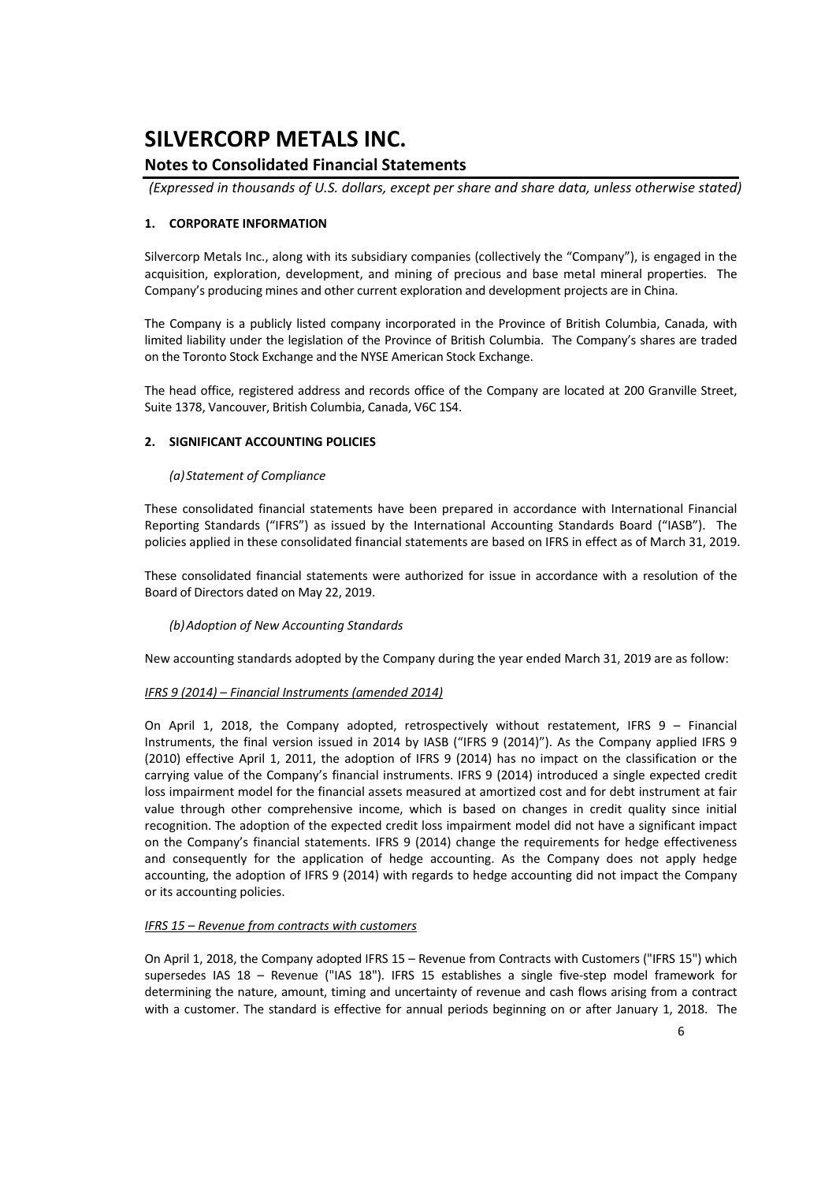### **Notes to Consolidated Financial Statements**

*(Expressed in thousands of U.S. dollars, except per share and share data, unless otherwise stated)*

#### **1. CORPORATE INFORMATION**

Silvercorp Metals Inc., along with its subsidiary companies (collectively the "Company"), is engaged in the acquisition, exploration, development, and mining of precious and base metal mineral properties. The Company's producing mines and other current exploration and development projects are in China.

The Company is a publicly listed company incorporated in the Province of British Columbia, Canada, with limited liability under the legislation of the Province of British Columbia. The Company's shares are traded on the Toronto Stock Exchange and the NYSE American Stock Exchange.

The head office, registered address and records office of the Company are located at 200 Granville Street, Suite 1378, Vancouver, British Columbia, Canada, V6C 1S4.

#### **2. SIGNIFICANT ACCOUNTING POLICIES**

#### *(a) Statement of Compliance*

These consolidated financial statements have been prepared in accordance with International Financial Reporting Standards ("IFRS") as issued by the International Accounting Standards Board ("IASB"). The policies applied in these consolidated financial statements are based on IFRS in effect as of March 31, 2019.

These consolidated financial statements were authorized for issue in accordance with a resolution of the Board of Directors dated on May 22, 2019.

#### *(b)Adoption of New Accounting Standards*

New accounting standards adopted by the Company during the year ended March 31, 2019 are as follow:

#### *IFRS 9 (2014) – Financial Instruments (amended 2014)*

On April 1, 2018, the Company adopted, retrospectively without restatement, IFRS 9 – Financial Instruments, the final version issued in 2014 by IASB ("IFRS 9 (2014)"). As the Company applied IFRS 9 (2010) effective April 1, 2011, the adoption of IFRS 9 (2014) has no impact on the classification or the carrying value of the Company's financial instruments. IFRS 9 (2014) introduced a single expected credit loss impairment model for the financial assets measured at amortized cost and for debt instrument at fair value through other comprehensive income, which is based on changes in credit quality since initial recognition. The adoption of the expected credit loss impairment model did not have a significant impact on the Company's financial statements. IFRS 9 (2014) change the requirements for hedge effectiveness and consequently for the application of hedge accounting. As the Company does not apply hedge accounting, the adoption of IFRS 9 (2014) with regards to hedge accounting did not impact the Company or its accounting policies.

#### *IFRS 15 – Revenue from contracts with customers*

On April 1, 2018, the Company adopted IFRS 15 – Revenue from Contracts with Customers ("IFRS 15") which supersedes IAS 18 – Revenue ("IAS 18"). IFRS 15 establishes a single five-step model framework for determining the nature, amount, timing and uncertainty of revenue and cash flows arising from a contract with a customer. The standard is effective for annual periods beginning on or after January 1, 2018. The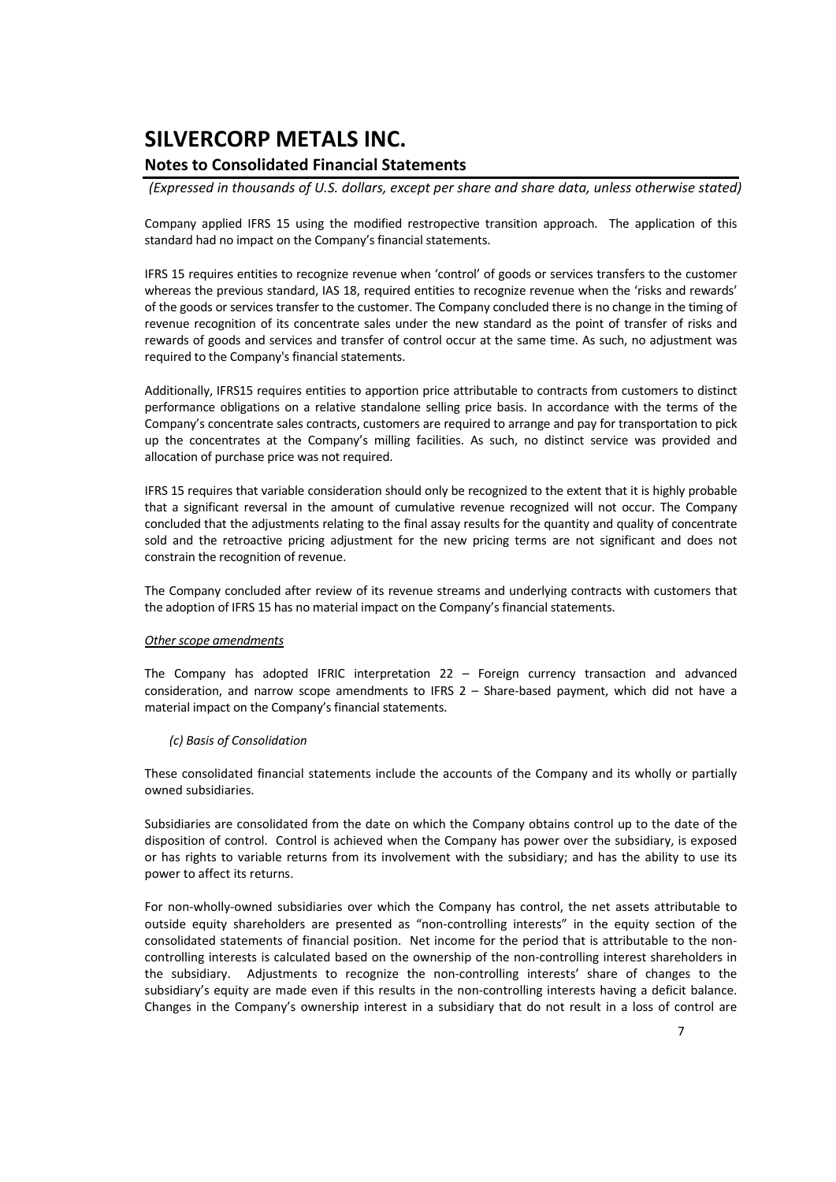### **Notes to Consolidated Financial Statements**

*(Expressed in thousands of U.S. dollars, except per share and share data, unless otherwise stated)*

Company applied IFRS 15 using the modified restropective transition approach. The application of this standard had no impact on the Company's financial statements.

IFRS 15 requires entities to recognize revenue when 'control' of goods or services transfers to the customer whereas the previous standard, IAS 18, required entities to recognize revenue when the 'risks and rewards' of the goods or services transfer to the customer. The Company concluded there is no change in the timing of revenue recognition of its concentrate sales under the new standard as the point of transfer of risks and rewards of goods and services and transfer of control occur at the same time. As such, no adjustment was required to the Company's financial statements.

Additionally, IFRS15 requires entities to apportion price attributable to contracts from customers to distinct performance obligations on a relative standalone selling price basis. In accordance with the terms of the Company's concentrate sales contracts, customers are required to arrange and pay for transportation to pick up the concentrates at the Company's milling facilities. As such, no distinct service was provided and allocation of purchase price was not required.

IFRS 15 requires that variable consideration should only be recognized to the extent that it is highly probable that a significant reversal in the amount of cumulative revenue recognized will not occur. The Company concluded that the adjustments relating to the final assay results for the quantity and quality of concentrate sold and the retroactive pricing adjustment for the new pricing terms are not significant and does not constrain the recognition of revenue.

The Company concluded after review of its revenue streams and underlying contracts with customers that the adoption of IFRS 15 has no material impact on the Company's financial statements.

#### *Other scope amendments*

The Company has adopted IFRIC interpretation 22 – Foreign currency transaction and advanced consideration, and narrow scope amendments to IFRS 2 – Share‐based payment, which did not have a material impact on the Company's financial statements.

#### *(c) Basis of Consolidation*

These consolidated financial statements include the accounts of the Company and its wholly or partially owned subsidiaries.

Subsidiaries are consolidated from the date on which the Company obtains control up to the date of the disposition of control. Control is achieved when the Company has power over the subsidiary, is exposed or has rights to variable returns from its involvement with the subsidiary; and has the ability to use its power to affect its returns.

For non-wholly-owned subsidiaries over which the Company has control, the net assets attributable to outside equity shareholders are presented as "non‐controlling interests" in the equity section of the consolidated statements of financial position. Net income for the period that is attributable to the non‐ controlling interests is calculated based on the ownership of the non‐controlling interest shareholders in the subsidiary. Adjustments to recognize the non‐controlling interests' share of changes to the subsidiary's equity are made even if this results in the non-controlling interests having a deficit balance. Changes in the Company's ownership interest in a subsidiary that do not result in a loss of control are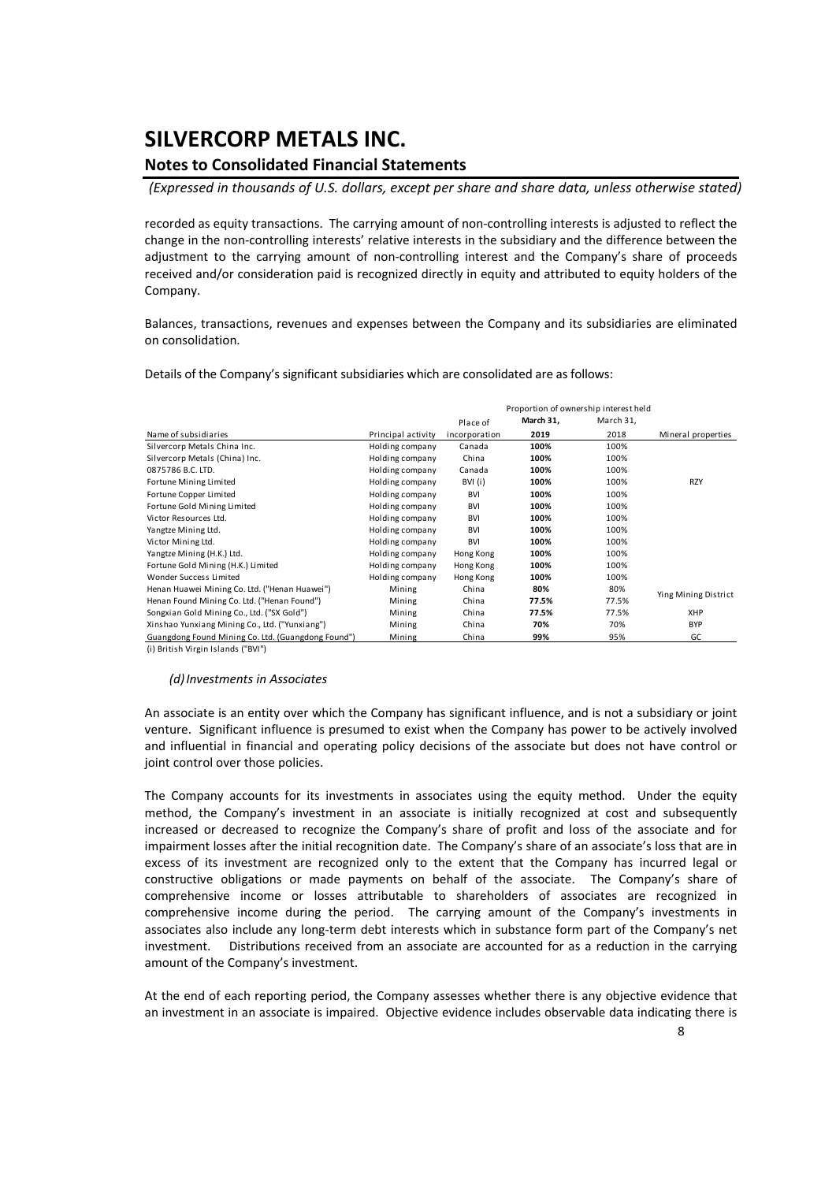### **Notes to Consolidated Financial Statements**

*(Expressed in thousands of U.S. dollars, except per share and share data, unless otherwise stated)*

recorded as equity transactions. The carrying amount of non‐controlling interests is adjusted to reflect the change in the non‐controlling interests' relative interests in the subsidiary and the difference between the adjustment to the carrying amount of non-controlling interest and the Company's share of proceeds received and/or consideration paid is recognized directly in equity and attributed to equity holders of the Company.

Balances, transactions, revenues and expenses between the Company and its subsidiaries are eliminated on consolidation.

Details of the Company's significant subsidiaries which are consolidated are as follows:

|                                                    | Proportion of ownership interest held |               |           |           |                      |
|----------------------------------------------------|---------------------------------------|---------------|-----------|-----------|----------------------|
|                                                    |                                       | Place of      | March 31, | March 31, |                      |
| Name of subsidiaries                               | Principal activity                    | incorporation | 2019      | 2018      | Mineral properties   |
| Silvercorp Metals China Inc.                       | Holding company                       | Canada        | 100%      | 100%      |                      |
| Silvercorp Metals (China) Inc.                     | Holding company                       | China         | 100%      | 100%      |                      |
| 0875786 B.C. LTD.                                  | Holding company                       | Canada        | 100%      | 100%      |                      |
| Fortune Mining Limited                             | Holding company                       | BVI (i)       | 100%      | 100%      | <b>RZY</b>           |
| Fortune Copper Limited                             | Holding company                       | <b>BVI</b>    | 100%      | 100%      |                      |
| Fortune Gold Mining Limited                        | Holding company                       | <b>BVI</b>    | 100%      | 100%      |                      |
| Victor Resources Ltd.                              | Holding company                       | <b>BVI</b>    | 100%      | 100%      |                      |
| Yangtze Mining Ltd.                                | Holding company                       | <b>BVI</b>    | 100%      | 100%      |                      |
| Victor Mining Ltd.                                 | Holding company                       | <b>BVI</b>    | 100%      | 100%      |                      |
| Yangtze Mining (H.K.) Ltd.                         | Holding company                       | Hong Kong     | 100%      | 100%      |                      |
| Fortune Gold Mining (H.K.) Limited                 | Holding company                       | Hong Kong     | 100%      | 100%      |                      |
| Wonder Success Limited                             | Holding company                       | Hong Kong     | 100%      | 100%      |                      |
| Henan Huawei Mining Co. Ltd. ("Henan Huawei")      | Mining                                | China         | 80%       | 80%       | Ying Mining District |
| Henan Found Mining Co. Ltd. ("Henan Found")        | Mining                                | China         | 77.5%     | 77.5%     |                      |
| Songxian Gold Mining Co., Ltd. ("SX Gold")         | Mining                                | China         | 77.5%     | 77.5%     | XHP                  |
| Xinshao Yunxiang Mining Co., Ltd. ("Yunxiang")     | Mining                                | China         | 70%       | 70%       | <b>BYP</b>           |
| Guangdong Found Mining Co. Ltd. (Guangdong Found") | Mining                                | China         | 99%       | 95%       | GC                   |

(i) British Virgin Islands ("BVI")

#### *(d)Investments in Associates*

An associate is an entity over which the Company has significant influence, and is not a subsidiary or joint venture. Significant influence is presumed to exist when the Company has power to be actively involved and influential in financial and operating policy decisions of the associate but does not have control or joint control over those policies.

The Company accounts for its investments in associates using the equity method. Under the equity method, the Company's investment in an associate is initially recognized at cost and subsequently increased or decreased to recognize the Company's share of profit and loss of the associate and for impairment losses after the initial recognition date. The Company's share of an associate's loss that are in excess of its investment are recognized only to the extent that the Company has incurred legal or constructive obligations or made payments on behalf of the associate. The Company's share of comprehensive income or losses attributable to shareholders of associates are recognized in comprehensive income during the period. The carrying amount of the Company's investments in associates also include any long‐term debt interests which in substance form part of the Company's net investment. Distributions received from an associate are accounted for as a reduction in the carrying amount of the Company's investment.

At the end of each reporting period, the Company assesses whether there is any objective evidence that an investment in an associate is impaired. Objective evidence includes observable data indicating there is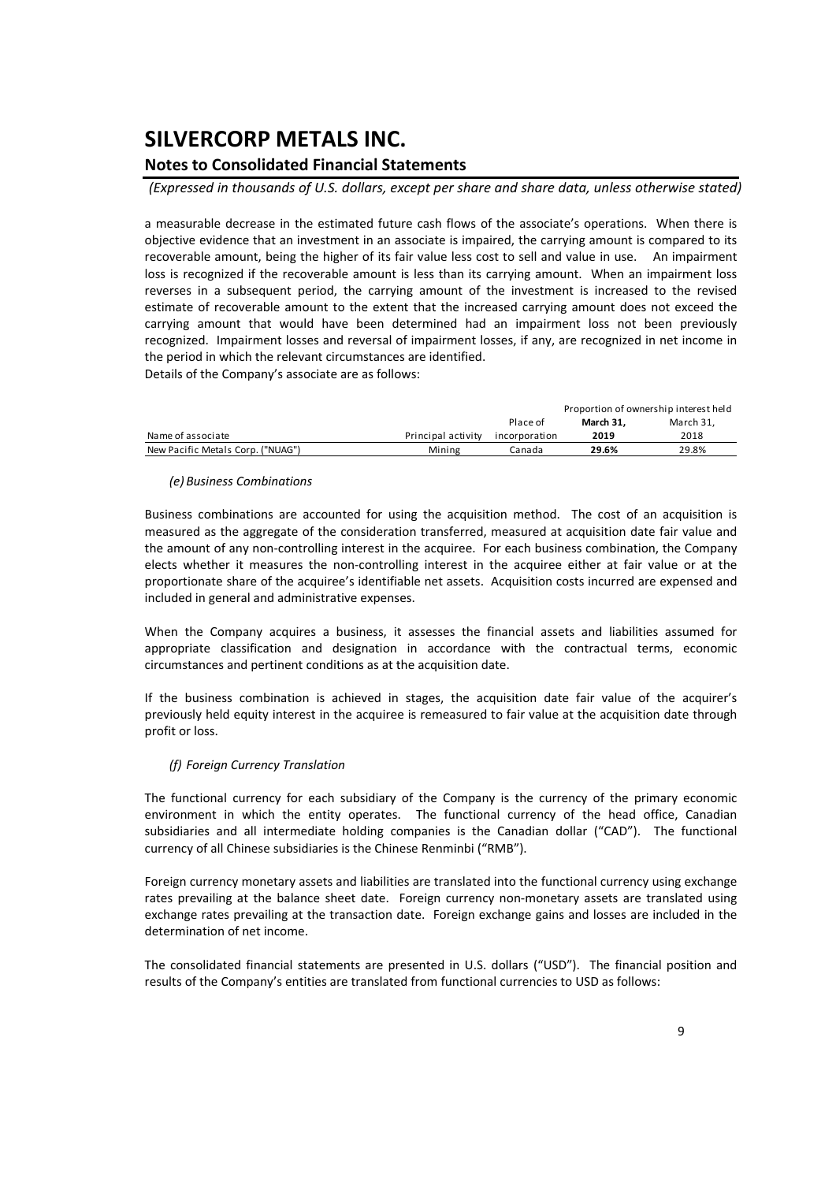*(Expressed in thousands of U.S. dollars, except per share and share data, unless otherwise stated)*

a measurable decrease in the estimated future cash flows of the associate's operations. When there is objective evidence that an investment in an associate is impaired, the carrying amount is compared to its recoverable amount, being the higher of its fair value less cost to sell and value in use. An impairment loss is recognized if the recoverable amount is less than its carrying amount. When an impairment loss reverses in a subsequent period, the carrying amount of the investment is increased to the revised estimate of recoverable amount to the extent that the increased carrying amount does not exceed the carrying amount that would have been determined had an impairment loss not been previously recognized. Impairment losses and reversal of impairment losses, if any, are recognized in net income in the period in which the relevant circumstances are identified.

Details of the Company's associate are as follows:

|                                   |                    |               |           | Proportion of ownership interest held |
|-----------------------------------|--------------------|---------------|-----------|---------------------------------------|
|                                   |                    | Place of      | March 31. | March 31.                             |
| Name of associate                 | Principal activity | incorporation | 2019      | 2018                                  |
| New Pacific Metals Corp. ("NUAG") | Mining             | Canada        | 29.6%     | 29.8%                                 |

#### *(e) Business Combinations*

Business combinations are accounted for using the acquisition method. The cost of an acquisition is measured as the aggregate of the consideration transferred, measured at acquisition date fair value and the amount of any non-controlling interest in the acquiree. For each business combination, the Company elects whether it measures the non‐controlling interest in the acquiree either at fair value or at the proportionate share of the acquiree's identifiable net assets. Acquisition costs incurred are expensed and included in general and administrative expenses.

When the Company acquires a business, it assesses the financial assets and liabilities assumed for appropriate classification and designation in accordance with the contractual terms, economic circumstances and pertinent conditions as at the acquisition date.

If the business combination is achieved in stages, the acquisition date fair value of the acquirer's previously held equity interest in the acquiree is remeasured to fair value at the acquisition date through profit or loss.

#### *(f) Foreign Currency Translation*

The functional currency for each subsidiary of the Company is the currency of the primary economic environment in which the entity operates. The functional currency of the head office, Canadian subsidiaries and all intermediate holding companies is the Canadian dollar ("CAD"). The functional currency of all Chinese subsidiaries is the Chinese Renminbi ("RMB").

Foreign currency monetary assets and liabilities are translated into the functional currency using exchange rates prevailing at the balance sheet date. Foreign currency non-monetary assets are translated using exchange rates prevailing at the transaction date. Foreign exchange gains and losses are included in the determination of net income.

The consolidated financial statements are presented in U.S. dollars ("USD"). The financial position and results of the Company's entities are translated from functional currencies to USD as follows: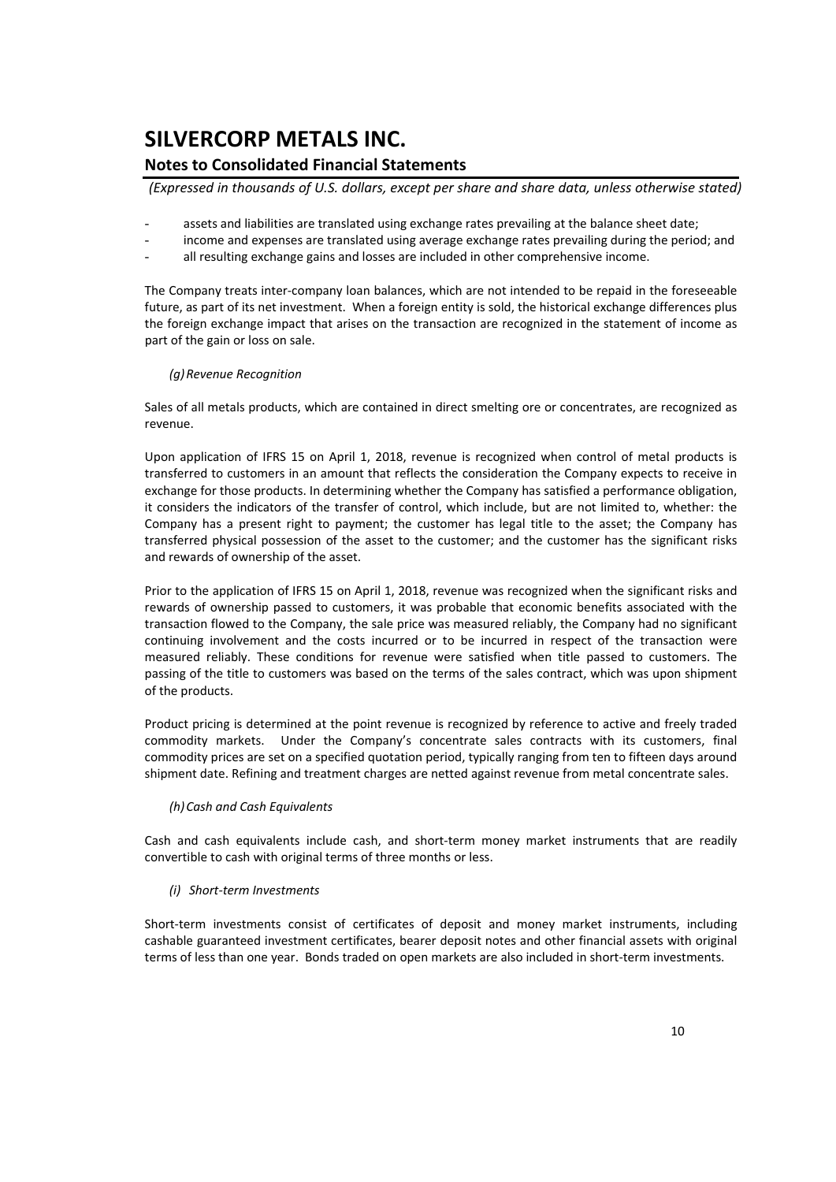### **Notes to Consolidated Financial Statements**

*(Expressed in thousands of U.S. dollars, except per share and share data, unless otherwise stated)*

- assets and liabilities are translated using exchange rates prevailing at the balance sheet date;
- income and expenses are translated using average exchange rates prevailing during the period; and
- all resulting exchange gains and losses are included in other comprehensive income.

The Company treats inter-company loan balances, which are not intended to be repaid in the foreseeable future, as part of its net investment. When a foreign entity is sold, the historical exchange differences plus the foreign exchange impact that arises on the transaction are recognized in the statement of income as part of the gain or loss on sale.

#### *(g)Revenue Recognition*

Sales of all metals products, which are contained in direct smelting ore or concentrates, are recognized as revenue.

Upon application of IFRS 15 on April 1, 2018, revenue is recognized when control of metal products is transferred to customers in an amount that reflects the consideration the Company expects to receive in exchange for those products. In determining whether the Company has satisfied a performance obligation, it considers the indicators of the transfer of control, which include, but are not limited to, whether: the Company has a present right to payment; the customer has legal title to the asset; the Company has transferred physical possession of the asset to the customer; and the customer has the significant risks and rewards of ownership of the asset.

Prior to the application of IFRS 15 on April 1, 2018, revenue was recognized when the significant risks and rewards of ownership passed to customers, it was probable that economic benefits associated with the transaction flowed to the Company, the sale price was measured reliably, the Company had no significant continuing involvement and the costs incurred or to be incurred in respect of the transaction were measured reliably. These conditions for revenue were satisfied when title passed to customers. The passing of the title to customers was based on the terms of the sales contract, which was upon shipment of the products.

Product pricing is determined at the point revenue is recognized by reference to active and freely traded commodity markets. Under the Company's concentrate sales contracts with its customers, final commodity prices are set on a specified quotation period, typically ranging from ten to fifteen days around shipment date. Refining and treatment charges are netted against revenue from metal concentrate sales.

#### *(h)Cash and Cash Equivalents*

Cash and cash equivalents include cash, and short‐term money market instruments that are readily convertible to cash with original terms of three months or less.

#### *(i) Short‐term Investments*

Short-term investments consist of certificates of deposit and money market instruments, including cashable guaranteed investment certificates, bearer deposit notes and other financial assets with original terms of less than one year. Bonds traded on open markets are also included in short-term investments.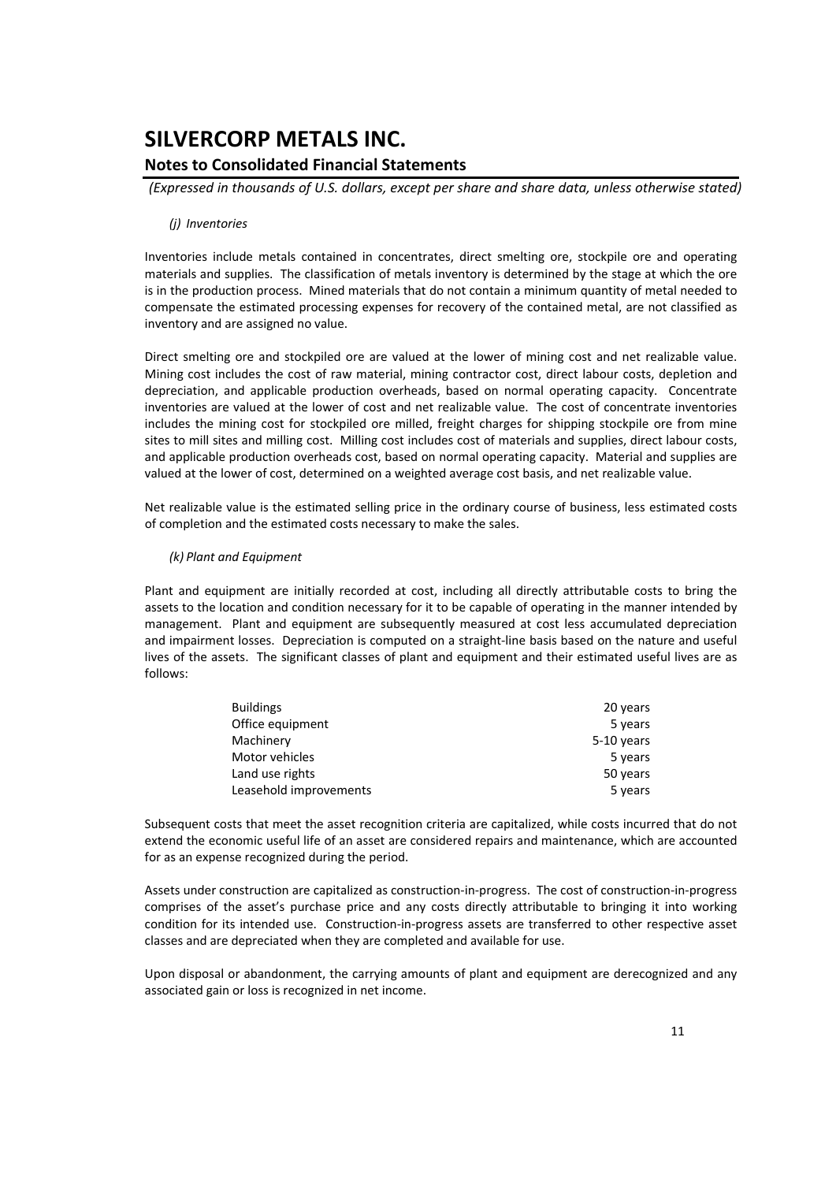*(Expressed in thousands of U.S. dollars, except per share and share data, unless otherwise stated)*

#### *(j) Inventories*

Inventories include metals contained in concentrates, direct smelting ore, stockpile ore and operating materials and supplies. The classification of metals inventory is determined by the stage at which the ore is in the production process. Mined materials that do not contain a minimum quantity of metal needed to compensate the estimated processing expenses for recovery of the contained metal, are not classified as inventory and are assigned no value.

Direct smelting ore and stockpiled ore are valued at the lower of mining cost and net realizable value. Mining cost includes the cost of raw material, mining contractor cost, direct labour costs, depletion and depreciation, and applicable production overheads, based on normal operating capacity. Concentrate inventories are valued at the lower of cost and net realizable value. The cost of concentrate inventories includes the mining cost for stockpiled ore milled, freight charges for shipping stockpile ore from mine sites to mill sites and milling cost. Milling cost includes cost of materials and supplies, direct labour costs, and applicable production overheads cost, based on normal operating capacity. Material and supplies are valued at the lower of cost, determined on a weighted average cost basis, and net realizable value.

Net realizable value is the estimated selling price in the ordinary course of business, less estimated costs of completion and the estimated costs necessary to make the sales.

#### *(k) Plant and Equipment*

Plant and equipment are initially recorded at cost, including all directly attributable costs to bring the assets to the location and condition necessary for it to be capable of operating in the manner intended by management. Plant and equipment are subsequently measured at cost less accumulated depreciation and impairment losses. Depreciation is computed on a straight‐line basis based on the nature and useful lives of the assets. The significant classes of plant and equipment and their estimated useful lives are as follows:

| <b>Buildings</b>       | 20 years   |
|------------------------|------------|
| Office equipment       | 5 years    |
| Machinery              | 5-10 years |
| Motor vehicles         | 5 years    |
| Land use rights        | 50 years   |
| Leasehold improvements | 5 years    |

Subsequent costs that meet the asset recognition criteria are capitalized, while costs incurred that do not extend the economic useful life of an asset are considered repairs and maintenance, which are accounted for as an expense recognized during the period.

Assets under construction are capitalized as construction‐in‐progress. The cost of construction‐in‐progress comprises of the asset's purchase price and any costs directly attributable to bringing it into working condition for its intended use. Construction‐in‐progress assets are transferred to other respective asset classes and are depreciated when they are completed and available for use.

Upon disposal or abandonment, the carrying amounts of plant and equipment are derecognized and any associated gain or loss is recognized in net income.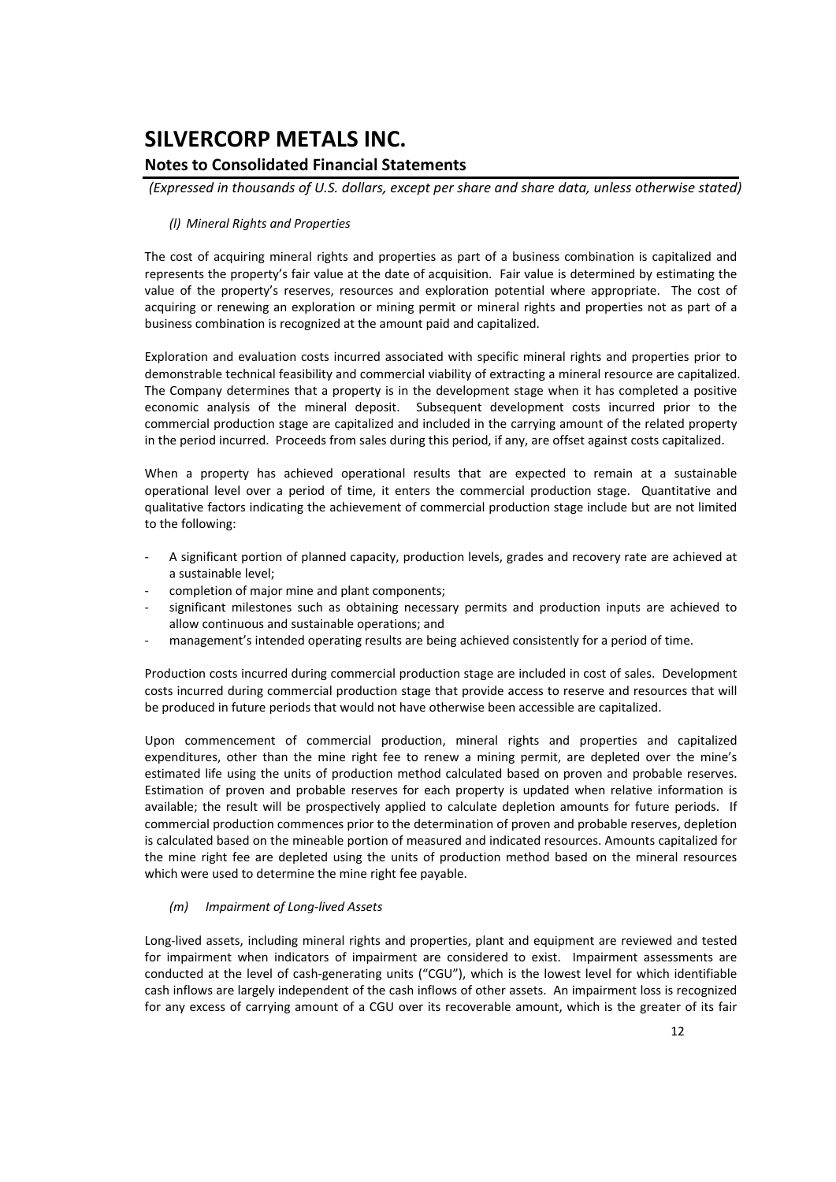*(Expressed in thousands of U.S. dollars, except per share and share data, unless otherwise stated)*

#### *(l) Mineral Rights and Properties*

The cost of acquiring mineral rights and properties as part of a business combination is capitalized and represents the property's fair value at the date of acquisition. Fair value is determined by estimating the value of the property's reserves, resources and exploration potential where appropriate. The cost of acquiring or renewing an exploration or mining permit or mineral rights and properties not as part of a business combination is recognized at the amount paid and capitalized.

Exploration and evaluation costs incurred associated with specific mineral rights and properties prior to demonstrable technical feasibility and commercial viability of extracting a mineral resource are capitalized. The Company determines that a property is in the development stage when it has completed a positive economic analysis of the mineral deposit. Subsequent development costs incurred prior to the commercial production stage are capitalized and included in the carrying amount of the related property in the period incurred. Proceeds from sales during this period, if any, are offset against costs capitalized.

When a property has achieved operational results that are expected to remain at a sustainable operational level over a period of time, it enters the commercial production stage. Quantitative and qualitative factors indicating the achievement of commercial production stage include but are not limited to the following:

- ‐ A significant portion of planned capacity, production levels, grades and recovery rate are achieved at a sustainable level;
- ‐ completion of major mine and plant components;
- significant milestones such as obtaining necessary permits and production inputs are achieved to allow continuous and sustainable operations; and
- management's intended operating results are being achieved consistently for a period of time.

Production costs incurred during commercial production stage are included in cost of sales. Development costs incurred during commercial production stage that provide access to reserve and resources that will be produced in future periods that would not have otherwise been accessible are capitalized.

Upon commencement of commercial production, mineral rights and properties and capitalized expenditures, other than the mine right fee to renew a mining permit, are depleted over the mine's estimated life using the units of production method calculated based on proven and probable reserves. Estimation of proven and probable reserves for each property is updated when relative information is available; the result will be prospectively applied to calculate depletion amounts for future periods. If commercial production commences prior to the determination of proven and probable reserves, depletion is calculated based on the mineable portion of measured and indicated resources. Amounts capitalized for the mine right fee are depleted using the units of production method based on the mineral resources which were used to determine the mine right fee payable.

#### *(m) Impairment of Long‐lived Assets*

Long‐lived assets, including mineral rights and properties, plant and equipment are reviewed and tested for impairment when indicators of impairment are considered to exist. Impairment assessments are conducted at the level of cash‐generating units ("CGU"), which is the lowest level for which identifiable cash inflows are largely independent of the cash inflows of other assets. An impairment loss is recognized for any excess of carrying amount of a CGU over its recoverable amount, which is the greater of its fair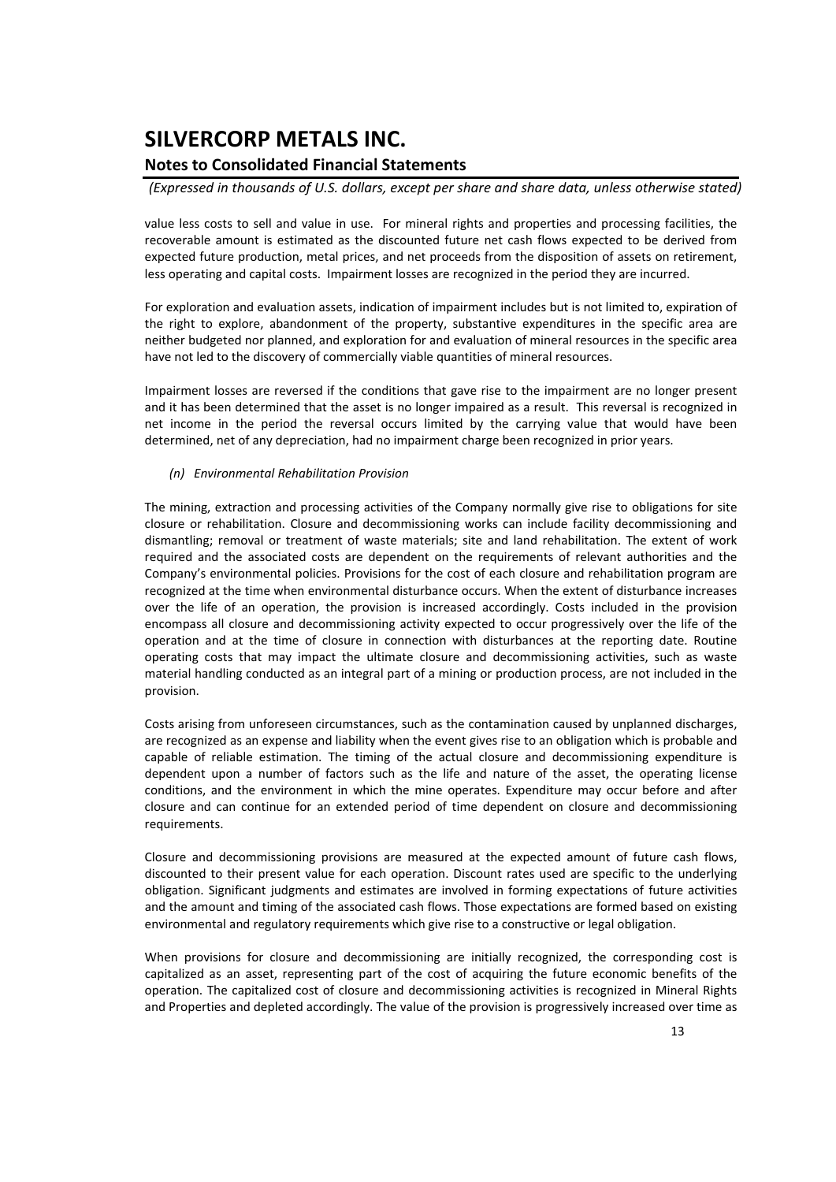*(Expressed in thousands of U.S. dollars, except per share and share data, unless otherwise stated)*

value less costs to sell and value in use. For mineral rights and properties and processing facilities, the recoverable amount is estimated as the discounted future net cash flows expected to be derived from expected future production, metal prices, and net proceeds from the disposition of assets on retirement, less operating and capital costs. Impairment losses are recognized in the period they are incurred.

For exploration and evaluation assets, indication of impairment includes but is not limited to, expiration of the right to explore, abandonment of the property, substantive expenditures in the specific area are neither budgeted nor planned, and exploration for and evaluation of mineral resources in the specific area have not led to the discovery of commercially viable quantities of mineral resources.

Impairment losses are reversed if the conditions that gave rise to the impairment are no longer present and it has been determined that the asset is no longer impaired as a result. This reversal is recognized in net income in the period the reversal occurs limited by the carrying value that would have been determined, net of any depreciation, had no impairment charge been recognized in prior years.

#### *(n) Environmental Rehabilitation Provision*

The mining, extraction and processing activities of the Company normally give rise to obligations for site closure or rehabilitation. Closure and decommissioning works can include facility decommissioning and dismantling; removal or treatment of waste materials; site and land rehabilitation. The extent of work required and the associated costs are dependent on the requirements of relevant authorities and the Company's environmental policies. Provisions for the cost of each closure and rehabilitation program are recognized at the time when environmental disturbance occurs. When the extent of disturbance increases over the life of an operation, the provision is increased accordingly. Costs included in the provision encompass all closure and decommissioning activity expected to occur progressively over the life of the operation and at the time of closure in connection with disturbances at the reporting date. Routine operating costs that may impact the ultimate closure and decommissioning activities, such as waste material handling conducted as an integral part of a mining or production process, are not included in the provision.

Costs arising from unforeseen circumstances, such as the contamination caused by unplanned discharges, are recognized as an expense and liability when the event gives rise to an obligation which is probable and capable of reliable estimation. The timing of the actual closure and decommissioning expenditure is dependent upon a number of factors such as the life and nature of the asset, the operating license conditions, and the environment in which the mine operates. Expenditure may occur before and after closure and can continue for an extended period of time dependent on closure and decommissioning requirements.

Closure and decommissioning provisions are measured at the expected amount of future cash flows, discounted to their present value for each operation. Discount rates used are specific to the underlying obligation. Significant judgments and estimates are involved in forming expectations of future activities and the amount and timing of the associated cash flows. Those expectations are formed based on existing environmental and regulatory requirements which give rise to a constructive or legal obligation.

When provisions for closure and decommissioning are initially recognized, the corresponding cost is capitalized as an asset, representing part of the cost of acquiring the future economic benefits of the operation. The capitalized cost of closure and decommissioning activities is recognized in Mineral Rights and Properties and depleted accordingly. The value of the provision is progressively increased over time as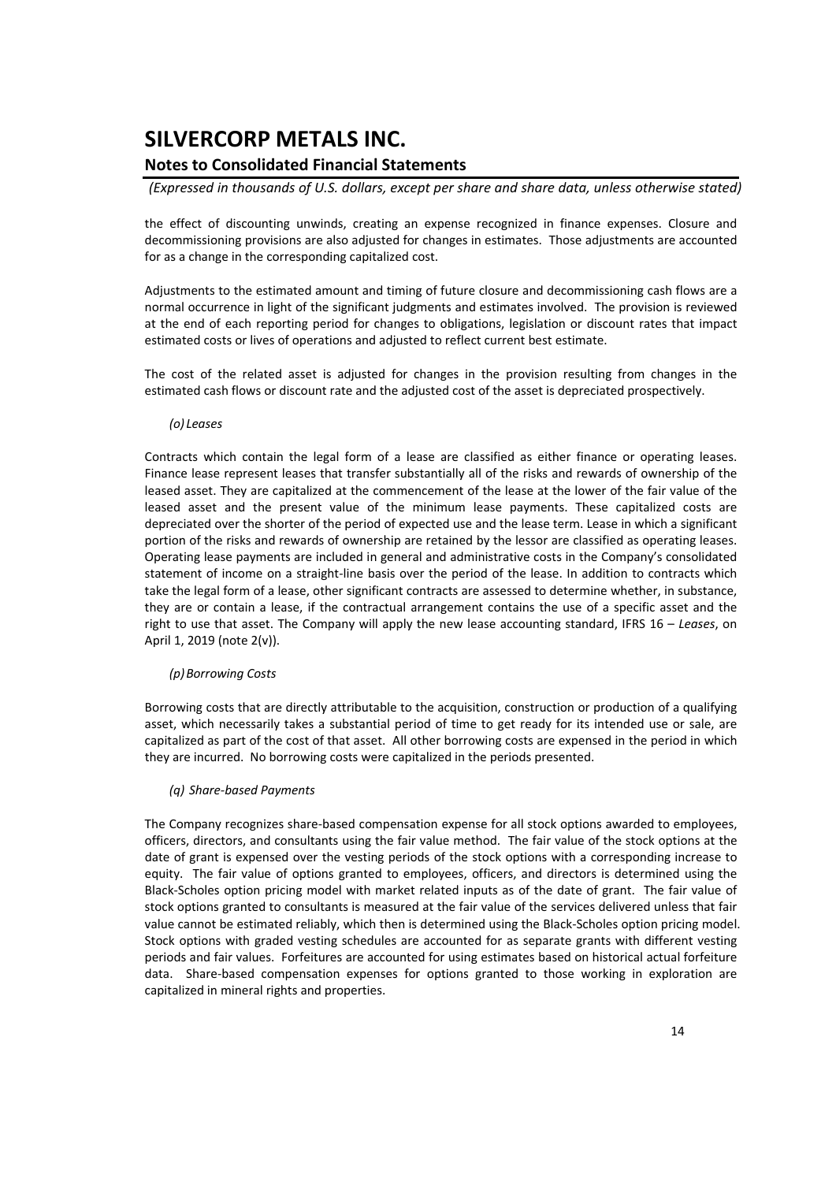### **Notes to Consolidated Financial Statements**

*(Expressed in thousands of U.S. dollars, except per share and share data, unless otherwise stated)*

the effect of discounting unwinds, creating an expense recognized in finance expenses. Closure and decommissioning provisions are also adjusted for changes in estimates. Those adjustments are accounted for as a change in the corresponding capitalized cost.

Adjustments to the estimated amount and timing of future closure and decommissioning cash flows are a normal occurrence in light of the significant judgments and estimates involved. The provision is reviewed at the end of each reporting period for changes to obligations, legislation or discount rates that impact estimated costs or lives of operations and adjusted to reflect current best estimate.

The cost of the related asset is adjusted for changes in the provision resulting from changes in the estimated cash flows or discount rate and the adjusted cost of the asset is depreciated prospectively.

#### *(o) Leases*

Contracts which contain the legal form of a lease are classified as either finance or operating leases. Finance lease represent leases that transfer substantially all of the risks and rewards of ownership of the leased asset. They are capitalized at the commencement of the lease at the lower of the fair value of the leased asset and the present value of the minimum lease payments. These capitalized costs are depreciated over the shorter of the period of expected use and the lease term. Lease in which a significant portion of the risks and rewards of ownership are retained by the lessor are classified as operating leases. Operating lease payments are included in general and administrative costs in the Company's consolidated statement of income on a straight-line basis over the period of the lease. In addition to contracts which take the legal form of a lease, other significant contracts are assessed to determine whether, in substance, they are or contain a lease, if the contractual arrangement contains the use of a specific asset and the right to use that asset. The Company will apply the new lease accounting standard, IFRS 16 – *Leases*, on April 1, 2019 (note 2(v)).

#### *(p)Borrowing Costs*

Borrowing costs that are directly attributable to the acquisition, construction or production of a qualifying asset, which necessarily takes a substantial period of time to get ready for its intended use or sale, are capitalized as part of the cost of that asset. All other borrowing costs are expensed in the period in which they are incurred. No borrowing costs were capitalized in the periods presented.

#### *(q) Share‐based Payments*

The Company recognizes share‐based compensation expense for all stock options awarded to employees, officers, directors, and consultants using the fair value method. The fair value of the stock options at the date of grant is expensed over the vesting periods of the stock options with a corresponding increase to equity. The fair value of options granted to employees, officers, and directors is determined using the Black‐Scholes option pricing model with market related inputs as of the date of grant. The fair value of stock options granted to consultants is measured at the fair value of the services delivered unless that fair value cannot be estimated reliably, which then is determined using the Black‐Scholes option pricing model. Stock options with graded vesting schedules are accounted for as separate grants with different vesting periods and fair values. Forfeitures are accounted for using estimates based on historical actual forfeiture data. Share-based compensation expenses for options granted to those working in exploration are capitalized in mineral rights and properties.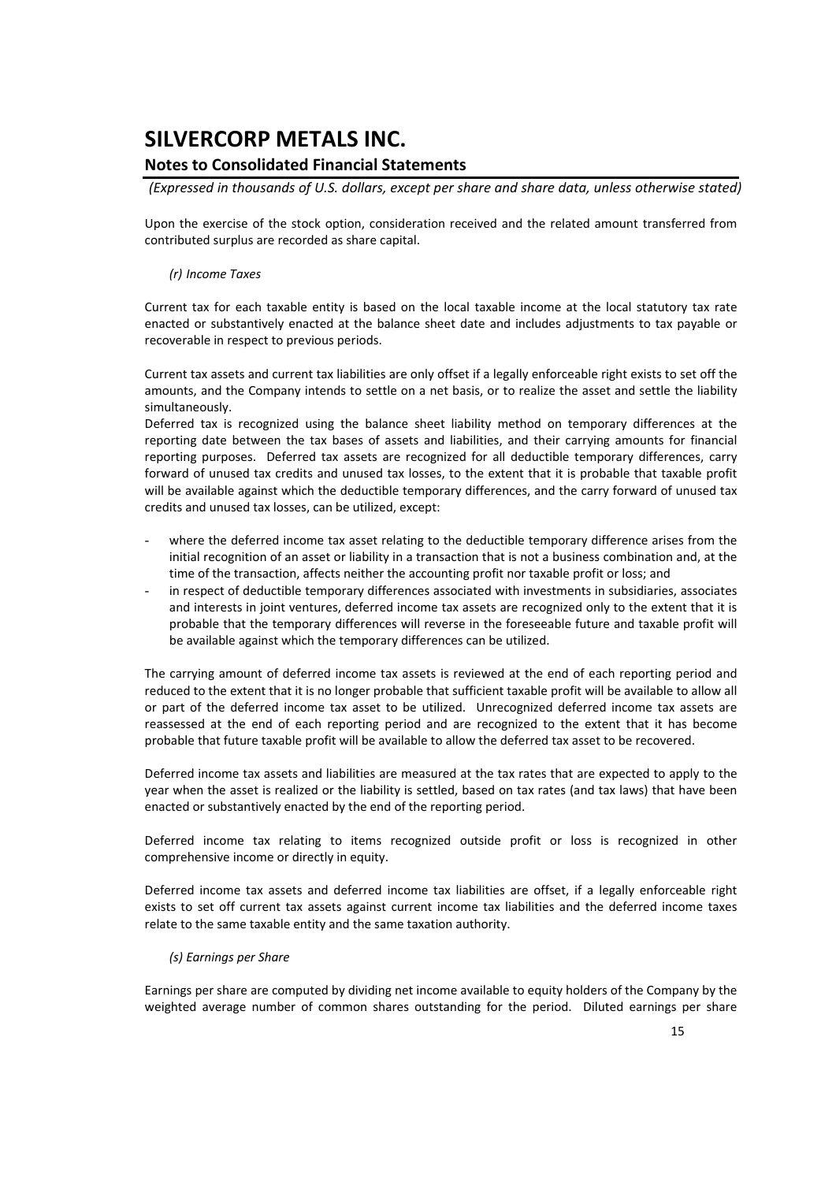*(Expressed in thousands of U.S. dollars, except per share and share data, unless otherwise stated)*

Upon the exercise of the stock option, consideration received and the related amount transferred from contributed surplus are recorded as share capital.

#### *(r) Income Taxes*

Current tax for each taxable entity is based on the local taxable income at the local statutory tax rate enacted or substantively enacted at the balance sheet date and includes adjustments to tax payable or recoverable in respect to previous periods.

Current tax assets and current tax liabilities are only offset if a legally enforceable right exists to set off the amounts, and the Company intends to settle on a net basis, or to realize the asset and settle the liability simultaneously.

Deferred tax is recognized using the balance sheet liability method on temporary differences at the reporting date between the tax bases of assets and liabilities, and their carrying amounts for financial reporting purposes. Deferred tax assets are recognized for all deductible temporary differences, carry forward of unused tax credits and unused tax losses, to the extent that it is probable that taxable profit will be available against which the deductible temporary differences, and the carry forward of unused tax credits and unused tax losses, can be utilized, except:

- where the deferred income tax asset relating to the deductible temporary difference arises from the initial recognition of an asset or liability in a transaction that is not a business combination and, at the time of the transaction, affects neither the accounting profit nor taxable profit or loss; and
- in respect of deductible temporary differences associated with investments in subsidiaries, associates and interests in joint ventures, deferred income tax assets are recognized only to the extent that it is probable that the temporary differences will reverse in the foreseeable future and taxable profit will be available against which the temporary differences can be utilized.

The carrying amount of deferred income tax assets is reviewed at the end of each reporting period and reduced to the extent that it is no longer probable that sufficient taxable profit will be available to allow all or part of the deferred income tax asset to be utilized. Unrecognized deferred income tax assets are reassessed at the end of each reporting period and are recognized to the extent that it has become probable that future taxable profit will be available to allow the deferred tax asset to be recovered.

Deferred income tax assets and liabilities are measured at the tax rates that are expected to apply to the year when the asset is realized or the liability is settled, based on tax rates (and tax laws) that have been enacted or substantively enacted by the end of the reporting period.

Deferred income tax relating to items recognized outside profit or loss is recognized in other comprehensive income or directly in equity.

Deferred income tax assets and deferred income tax liabilities are offset, if a legally enforceable right exists to set off current tax assets against current income tax liabilities and the deferred income taxes relate to the same taxable entity and the same taxation authority.

#### *(s) Earnings per Share*

Earnings per share are computed by dividing net income available to equity holders of the Company by the weighted average number of common shares outstanding for the period. Diluted earnings per share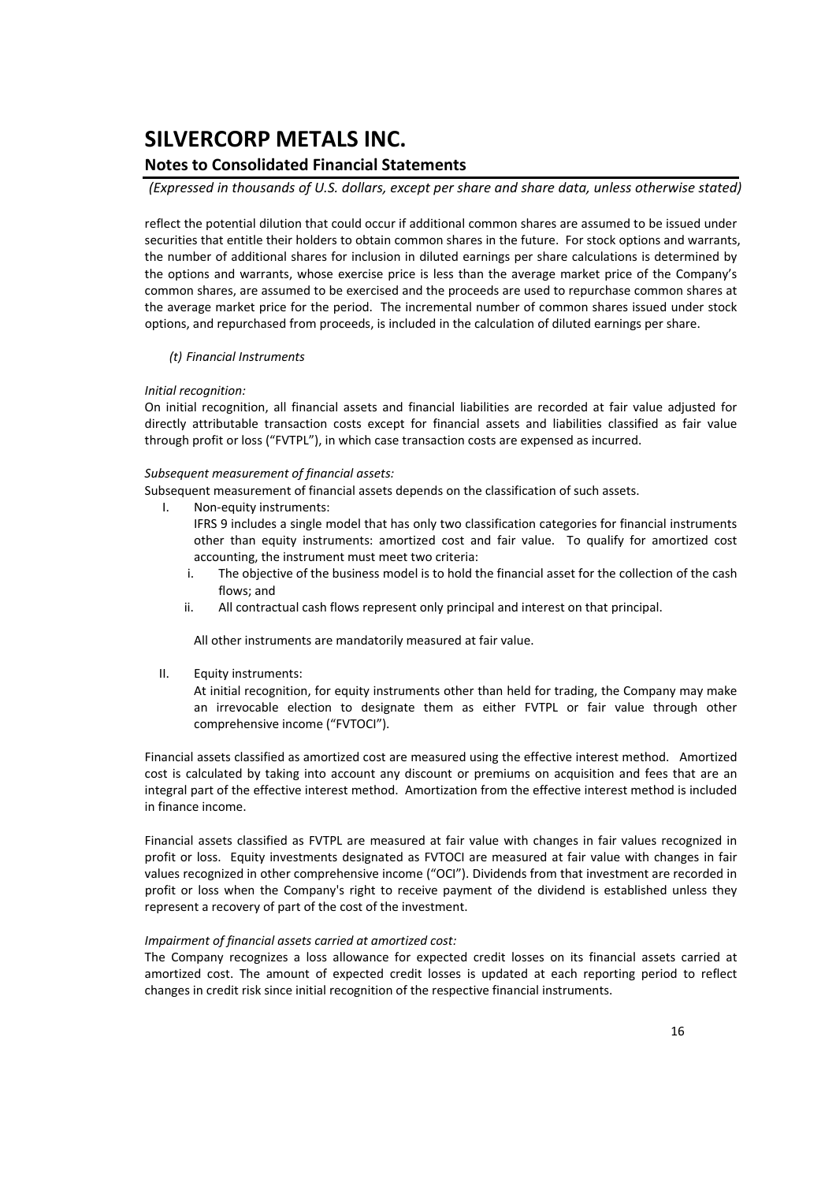### **Notes to Consolidated Financial Statements**

*(Expressed in thousands of U.S. dollars, except per share and share data, unless otherwise stated)*

reflect the potential dilution that could occur if additional common shares are assumed to be issued under securities that entitle their holders to obtain common shares in the future. For stock options and warrants, the number of additional shares for inclusion in diluted earnings per share calculations is determined by the options and warrants, whose exercise price is less than the average market price of the Company's common shares, are assumed to be exercised and the proceeds are used to repurchase common shares at the average market price for the period. The incremental number of common shares issued under stock options, and repurchased from proceeds, is included in the calculation of diluted earnings per share.

#### *(t) Financial Instruments*

#### *Initial recognition:*

On initial recognition, all financial assets and financial liabilities are recorded at fair value adjusted for directly attributable transaction costs except for financial assets and liabilities classified as fair value through profit or loss ("FVTPL"), in which case transaction costs are expensed as incurred.

#### *Subsequent measurement of financial assets:*

Subsequent measurement of financial assets depends on the classification of such assets.

- I. Non‐equity instruments:
	- IFRS 9 includes a single model that has only two classification categories for financial instruments other than equity instruments: amortized cost and fair value. To qualify for amortized cost accounting, the instrument must meet two criteria:
	- i. The objective of the business model is to hold the financial asset for the collection of the cash flows; and
	- ii. All contractual cash flows represent only principal and interest on that principal.

All other instruments are mandatorily measured at fair value.

II. Equity instruments:

At initial recognition, for equity instruments other than held for trading, the Company may make an irrevocable election to designate them as either FVTPL or fair value through other comprehensive income ("FVTOCI").

Financial assets classified as amortized cost are measured using the effective interest method. Amortized cost is calculated by taking into account any discount or premiums on acquisition and fees that are an integral part of the effective interest method. Amortization from the effective interest method is included in finance income.

Financial assets classified as FVTPL are measured at fair value with changes in fair values recognized in profit or loss. Equity investments designated as FVTOCI are measured at fair value with changes in fair values recognized in other comprehensive income ("OCI"). Dividends from that investment are recorded in profit or loss when the Company's right to receive payment of the dividend is established unless they represent a recovery of part of the cost of the investment.

#### *Impairment of financial assets carried at amortized cost:*

The Company recognizes a loss allowance for expected credit losses on its financial assets carried at amortized cost. The amount of expected credit losses is updated at each reporting period to reflect changes in credit risk since initial recognition of the respective financial instruments.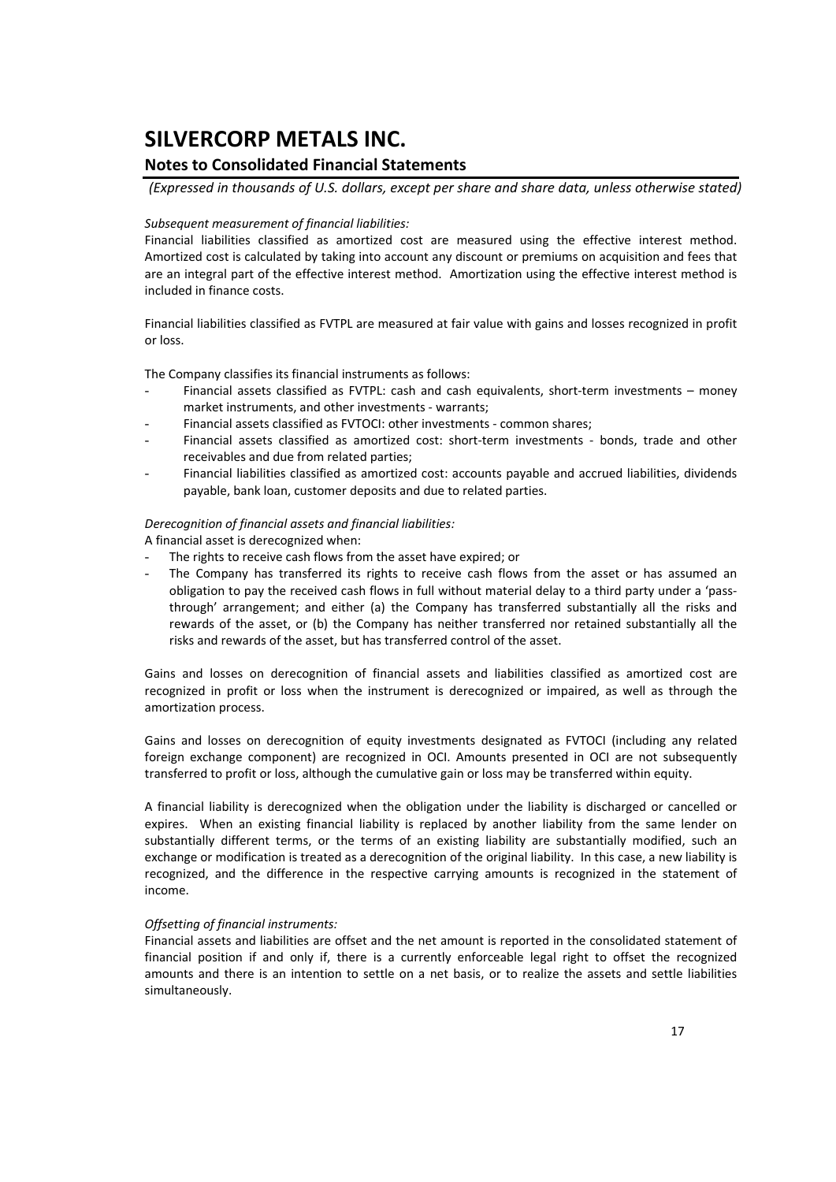### **Notes to Consolidated Financial Statements**

*(Expressed in thousands of U.S. dollars, except per share and share data, unless otherwise stated)*

#### *Subsequent measurement of financial liabilities:*

Financial liabilities classified as amortized cost are measured using the effective interest method. Amortized cost is calculated by taking into account any discount or premiums on acquisition and fees that are an integral part of the effective interest method. Amortization using the effective interest method is included in finance costs.

Financial liabilities classified as FVTPL are measured at fair value with gains and losses recognized in profit or loss.

The Company classifies its financial instruments as follows:

- Financial assets classified as FVTPL: cash and cash equivalents, short-term investments money market instruments, and other investments ‐ warrants;
- Financial assets classified as FVTOCI: other investments common shares;
- Financial assets classified as amortized cost: short-term investments bonds, trade and other receivables and due from related parties;
- Financial liabilities classified as amortized cost: accounts payable and accrued liabilities, dividends payable, bank loan, customer deposits and due to related parties.

#### *Derecognition of financial assets and financial liabilities:*

A financial asset is derecognized when:

- The rights to receive cash flows from the asset have expired; or
- The Company has transferred its rights to receive cash flows from the asset or has assumed an obligation to pay the received cash flows in full without material delay to a third party under a 'pass‐ through' arrangement; and either (a) the Company has transferred substantially all the risks and rewards of the asset, or (b) the Company has neither transferred nor retained substantially all the risks and rewards of the asset, but has transferred control of the asset.

Gains and losses on derecognition of financial assets and liabilities classified as amortized cost are recognized in profit or loss when the instrument is derecognized or impaired, as well as through the amortization process.

Gains and losses on derecognition of equity investments designated as FVTOCI (including any related foreign exchange component) are recognized in OCI. Amounts presented in OCI are not subsequently transferred to profit or loss, although the cumulative gain or loss may be transferred within equity.

A financial liability is derecognized when the obligation under the liability is discharged or cancelled or expires. When an existing financial liability is replaced by another liability from the same lender on substantially different terms, or the terms of an existing liability are substantially modified, such an exchange or modification is treated as a derecognition of the original liability. In this case, a new liability is recognized, and the difference in the respective carrying amounts is recognized in the statement of income.

#### *Offsetting of financial instruments:*

Financial assets and liabilities are offset and the net amount is reported in the consolidated statement of financial position if and only if, there is a currently enforceable legal right to offset the recognized amounts and there is an intention to settle on a net basis, or to realize the assets and settle liabilities simultaneously.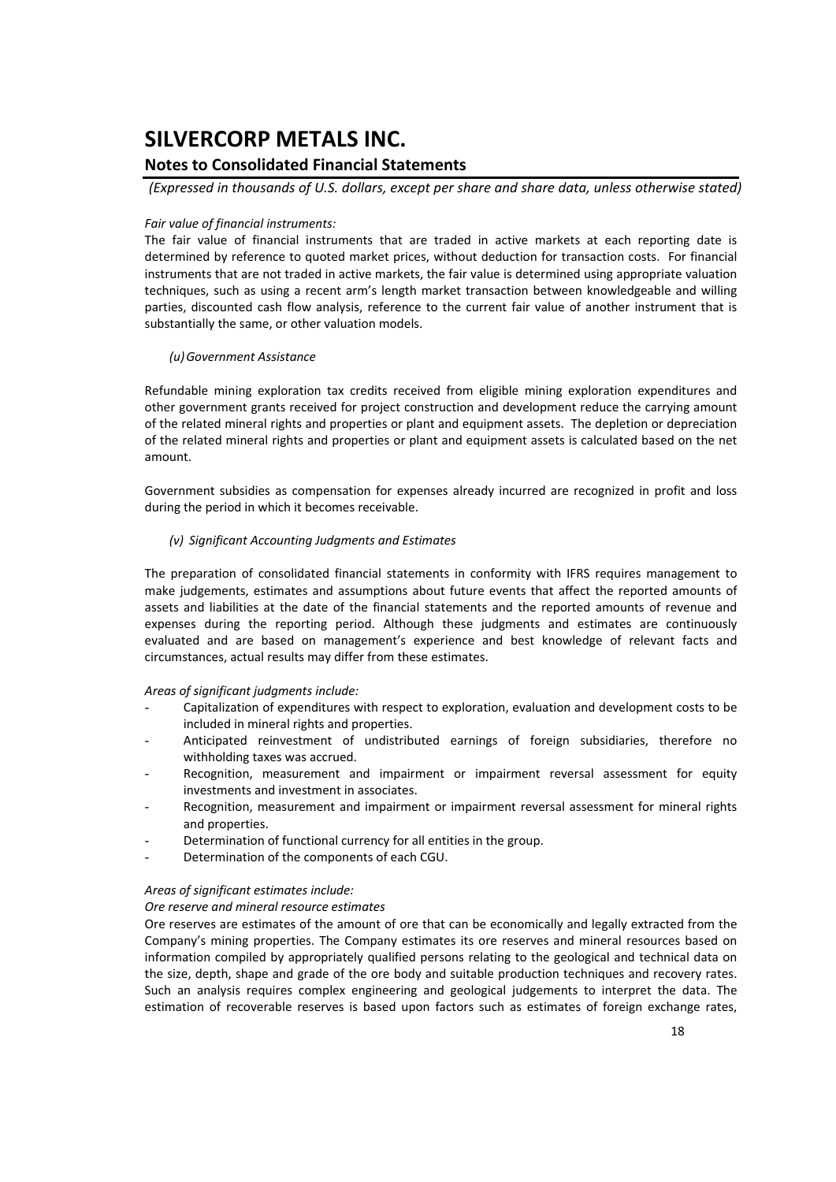*(Expressed in thousands of U.S. dollars, except per share and share data, unless otherwise stated)*

#### *Fair value of financial instruments:*

The fair value of financial instruments that are traded in active markets at each reporting date is determined by reference to quoted market prices, without deduction for transaction costs. For financial instruments that are not traded in active markets, the fair value is determined using appropriate valuation techniques, such as using a recent arm's length market transaction between knowledgeable and willing parties, discounted cash flow analysis, reference to the current fair value of another instrument that is substantially the same, or other valuation models.

#### *(u)Government Assistance*

Refundable mining exploration tax credits received from eligible mining exploration expenditures and other government grants received for project construction and development reduce the carrying amount of the related mineral rights and properties or plant and equipment assets. The depletion or depreciation of the related mineral rights and properties or plant and equipment assets is calculated based on the net amount.

Government subsidies as compensation for expenses already incurred are recognized in profit and loss during the period in which it becomes receivable.

#### *(v) Significant Accounting Judgments and Estimates*

The preparation of consolidated financial statements in conformity with IFRS requires management to make judgements, estimates and assumptions about future events that affect the reported amounts of assets and liabilities at the date of the financial statements and the reported amounts of revenue and expenses during the reporting period. Although these judgments and estimates are continuously evaluated and are based on management's experience and best knowledge of relevant facts and circumstances, actual results may differ from these estimates.

#### *Areas of significant judgments include:*

- Capitalization of expenditures with respect to exploration, evaluation and development costs to be included in mineral rights and properties.
- Anticipated reinvestment of undistributed earnings of foreign subsidiaries, therefore no withholding taxes was accrued.
- Recognition, measurement and impairment or impairment reversal assessment for equity investments and investment in associates.
- Recognition, measurement and impairment or impairment reversal assessment for mineral rights and properties.
- Determination of functional currency for all entities in the group.
- Determination of the components of each CGU.

#### *Areas of significant estimates include:*

#### *Ore reserve and mineral resource estimates*

Ore reserves are estimates of the amount of ore that can be economically and legally extracted from the Company's mining properties. The Company estimates its ore reserves and mineral resources based on information compiled by appropriately qualified persons relating to the geological and technical data on the size, depth, shape and grade of the ore body and suitable production techniques and recovery rates. Such an analysis requires complex engineering and geological judgements to interpret the data. The estimation of recoverable reserves is based upon factors such as estimates of foreign exchange rates,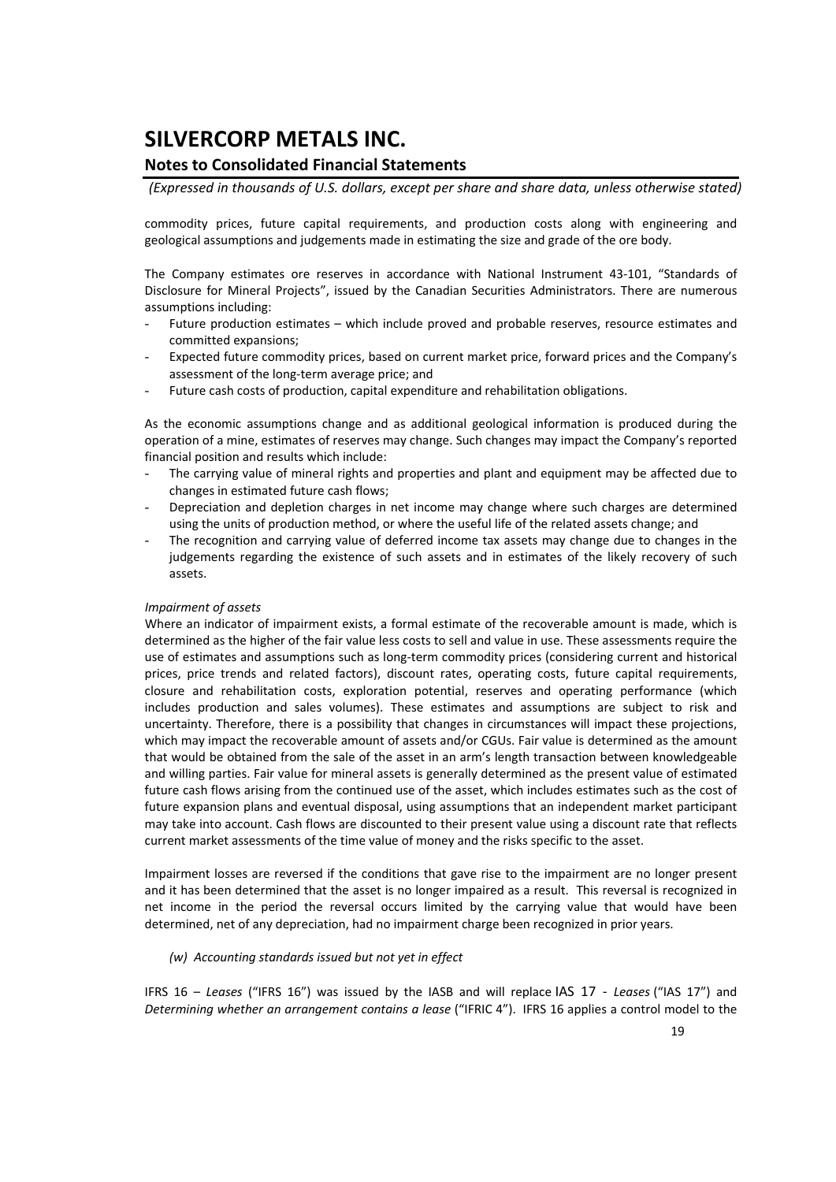### **Notes to Consolidated Financial Statements**

*(Expressed in thousands of U.S. dollars, except per share and share data, unless otherwise stated)*

commodity prices, future capital requirements, and production costs along with engineering and geological assumptions and judgements made in estimating the size and grade of the ore body.

The Company estimates ore reserves in accordance with National Instrument 43‐101, "Standards of Disclosure for Mineral Projects", issued by the Canadian Securities Administrators. There are numerous assumptions including:

- Future production estimates which include proved and probable reserves, resource estimates and committed expansions;
- Expected future commodity prices, based on current market price, forward prices and the Company's assessment of the long‐term average price; and
- Future cash costs of production, capital expenditure and rehabilitation obligations.

As the economic assumptions change and as additional geological information is produced during the operation of a mine, estimates of reserves may change. Such changes may impact the Company's reported financial position and results which include:

- The carrying value of mineral rights and properties and plant and equipment may be affected due to changes in estimated future cash flows;
- Depreciation and depletion charges in net income may change where such charges are determined using the units of production method, or where the useful life of the related assets change; and
- The recognition and carrying value of deferred income tax assets may change due to changes in the judgements regarding the existence of such assets and in estimates of the likely recovery of such assets.

#### *Impairment of assets*

Where an indicator of impairment exists, a formal estimate of the recoverable amount is made, which is determined as the higher of the fair value less costs to sell and value in use. These assessments require the use of estimates and assumptions such as long-term commodity prices (considering current and historical prices, price trends and related factors), discount rates, operating costs, future capital requirements, closure and rehabilitation costs, exploration potential, reserves and operating performance (which includes production and sales volumes). These estimates and assumptions are subject to risk and uncertainty. Therefore, there is a possibility that changes in circumstances will impact these projections, which may impact the recoverable amount of assets and/or CGUs. Fair value is determined as the amount that would be obtained from the sale of the asset in an arm's length transaction between knowledgeable and willing parties. Fair value for mineral assets is generally determined as the present value of estimated future cash flows arising from the continued use of the asset, which includes estimates such as the cost of future expansion plans and eventual disposal, using assumptions that an independent market participant may take into account. Cash flows are discounted to their present value using a discount rate that reflects current market assessments of the time value of money and the risks specific to the asset.

Impairment losses are reversed if the conditions that gave rise to the impairment are no longer present and it has been determined that the asset is no longer impaired as a result. This reversal is recognized in net income in the period the reversal occurs limited by the carrying value that would have been determined, net of any depreciation, had no impairment charge been recognized in prior years.

#### *(w) Accounting standards issued but not yet in effect*

IFRS 16 – *Leases* ("IFRS 16") was issued by the IASB and will replace IAS 17 ‐ *Leases* ("IAS 17") and *Determining whether an arrangement contains a lease* ("IFRIC 4"). IFRS 16 applies a control model to the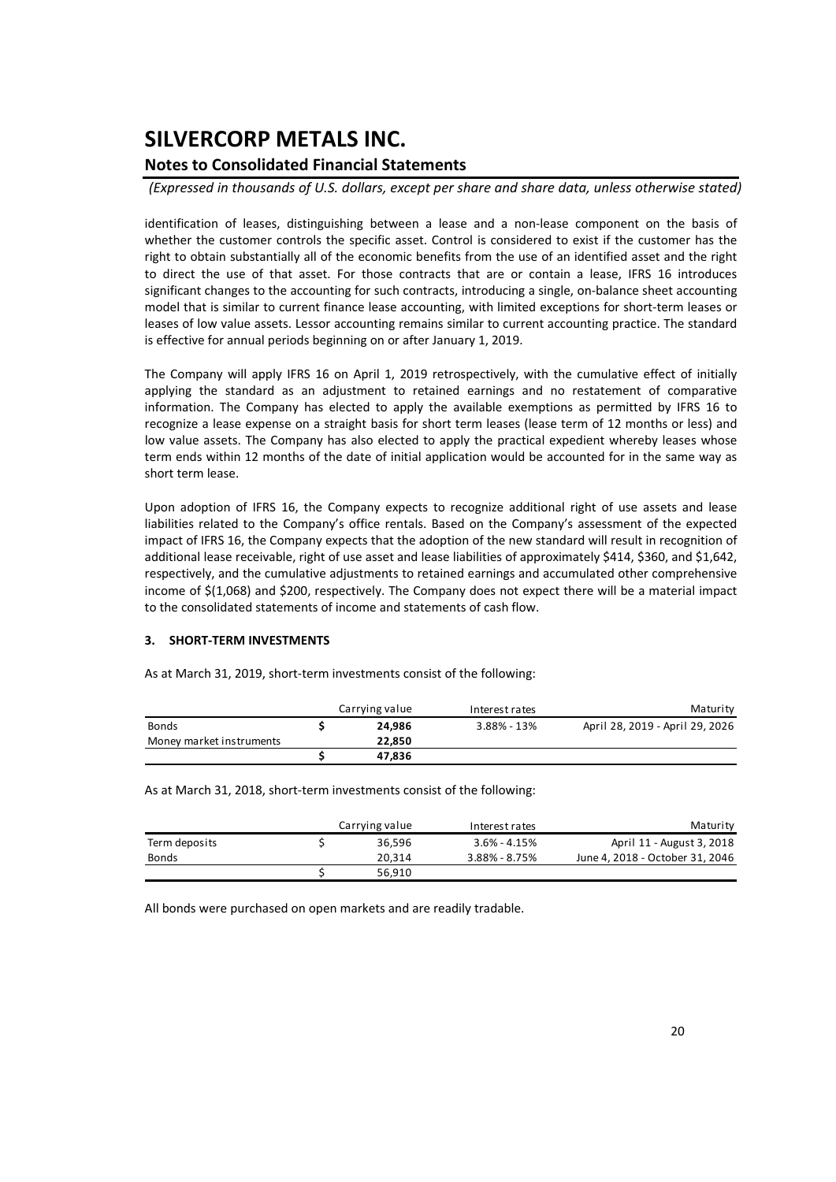*(Expressed in thousands of U.S. dollars, except per share and share data, unless otherwise stated)*

identification of leases, distinguishing between a lease and a non-lease component on the basis of whether the customer controls the specific asset. Control is considered to exist if the customer has the right to obtain substantially all of the economic benefits from the use of an identified asset and the right to direct the use of that asset. For those contracts that are or contain a lease, IFRS 16 introduces significant changes to the accounting for such contracts, introducing a single, on-balance sheet accounting model that is similar to current finance lease accounting, with limited exceptions for short‐term leases or leases of low value assets. Lessor accounting remains similar to current accounting practice. The standard is effective for annual periods beginning on or after January 1, 2019.

The Company will apply IFRS 16 on April 1, 2019 retrospectively, with the cumulative effect of initially applying the standard as an adjustment to retained earnings and no restatement of comparative information. The Company has elected to apply the available exemptions as permitted by IFRS 16 to recognize a lease expense on a straight basis for short term leases (lease term of 12 months or less) and low value assets. The Company has also elected to apply the practical expedient whereby leases whose term ends within 12 months of the date of initial application would be accounted for in the same way as short term lease.

Upon adoption of IFRS 16, the Company expects to recognize additional right of use assets and lease liabilities related to the Company's office rentals. Based on the Company's assessment of the expected impact of IFRS 16, the Company expects that the adoption of the new standard will result in recognition of additional lease receivable, right of use asset and lease liabilities of approximately \$414, \$360, and \$1,642, respectively, and the cumulative adjustments to retained earnings and accumulated other comprehensive income of \$(1,068) and \$200, respectively. The Company does not expect there will be a material impact to the consolidated statements of income and statements of cash flow.

#### **3. SHORT‐TERM INVESTMENTS**

|                          | Carrying value | Interest rates | Maturity                        |
|--------------------------|----------------|----------------|---------------------------------|
| <b>Bonds</b>             | 24.986         | $3.88\%$ - 13% | April 28, 2019 - April 29, 2026 |
| Money market instruments | 22.850         |                |                                 |
|                          | 47.836         |                |                                 |

As at March 31, 2019, short-term investments consist of the following:

As at March 31, 2018, short-term investments consist of the following:

|               | Carrying value | Interest rates    | Maturity                        |
|---------------|----------------|-------------------|---------------------------------|
| Term deposits | 36.596         | $3.6\% - 4.15\%$  | April 11 - August 3, 2018       |
| Bonds         | 20.314         | $3.88\% - 8.75\%$ | June 4, 2018 - October 31, 2046 |
|               | 56.910         |                   |                                 |

All bonds were purchased on open markets and are readily tradable.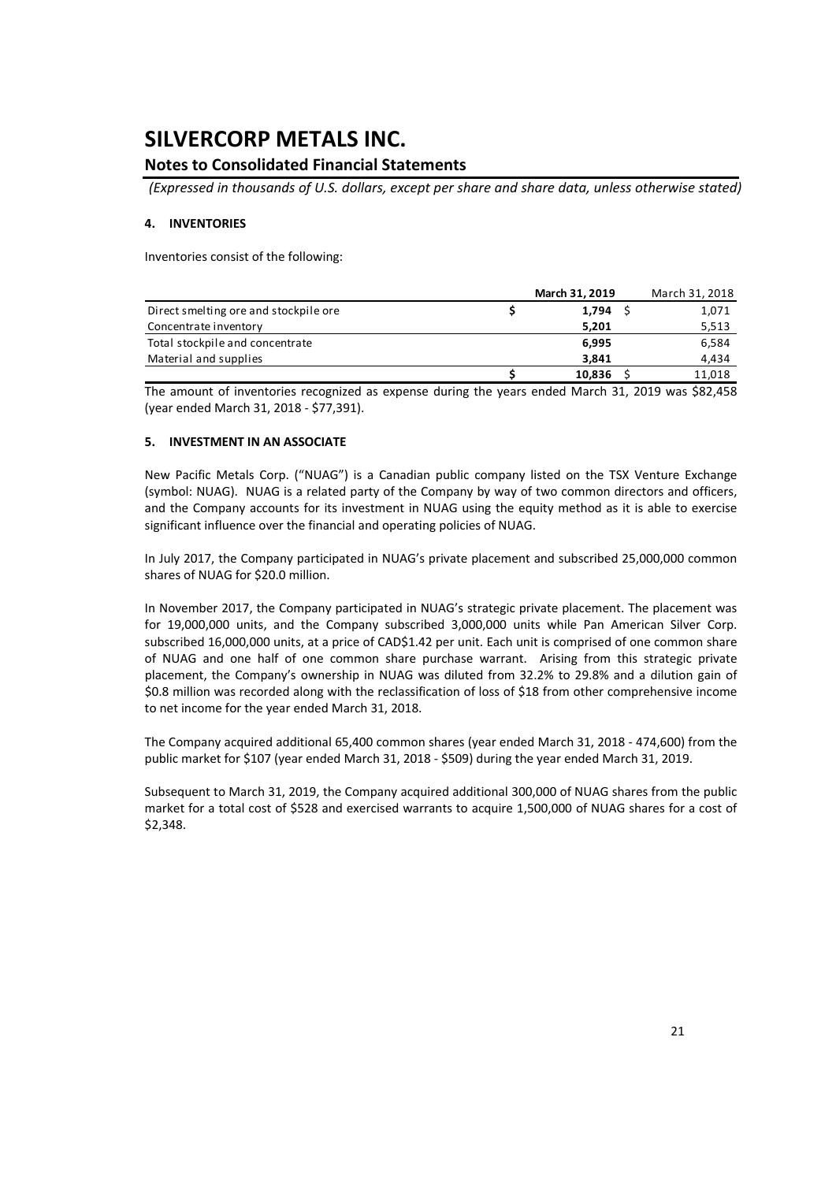*(Expressed in thousands of U.S. dollars, except per share and share data, unless otherwise stated)*

#### **4. INVENTORIES**

Inventories consist of the following:

|                                       | March 31, 2019 | March 31, 2018 |
|---------------------------------------|----------------|----------------|
| Direct smelting ore and stockpile ore | 1.794          | 1,071          |
| Concentrate inventory                 | 5,201          | 5,513          |
| Total stockpile and concentrate       | 6.995          | 6,584          |
| Material and supplies                 | 3.841          | 4,434          |
|                                       | 10.836         | 11,018         |

The amount of inventories recognized as expense during the years ended March 31, 2019 was \$82,458 (year ended March 31, 2018 ‐ \$77,391).

#### **5. INVESTMENT IN AN ASSOCIATE**

New Pacific Metals Corp. ("NUAG") is a Canadian public company listed on the TSX Venture Exchange (symbol: NUAG). NUAG is a related party of the Company by way of two common directors and officers, and the Company accounts for its investment in NUAG using the equity method as it is able to exercise significant influence over the financial and operating policies of NUAG.

In July 2017, the Company participated in NUAG's private placement and subscribed 25,000,000 common shares of NUAG for \$20.0 million.

In November 2017, the Company participated in NUAG's strategic private placement. The placement was for 19,000,000 units, and the Company subscribed 3,000,000 units while Pan American Silver Corp. subscribed 16,000,000 units, at a price of CAD\$1.42 per unit. Each unit is comprised of one common share of NUAG and one half of one common share purchase warrant. Arising from this strategic private placement, the Company's ownership in NUAG was diluted from 32.2% to 29.8% and a dilution gain of \$0.8 million was recorded along with the reclassification of loss of \$18 from other comprehensive income to net income for the year ended March 31, 2018.

The Company acquired additional 65,400 common shares (year ended March 31, 2018 ‐ 474,600) from the public market for \$107 (year ended March 31, 2018 ‐ \$509) during the year ended March 31, 2019.

Subsequent to March 31, 2019, the Company acquired additional 300,000 of NUAG shares from the public market for a total cost of \$528 and exercised warrants to acquire 1,500,000 of NUAG shares for a cost of \$2,348.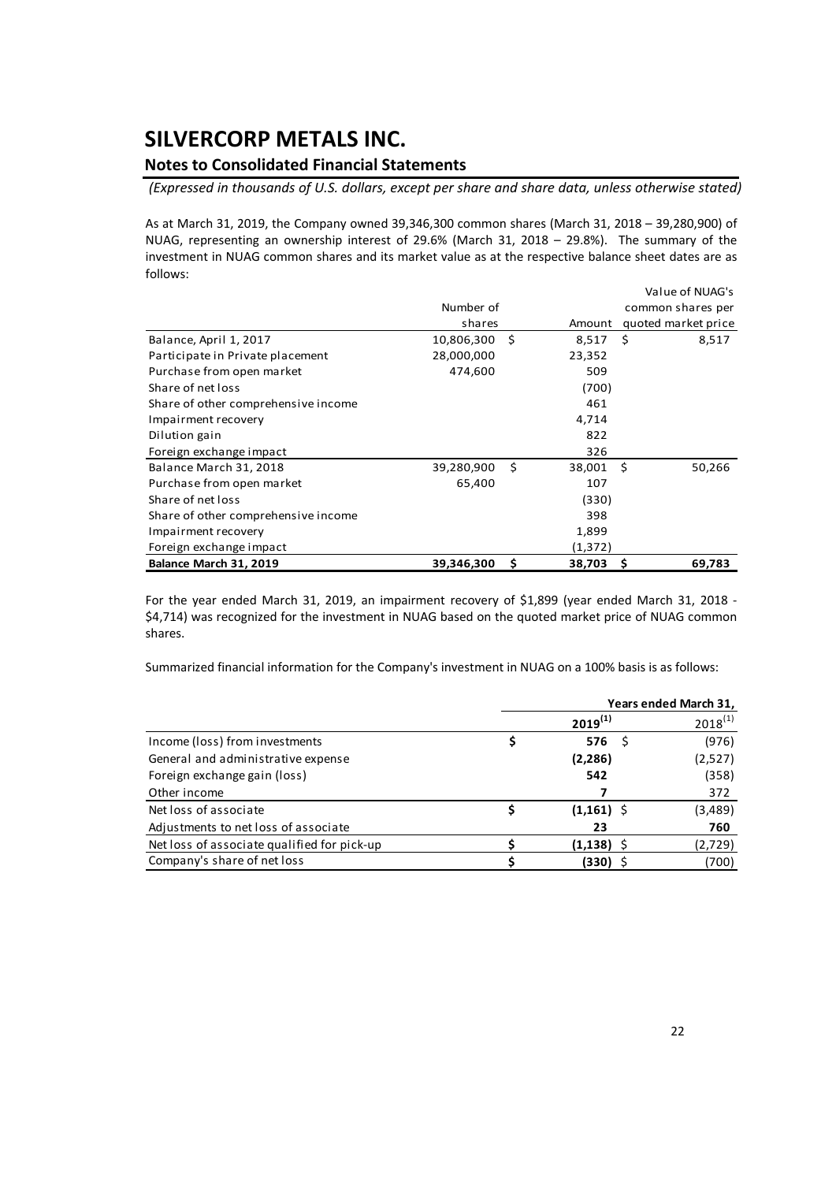### **Notes to Consolidated Financial Statements**

*(Expressed in thousands of U.S. dollars, except per share and share data, unless otherwise stated)*

As at March 31, 2019, the Company owned 39,346,300 common shares (March 31, 2018 – 39,280,900) of NUAG, representing an ownership interest of 29.6% (March 31, 2018 – 29.8%). The summary of the investment in NUAG common shares and its market value as at the respective balance sheet dates are as follows:

|                                     |            |    |         | Value of NUAG's     |
|-------------------------------------|------------|----|---------|---------------------|
|                                     | Number of  |    |         | common shares per   |
|                                     | shares     |    | Amount  | quoted market price |
| Balance, April 1, 2017              | 10,806,300 | Ŝ. | 8,517   | Ś<br>8,517          |
| Participate in Private placement    | 28,000,000 |    | 23,352  |                     |
| Purchase from open market           | 474,600    |    | 509     |                     |
| Share of net loss                   |            |    | (700)   |                     |
| Share of other comprehensive income |            |    | 461     |                     |
| Impairment recovery                 |            |    | 4,714   |                     |
| Dilution gain                       |            |    | 822     |                     |
| Foreign exchange impact             |            |    | 326     |                     |
| Balance March 31, 2018              | 39,280,900 | Ŝ. | 38,001  | - Ś<br>50,266       |
| Purchase from open market           | 65,400     |    | 107     |                     |
| Share of net loss                   |            |    | (330)   |                     |
| Share of other comprehensive income |            |    | 398     |                     |
| Impairment recovery                 |            |    | 1,899   |                     |
| Foreign exchange impact             |            |    | (1,372) |                     |
| Balance March 31, 2019              | 39,346,300 | S  | 38,703  | 69,783<br>S         |

For the year ended March 31, 2019, an impairment recovery of \$1,899 (year ended March 31, 2018 -\$4,714) was recognized for the investment in NUAG based on the quoted market price of NUAG common shares.

Summarized financial information for the Company's investment in NUAG on a 100% basis is as follows:

|                                             |               | Years ended March 31, |
|---------------------------------------------|---------------|-----------------------|
|                                             | $2019^{(1)}$  | $2018^{(1)}$          |
| Income (loss) from investments              | 576 S         | (976)                 |
| General and administrative expense          | (2, 286)      | (2,527)               |
| Foreign exchange gain (loss)                | 542           | (358)                 |
| Other income                                |               | 372                   |
| Net loss of associate                       | $(1,161)$ \$  | (3,489)               |
| Adjustments to net loss of associate        | 23            | 760                   |
| Net loss of associate qualified for pick-up | $(1, 138)$ \$ | (2,729)               |
| Company's share of net loss                 | $(330)$ \$    | (700)                 |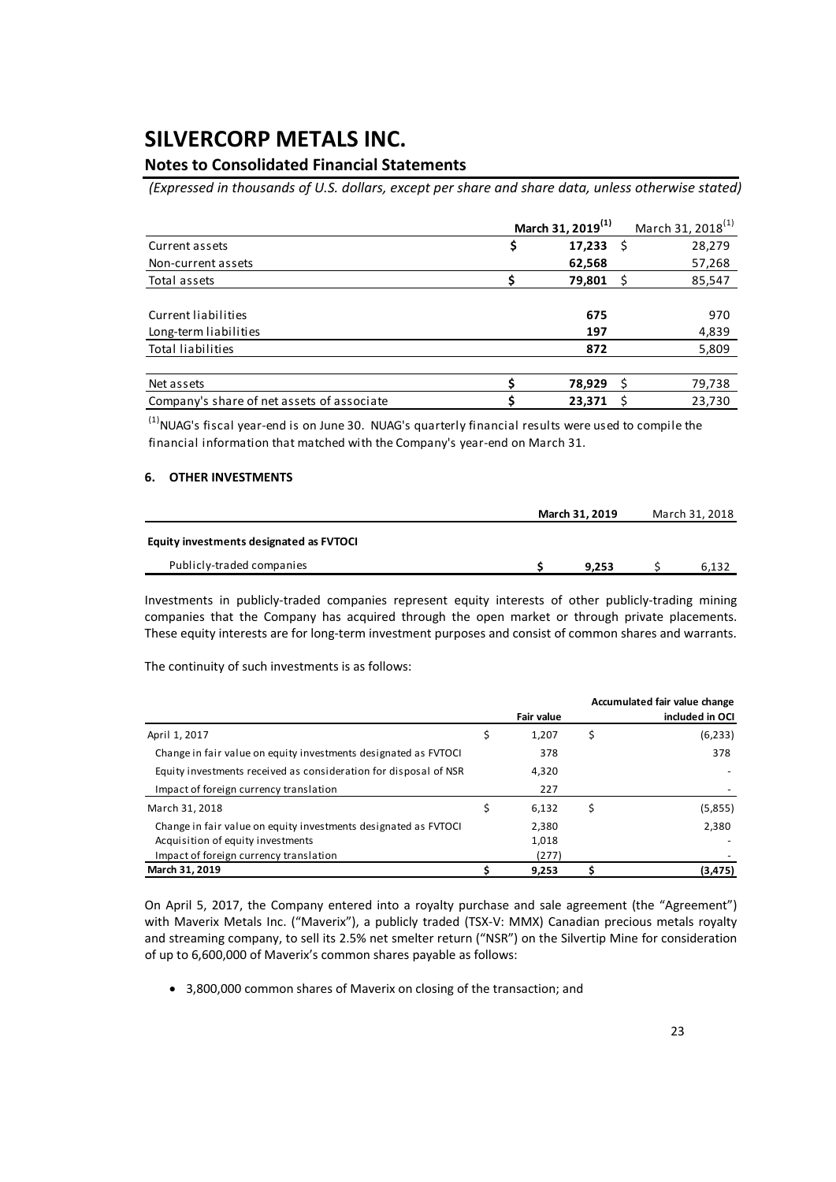### **Notes to Consolidated Financial Statements**

*(Expressed in thousands of U.S. dollars, except per share and share data, unless otherwise stated)*

|                                            | March 31, 2019 <sup>(1)</sup> | March 31, 2018 <sup>(1)</sup> |
|--------------------------------------------|-------------------------------|-------------------------------|
| Current assets                             | \$<br>17,233<br>Ŝ             | 28,279                        |
| Non-current assets                         | 62,568                        | 57,268                        |
| Total assets                               | 79,801<br>S                   | 85,547                        |
|                                            |                               |                               |
| Current liabilities                        | 675                           | 970                           |
| Long-term liabilities                      | 197                           | 4,839                         |
| Total liabilities                          | 872                           | 5,809                         |
|                                            |                               |                               |
| Net assets                                 | 78,929                        | 79,738                        |
| Company's share of net assets of associate | 23,371                        | 23,730                        |

 $<sup>(1)</sup>$ NUAG's fiscal year-end is on June 30. NUAG's quarterly financial results were used to compile the</sup> financial information that matched with the Company's year-end on March 31.

#### **6. OTHER INVESTMENTS**

|                                         | March 31, 2019 | March 31, 2018 |
|-----------------------------------------|----------------|----------------|
| Equity investments designated as FVTOCI |                |                |
| Publicly-traded companies               | 9.253          |                |

Investments in publicly‐traded companies represent equity interests of other publicly‐trading mining companies that the Company has acquired through the open market or through private placements. These equity interests are for long‐term investment purposes and consist of common shares and warrants.

The continuity of such investments is as follows:

|                                                                  |                   | Accumulated fair value change |
|------------------------------------------------------------------|-------------------|-------------------------------|
|                                                                  | <b>Fair value</b> | included in OCI               |
| April 1, 2017                                                    | 1.207             | (6, 233)                      |
| Change in fair value on equity investments designated as FVTOCI  | 378               | 378                           |
| Equity investments received as consideration for disposal of NSR | 4.320             |                               |
| Impact of foreign currency translation                           | 227               |                               |
| March 31, 2018                                                   | 6,132             | (5,855)                       |
| Change in fair value on equity investments designated as FVTOCI  | 2.380             | 2,380                         |
| Acquisition of equity investments                                | 1,018             |                               |
| Impact of foreign currency translation                           | (277)             |                               |
| March 31, 2019                                                   | 9.253             | (3, 475)                      |

On April 5, 2017, the Company entered into a royalty purchase and sale agreement (the "Agreement") with Maverix Metals Inc. ("Maverix"), a publicly traded (TSX-V: MMX) Canadian precious metals royalty and streaming company, to sell its 2.5% net smelter return ("NSR") on the Silvertip Mine for consideration of up to 6,600,000 of Maverix's common shares payable as follows:

3,800,000 common shares of Maverix on closing of the transaction; and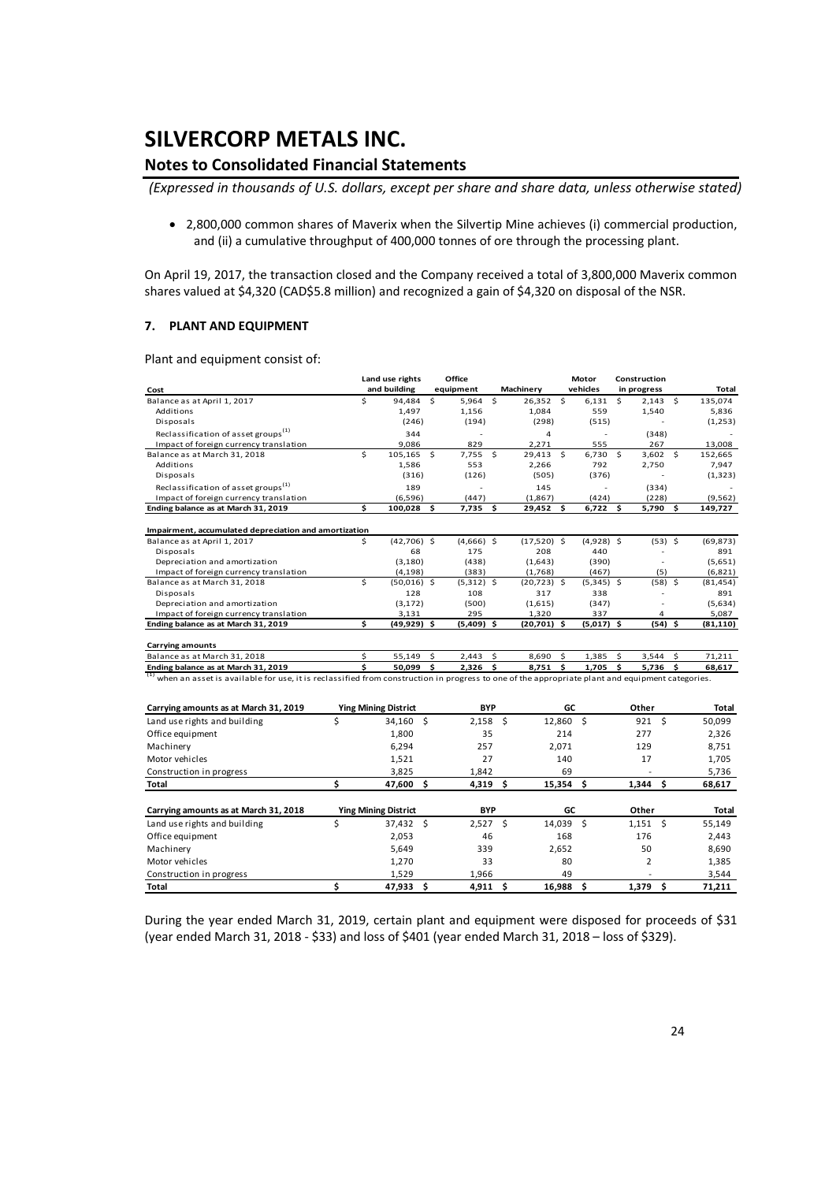### **Notes to Consolidated Financial Statements**

*(Expressed in thousands of U.S. dollars, except per share and share data, unless otherwise stated)*

 2,800,000 common shares of Maverix when the Silvertip Mine achieves (i) commercial production, and (ii) a cumulative throughput of 400,000 tonnes of ore through the processing plant.

On April 19, 2017, the transaction closed and the Company received a total of 3,800,000 Maverix common shares valued at \$4,320 (CAD\$5.8 million) and recognized a gain of \$4,320 on disposal of the NSR.

#### **7. PLANT AND EQUIPMENT**

Plant and equipment consist of:

|                                                                                                                                                                    |     | Land use rights             | Office       |    |                |        | Motor        | Construction     |              |
|--------------------------------------------------------------------------------------------------------------------------------------------------------------------|-----|-----------------------------|--------------|----|----------------|--------|--------------|------------------|--------------|
| Cost                                                                                                                                                               |     | and building                | equipment    |    | Machinery      |        | vehicles     | in progress      | <b>Total</b> |
| Balance as at April 1, 2017                                                                                                                                        | \$  | 94,484                      | \$<br>5,964  | \$ | $26,352$ \$    |        | $6,131$ \$   | $2,143$ \$       | 135,074      |
| Additions                                                                                                                                                          |     | 1,497                       | 1,156        |    | 1,084          |        | 559          | 1,540            | 5,836        |
| Disposals                                                                                                                                                          |     | (246)                       | (194)        |    | (298)          |        | (515)        |                  | (1,253)      |
| Reclassification of asset groups <sup>(1)</sup>                                                                                                                    |     | 344                         |              |    | $\overline{4}$ |        | L,           | (348)            |              |
| Impact of foreign currency translation                                                                                                                             |     | 9,086                       | 829          |    | 2,271          |        | 555          | 267              | 13,008       |
| Balance as at March 31, 2018                                                                                                                                       | \$. | 105.165 \$                  | 7.755 S      |    | 29,413 \$      |        | $6,730$ \$   | $3,602$ \$       | 152.665      |
| Additions                                                                                                                                                          |     | 1,586                       | 553          |    | 2,266          |        | 792          | 2,750            | 7,947        |
| Disposals                                                                                                                                                          |     | (316)                       | (126)        |    | (505)          |        | (376)        |                  | (1, 323)     |
| Reclassification of asset groups <sup>(1)</sup>                                                                                                                    |     | 189                         |              |    | 145            |        |              | (334)            |              |
| Impact of foreign currency translation                                                                                                                             |     | (6, 596)                    | (447)        |    | (1,867)        |        | (424)        | (228)            | (9, 562)     |
| Ending balance as at March 31, 2019                                                                                                                                | \$  | 100,028 \$                  | 7,735 \$     |    | 29,452 \$      |        | $6,722$ \$   | 5,790 \$         | 149,727      |
| Impairment, accumulated depreciation and amortization                                                                                                              |     |                             |              |    |                |        |              |                  |              |
| Balance as at April 1, 2017                                                                                                                                        | \$. | $(42,706)$ \$               | $(4,666)$ \$ |    | $(17,520)$ \$  |        | $(4,928)$ \$ | $(53)$ \$        | (69, 873)    |
| Disposals                                                                                                                                                          |     | 68                          | 175          |    | 208            |        | 440          | L.               | 891          |
| Depreciation and amortization                                                                                                                                      |     | (3, 180)                    | (438)        |    | (1,643)        |        | (390)        | $\overline{a}$   | (5,651)      |
| Impact of foreign currency translation                                                                                                                             |     | (4, 198)                    | (383)        |    | (1,768)        |        | (467)        | (5)              | (6,821)      |
| Balance as at March 31, 2018                                                                                                                                       | \$  | $(50,016)$ \$               | $(5,312)$ \$ |    | $(20, 723)$ \$ |        | $(5,345)$ \$ | $(58)$ \$        | (81, 454)    |
| Disposals                                                                                                                                                          |     | 128                         | 108          |    | 317            |        | 338          |                  | 891          |
| Depreciation and amortization                                                                                                                                      |     | (3, 172)                    | (500)        |    | (1,615)        |        | (347)        |                  | (5,634)      |
| Impact of foreign currency translation                                                                                                                             |     | 3,131                       | 295          |    | 1,320          |        | 337          | 4                | 5,087        |
| Ending balance as at March 31, 2019                                                                                                                                | \$  | $(49, 929)$ \$              | $(5,409)$ \$ |    | $(20,701)$ \$  |        | $(5,017)$ \$ | $(54)$ \$        | (81, 110)    |
| <b>Carrying amounts</b>                                                                                                                                            |     |                             |              |    |                |        |              |                  |              |
| Balance as at March 31, 2018                                                                                                                                       | \$  | 55,149                      | \$<br>2,443  | \$ | 8,690          | \$     | 1,385        | \$<br>3,544      | \$<br>71,211 |
| Ending balance as at March 31, 2019                                                                                                                                | Ś   | 50,099                      | \$<br>2,326  | Ś  | 8,751          | \$     | 1,705        | \$<br>5,736      | \$<br>68,617 |
| $\left(1\right)$<br>when an asset is available for use, it is reclassified from construction in progress to one of the appropriate plant and equipment categories. |     |                             |              |    |                |        |              |                  |              |
| Carrying amounts as at March 31, 2019                                                                                                                              |     | <b>Ying Mining District</b> | <b>BYP</b>   |    |                |        | GC           | Other            | Total        |
| Land use rights and building                                                                                                                                       | Ś   | 34,160 \$                   | 2,158        |    | Ŝ.             | 12,860 | $\mathsf{S}$ | 921 <sub>5</sub> | 50,099       |
| Office equipment                                                                                                                                                   |     | 1,800                       | 35           |    |                | 214    |              | 277              | 2,326        |
| Machinery                                                                                                                                                          |     | 6,294                       | 257          |    |                | 2,071  |              | 129              | 8,751        |
| Motor vehicles                                                                                                                                                     |     | 1,521                       | 27           |    |                | 140    |              | 17               | 1,705        |
| Construction in progress                                                                                                                                           |     | 3,825                       | 1.842        |    |                | 69     |              |                  | 5,736        |
| <b>Total</b>                                                                                                                                                       | \$  | Ŝ.<br>47,600                | $4,319$ \$   |    |                |        | $15,354$ \$  | $1,344$ \$       | 68,617       |
|                                                                                                                                                                    |     |                             |              |    |                |        |              |                  |              |
|                                                                                                                                                                    |     |                             |              |    |                |        |              |                  |              |

| Carrying amounts as at March 31, 2018 | <b>Ying Mining District</b> | <b>BYP</b> | GC     | Other | <b>Total</b> |
|---------------------------------------|-----------------------------|------------|--------|-------|--------------|
| Land use rights and building          | 37.432                      | 2.527      | 14.039 | 1.151 | 55,149       |
| Office equipment                      | 2,053                       | 46         | 168    | 176   | 2,443        |
| Machinery                             | 5.649                       | 339        | 2.652  | 50    | 8,690        |
| Motor vehicles                        | 1,270                       | 33         | 80     |       | 1,385        |
| Construction in progress              | 1.529                       | 1.966      | 49     |       | 3,544        |
| <b>Total</b>                          | 47.933                      | 4.911      | 16.988 | 1.379 | 71.211       |

During the year ended March 31, 2019, certain plant and equipment were disposed for proceeds of \$31 (year ended March 31, 2018 ‐ \$33) and loss of \$401 (year ended March 31, 2018 – loss of \$329).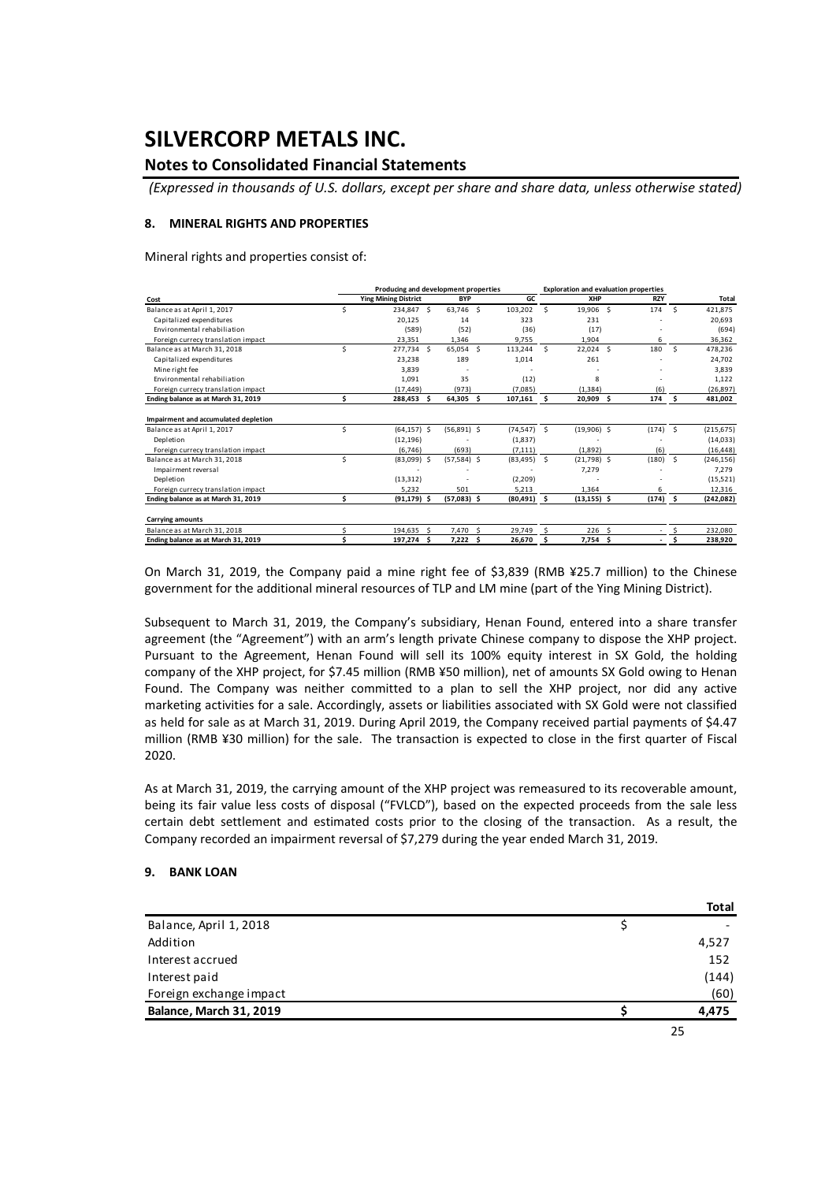*(Expressed in thousands of U.S. dollars, except per share and share data, unless otherwise stated)*

#### **8. MINERAL RIGHTS AND PROPERTIES**

Mineral rights and properties consist of:

|                                      |    | Producing and development properties |               |    |           |     | <b>Exploration and evaluation properties</b> |    |            |      |            |
|--------------------------------------|----|--------------------------------------|---------------|----|-----------|-----|----------------------------------------------|----|------------|------|------------|
| Cost                                 |    | <b>Ying Mining District</b>          | <b>BYP</b>    |    | GC        |     | XHP                                          |    | <b>RZY</b> |      | Total      |
| Balance as at April 1, 2017          | Ś  | 234.847 \$                           | 63.746 \$     |    | 103.202   | Š.  | 19,906 \$                                    |    | 174        | Š.   | 421,875    |
| Capitalized expenditures             |    | 20,125                               | 14            |    | 323       |     | 231                                          |    |            |      | 20,693     |
| Environmental rehabiliation          |    | (589)                                | (52)          |    | (36)      |     | (17)                                         |    |            |      | (694)      |
| Foreign currecy translation impact   |    | 23.351                               | 1.346         |    | 9.755     |     | 1.904                                        |    | 6          |      | 36,362     |
| Balance as at March 31, 2018         | Ś  | 277,734 \$                           | 65.054        | Ŝ. | 113,244   | Ŝ.  | 22.024 S                                     |    | 180        | Ŝ    | 478,236    |
| Capitalized expenditures             |    | 23,238                               | 189           |    | 1,014     |     | 261                                          |    |            |      | 24,702     |
| Mine right fee                       |    | 3.839                                |               |    |           |     |                                              |    |            |      | 3.839      |
| Environmental rehabiliation          |    | 1,091                                | 35            |    | (12)      |     | 8                                            |    |            |      | 1,122      |
| Foreign currecy translation impact   |    | (17, 449)                            | (973)         |    | (7,085)   |     | (1, 384)                                     |    | (6)        |      | (26, 897)  |
| Ending balance as at March 31, 2019  | Ś. | 288,453 \$                           | 64,305        | Ŝ  | 107,161   | \$. | 20,909                                       | Ŝ. | 174        | Ŝ    | 481,002    |
| Impairment and accumulated depletion |    |                                      |               |    |           |     |                                              |    |            |      |            |
| Balance as at April 1, 2017          |    | $(64, 157)$ \$                       | $(56,891)$ \$ |    | (74, 547) | Ŝ   | $(19,906)$ \$                                |    | (174)      | - \$ | (215, 675) |
| Depletion                            |    | (12, 196)                            |               |    | (1,837)   |     |                                              |    |            |      | (14, 033)  |
| Foreign currecy translation impact   |    | (6.746)                              | (693)         |    | (7.111)   |     | (1.892)                                      |    | (6)        |      | (16, 448)  |
| Balance as at March 31, 2018         | Ś  | $(83,099)$ \$                        | $(57,584)$ \$ |    | (83, 495) | -S  | $(21,798)$ \$                                |    | (180)      | s.   | (246, 156) |
| Impairment reversal                  |    |                                      |               |    |           |     | 7,279                                        |    |            |      | 7,279      |
| Depletion                            |    | (13, 312)                            |               |    | (2, 209)  |     |                                              |    |            |      | (15, 521)  |
| Foreign currecy translation impact   |    | 5.232                                | 501           |    | 5,213     |     | 1,364                                        |    | 6          |      | 12,316     |
| Ending balance as at March 31, 2019  |    | $(91, 179)$ \$                       | $(57,083)$ \$ |    | (80,491)  | -S  | $(13, 155)$ \$                               |    | (174)      | - S  | (242, 082) |
| <b>Carrying amounts</b>              |    |                                      |               |    |           |     |                                              |    |            |      |            |
| Balance as at March 31, 2018         |    | 194,635 \$                           | 7,470         | -Ś | 29,749    | S.  | 226                                          | Ŝ  |            |      | 232,080    |
| Ending balance as at March 31, 2019  |    | 197,274 \$                           | $7,222$ \$    |    | 26,670    | Ŝ   | $7,754$ \$                                   |    |            |      | 238,920    |

On March 31, 2019, the Company paid a mine right fee of \$3,839 (RMB ¥25.7 million) to the Chinese government for the additional mineral resources of TLP and LM mine (part of the Ying Mining District).

Subsequent to March 31, 2019, the Company's subsidiary, Henan Found, entered into a share transfer agreement (the "Agreement") with an arm's length private Chinese company to dispose the XHP project. Pursuant to the Agreement, Henan Found will sell its 100% equity interest in SX Gold, the holding company of the XHP project, for \$7.45 million (RMB ¥50 million), net of amounts SX Gold owing to Henan Found. The Company was neither committed to a plan to sell the XHP project, nor did any active marketing activities for a sale. Accordingly, assets or liabilities associated with SX Gold were not classified as held for sale as at March 31, 2019. During April 2019, the Company received partial payments of \$4.47 million (RMB ¥30 million) for the sale. The transaction is expected to close in the first quarter of Fiscal 2020.

As at March 31, 2019, the carrying amount of the XHP project was remeasured to its recoverable amount, being its fair value less costs of disposal ("FVLCD"), based on the expected proceeds from the sale less certain debt settlement and estimated costs prior to the closing of the transaction. As a result, the Company recorded an impairment reversal of \$7,279 during the year ended March 31, 2019.

#### **9. BANK LOAN**

|                         | <b>Total</b> |
|-------------------------|--------------|
| Balance, April 1, 2018  |              |
| Addition                | 4,527        |
| Interest accrued        | 152          |
| Interest paid           | (144)        |
| Foreign exchange impact | (60)         |
| Balance, March 31, 2019 | 4,475        |
|                         | 25           |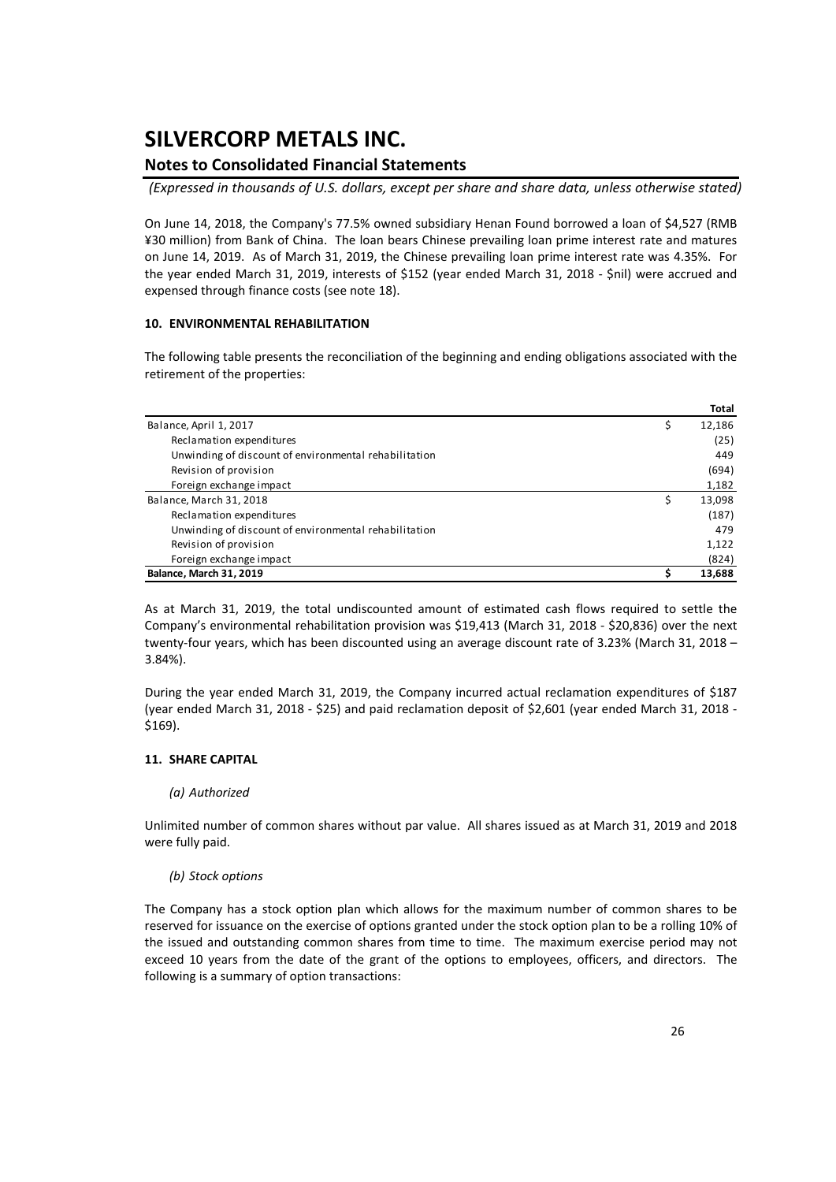### **Notes to Consolidated Financial Statements**

*(Expressed in thousands of U.S. dollars, except per share and share data, unless otherwise stated)*

On June 14, 2018, the Company's 77.5% owned subsidiary Henan Found borrowed a loan of \$4,527 (RMB ¥30 million) from Bank of China. The loan bears Chinese prevailing loan prime interest rate and matures on June 14, 2019. As of March 31, 2019, the Chinese prevailing loan prime interest rate was 4.35%. For the year ended March 31, 2019, interests of \$152 (year ended March 31, 2018 - \$nil) were accrued and expensed through finance costs (see note 18).

#### **10. ENVIRONMENTAL REHABILITATION**

The following table presents the reconciliation of the beginning and ending obligations associated with the retirement of the properties:

|                                                       | Total        |
|-------------------------------------------------------|--------------|
| Balance, April 1, 2017                                | \$<br>12,186 |
| Reclamation expenditures                              | (25)         |
| Unwinding of discount of environmental rehabilitation | 449          |
| Revision of provision                                 | (694)        |
| Foreign exchange impact                               | 1,182        |
| Balance, March 31, 2018                               | \$<br>13,098 |
| Reclamation expenditures                              | (187)        |
| Unwinding of discount of environmental rehabilitation | 479          |
| Revision of provision                                 | 1,122        |
| Foreign exchange impact                               | (824)        |
| <b>Balance, March 31, 2019</b>                        | 13,688       |

As at March 31, 2019, the total undiscounted amount of estimated cash flows required to settle the Company's environmental rehabilitation provision was \$19,413 (March 31, 2018 ‐ \$20,836) over the next twenty-four years, which has been discounted using an average discount rate of 3.23% (March 31, 2018 – 3.84%).

During the year ended March 31, 2019, the Company incurred actual reclamation expenditures of \$187 (year ended March 31, 2018 ‐ \$25) and paid reclamation deposit of \$2,601 (year ended March 31, 2018 ‐ \$169).

#### **11. SHARE CAPITAL**

#### *(a) Authorized*

Unlimited number of common shares without par value. All shares issued as at March 31, 2019 and 2018 were fully paid.

#### *(b) Stock options*

The Company has a stock option plan which allows for the maximum number of common shares to be reserved for issuance on the exercise of options granted under the stock option plan to be a rolling 10% of the issued and outstanding common shares from time to time. The maximum exercise period may not exceed 10 years from the date of the grant of the options to employees, officers, and directors. The following is a summary of option transactions: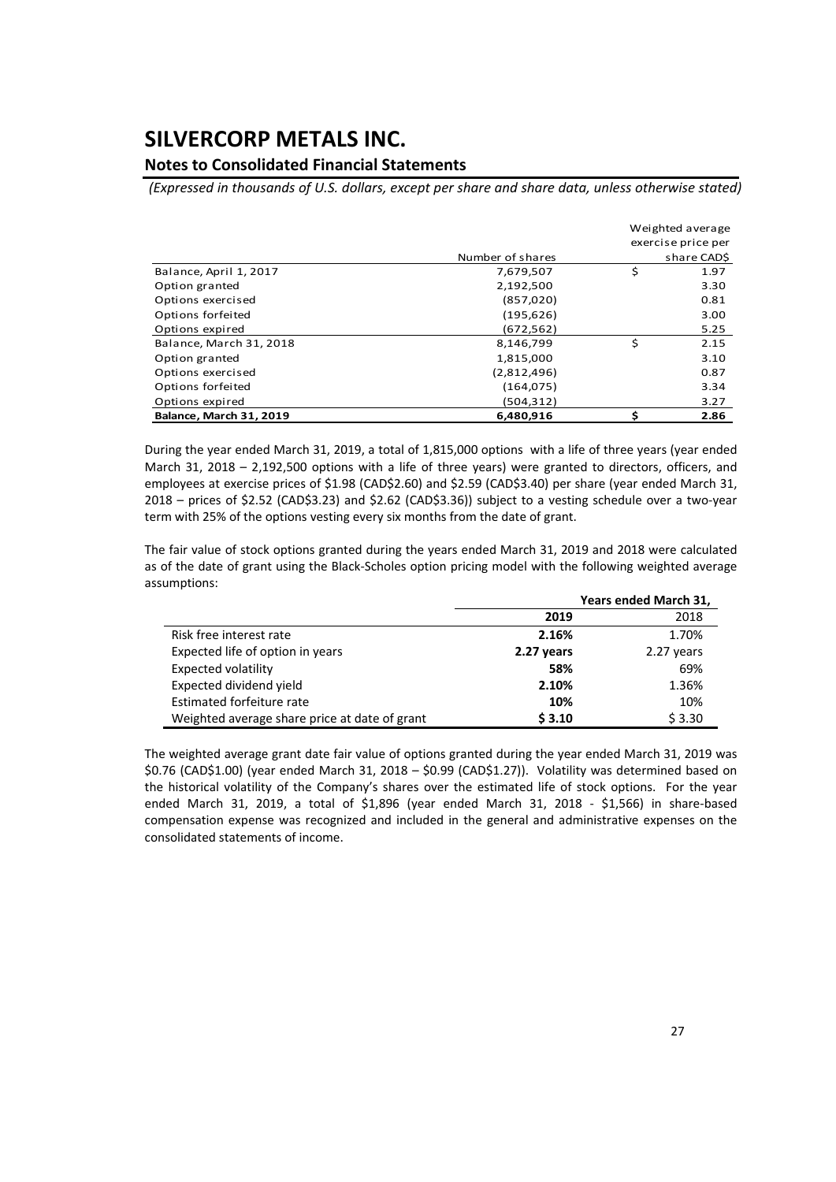*(Expressed in thousands of U.S. dollars, except per share and share data, unless otherwise stated)*

|                                |                  |    | Weighted average   |
|--------------------------------|------------------|----|--------------------|
|                                |                  |    | exercise price per |
|                                | Number of shares |    | share CAD\$        |
| Balance, April 1, 2017         | 7,679,507        | \$ | 1.97               |
| Option granted                 | 2,192,500        |    | 3.30               |
| Options exercised              | (857,020)        |    | 0.81               |
| Options forfeited              | (195, 626)       |    | 3.00               |
| Options expired                | (672,562)        |    | 5.25               |
| Balance, March 31, 2018        | 8,146,799        | \$ | 2.15               |
| Option granted                 | 1,815,000        |    | 3.10               |
| Options exercised              | (2,812,496)      |    | 0.87               |
| Options forfeited              | (164, 075)       |    | 3.34               |
| Options expired                | (504, 312)       |    | 3.27               |
| <b>Balance, March 31, 2019</b> | 6,480,916        | Ś  | 2.86               |

During the year ended March 31, 2019, a total of 1,815,000 options with a life of three years (year ended March 31, 2018 – 2,192,500 options with a life of three years) were granted to directors, officers, and employees at exercise prices of \$1.98 (CAD\$2.60) and \$2.59 (CAD\$3.40) per share (year ended March 31, 2018 – prices of \$2.52 (CAD\$3.23) and \$2.62 (CAD\$3.36)) subject to a vesting schedule over a two‐year term with 25% of the options vesting every six months from the date of grant.

The fair value of stock options granted during the years ended March 31, 2019 and 2018 were calculated as of the date of grant using the Black‐Scholes option pricing model with the following weighted average assumptions:

|                                               |            | Years ended March 31, |
|-----------------------------------------------|------------|-----------------------|
|                                               | 2019       | 2018                  |
| Risk free interest rate                       | 2.16%      | 1.70%                 |
| Expected life of option in years              | 2.27 years | 2.27 years            |
| Expected volatility                           | 58%        | 69%                   |
| Expected dividend yield                       | 2.10%      | 1.36%                 |
| Estimated forfeiture rate                     | 10%        | 10%                   |
| Weighted average share price at date of grant | \$3.10     | \$3.30                |

The weighted average grant date fair value of options granted during the year ended March 31, 2019 was \$0.76 (CAD\$1.00) (year ended March 31, 2018 – \$0.99 (CAD\$1.27)). Volatility was determined based on the historical volatility of the Company's shares over the estimated life of stock options. For the year ended March 31, 2019, a total of \$1,896 (year ended March 31, 2018 - \$1,566) in share-based compensation expense was recognized and included in the general and administrative expenses on the consolidated statements of income.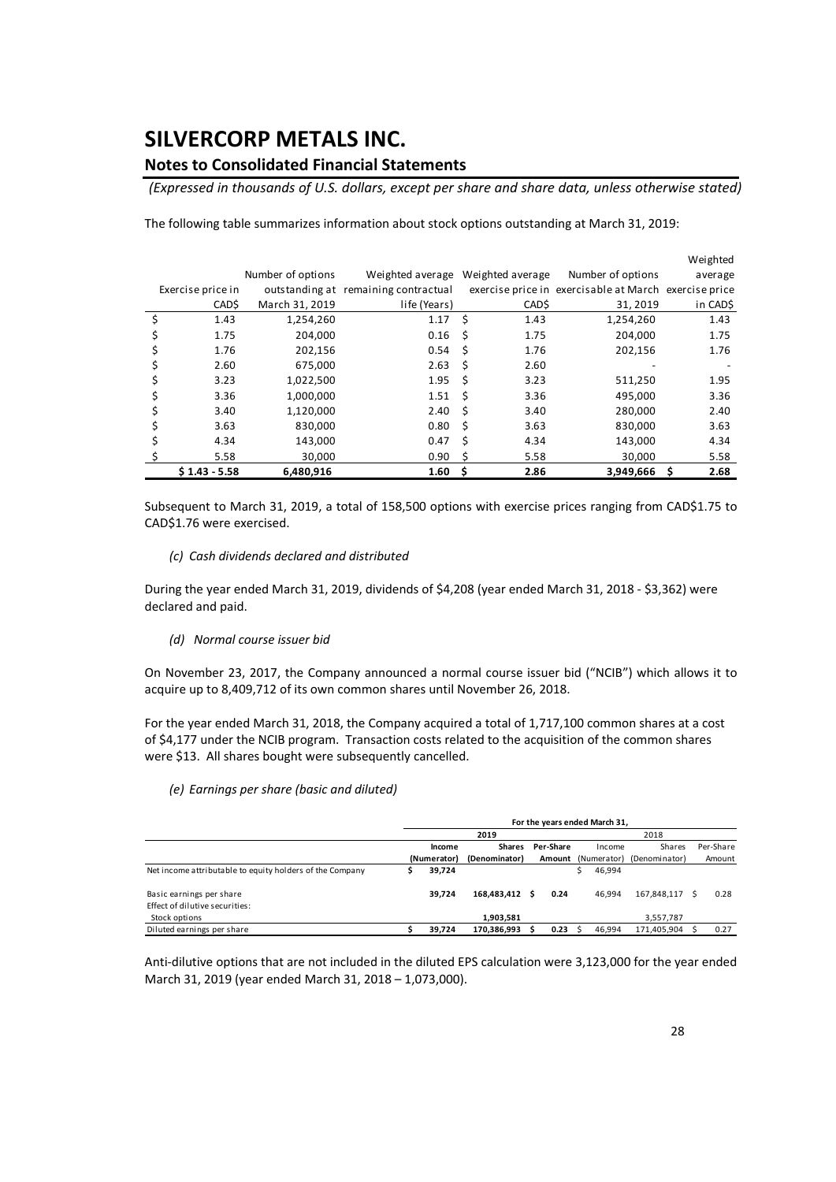*(Expressed in thousands of U.S. dollars, except per share and share data, unless otherwise stated)*

The following table summarizes information about stock options outstanding at March 31, 2019:

|    |                   |                   |                                      |     |                  |                                                       |     | Weighted |
|----|-------------------|-------------------|--------------------------------------|-----|------------------|-------------------------------------------------------|-----|----------|
|    |                   | Number of options | Weighted average                     |     | Weighted average | Number of options                                     |     | average  |
|    | Exercise price in |                   | outstanding at remaining contractual |     |                  | exercise price in exercisable at March exercise price |     |          |
|    | CAD\$             | March 31, 2019    | life (Years)                         |     | CAD\$            | 31, 2019                                              |     | in CAD\$ |
| Ś  | 1.43              | 1,254,260         | 1.17                                 | \$  | 1.43             | 1,254,260                                             |     | 1.43     |
| \$ | 1.75              | 204,000           | 0.16                                 | Ś.  | 1.75             | 204,000                                               |     | 1.75     |
|    | 1.76              | 202,156           | 0.54                                 | Ś.  | 1.76             | 202,156                                               |     | 1.76     |
| \$ | 2.60              | 675,000           | 2.63                                 | Ś.  | 2.60             |                                                       |     |          |
|    | 3.23              | 1,022,500         | 1.95                                 | Ś.  | 3.23             | 511,250                                               |     | 1.95     |
|    | 3.36              | 1,000,000         | 1.51                                 | S   | 3.36             | 495,000                                               |     | 3.36     |
|    | 3.40              | 1,120,000         | 2.40                                 | Ś.  | 3.40             | 280,000                                               |     | 2.40     |
|    | 3.63              | 830,000           | 0.80                                 | \$  | 3.63             | 830,000                                               |     | 3.63     |
|    | 4.34              | 143,000           | 0.47                                 | \$  | 4.34             | 143,000                                               |     | 4.34     |
|    | 5.58              | 30,000            | 0.90                                 | \$  | 5.58             | 30,000                                                |     | 5.58     |
|    | $$1.43 - 5.58$    | 6,480,916         | 1.60                                 | \$. | 2.86             | 3,949,666                                             | \$. | 2.68     |

Subsequent to March 31, 2019, a total of 158,500 options with exercise prices ranging from CAD\$1.75 to CAD\$1.76 were exercised.

*(c) Cash dividends declared and distributed*

During the year ended March 31, 2019, dividends of \$4,208 (year ended March 31, 2018 ‐ \$3,362) were declared and paid.

*(d) Normal course issuer bid*

On November 23, 2017, the Company announced a normal course issuer bid ("NCIB") which allows it to acquire up to 8,409,712 of its own common shares until November 26, 2018.

For the year ended March 31, 2018, the Company acquired a total of 1,717,100 common shares at a cost of \$4,177 under the NCIB program. Transaction costs related to the acquisition of the common shares were \$13. All shares bought were subsequently cancelled.

*(e) Earnings per share (basic and diluted)* 

|                                                            | For the years ended March 31, |             |               |   |           |             |               |        |           |
|------------------------------------------------------------|-------------------------------|-------------|---------------|---|-----------|-------------|---------------|--------|-----------|
|                                                            |                               |             | 2019          |   |           |             | 2018          |        |           |
|                                                            | Income                        |             | <b>Shares</b> |   | Per-Share | Income      | Shares        |        | Per-Share |
|                                                            |                               | (Numerator) | (Denominator) |   | Amount    | (Numerator) | (Denominator) | Amount |           |
| Net income attributable to equity holders of the Company   |                               | 39,724      |               |   |           | 46,994      |               |        |           |
| Basic earnings per share<br>Effect of dilutive securities: |                               | 39.724      | 168,483,412   | s | 0.24      | 46.994      | 167.848.117   |        | 0.28      |
| Stock options                                              |                               |             | 1,903,581     |   |           |             | 3,557,787     |        |           |
| Diluted earnings per share                                 |                               | 39.724      | 170.386.993   |   | 0.23      | 46.994      | 171.405.904   |        | 0.27      |

Anti-dilutive options that are not included in the diluted EPS calculation were 3,123,000 for the year ended March 31, 2019 (year ended March 31, 2018 – 1,073,000).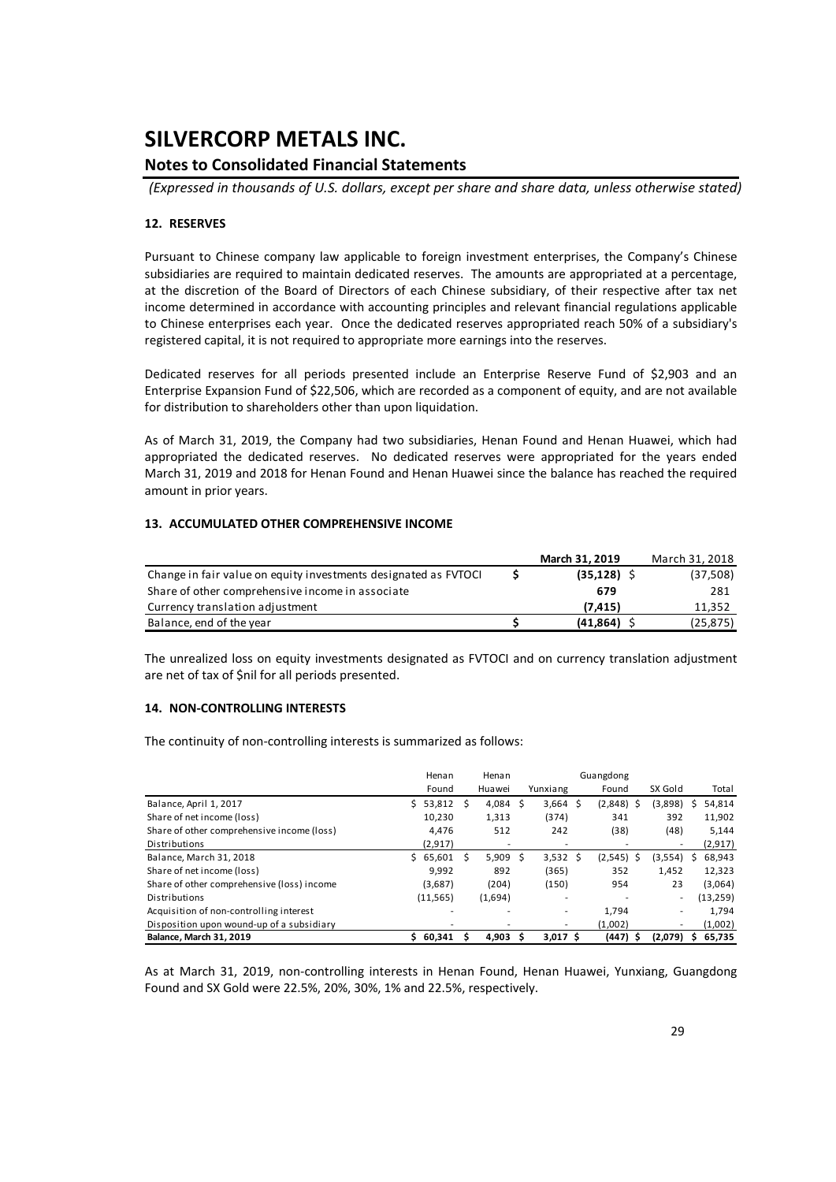*(Expressed in thousands of U.S. dollars, except per share and share data, unless otherwise stated)*

#### **12. RESERVES**

Pursuant to Chinese company law applicable to foreign investment enterprises, the Company's Chinese subsidiaries are required to maintain dedicated reserves. The amounts are appropriated at a percentage, at the discretion of the Board of Directors of each Chinese subsidiary, of their respective after tax net income determined in accordance with accounting principles and relevant financial regulations applicable to Chinese enterprises each year. Once the dedicated reserves appropriated reach 50% of a subsidiary's registered capital, it is not required to appropriate more earnings into the reserves.

Dedicated reserves for all periods presented include an Enterprise Reserve Fund of \$2,903 and an Enterprise Expansion Fund of \$22,506, which are recorded as a component of equity, and are not available for distribution to shareholders other than upon liquidation.

As of March 31, 2019, the Company had two subsidiaries, Henan Found and Henan Huawei, which had appropriated the dedicated reserves. No dedicated reserves were appropriated for the years ended March 31, 2019 and 2018 for Henan Found and Henan Huawei since the balance has reached the required amount in prior years.

#### **13. ACCUMULATED OTHER COMPREHENSIVE INCOME**

|                                                                 | March 31, 2019 | March 31, 2018 |
|-----------------------------------------------------------------|----------------|----------------|
| Change in fair value on equity investments designated as FVTOCI | $(35, 128)$ \$ | (37,508)       |
| Share of other comprehensive income in associate                | 679            | 281            |
| Currency translation adjustment                                 | (7.415)        | 11.352         |
| Balance, end of the year                                        | (41.864)       | (25, 875)      |

The unrealized loss on equity investments designated as FVTOCI and on currency translation adjustment are net of tax of \$nil for all periods presented.

#### **14. NON‐CONTROLLING INTERESTS**

The continuity of non-controlling interests is summarized as follows:

|                                            |    | Henan     |   | Henan   |    |            | Guangdong    |               |    |           |
|--------------------------------------------|----|-----------|---|---------|----|------------|--------------|---------------|----|-----------|
|                                            |    | Found     |   | Huawei  |    | Yunxiang   | Found        | SX Gold       |    | Total     |
| Balance, April 1, 2017                     | Ś. | 53,812 \$ |   | 4,084   | S. | $3.664$ \$ | $(2,848)$ \$ | (3,898)       | S  | 54,814    |
| Share of net income (loss)                 |    | 10,230    |   | 1,313   |    | (374)      | 341          | 392           |    | 11,902    |
| Share of other comprehensive income (loss) |    | 4,476     |   | 512     |    | 242        | (38)         | (48)          |    | 5,144     |
| Distributions                              |    | (2,917)   |   |         |    | ۰          |              |               |    | (2, 917)  |
| Balance, March 31, 2018                    | Ś. | 65,601    | S | 5.909   | S  | $3,532$ \$ | (2, 545)     | \$<br>(3,554) | S  | 68,943    |
| Share of net income (loss)                 |    | 9,992     |   | 892     |    | (365)      | 352          | 1.452         |    | 12,323    |
| Share of other comprehensive (loss) income |    | (3,687)   |   | (204)   |    | (150)      | 954          | 23            |    | (3,064)   |
| Distributions                              |    | (11, 565) |   | (1,694) |    | ۰          |              | ٠             |    | (13, 259) |
| Acquisition of non-controlling interest    |    | ۰         |   |         |    | ٠          | 1.794        | ٠             |    | 1,794     |
| Disposition upon wound-up of a subsidiary  |    |           |   |         |    | ۰          | (1,002)      | ٠             |    | (1,002)   |
| <b>Balance, March 31, 2019</b>             | S. | 60.341    |   | 4.903   | .S | 3.017S     | $(447)$ \$   | (2,079)       | s. | 65,735    |

As at March 31, 2019, non‐controlling interests in Henan Found, Henan Huawei, Yunxiang, Guangdong Found and SX Gold were 22.5%, 20%, 30%, 1% and 22.5%, respectively.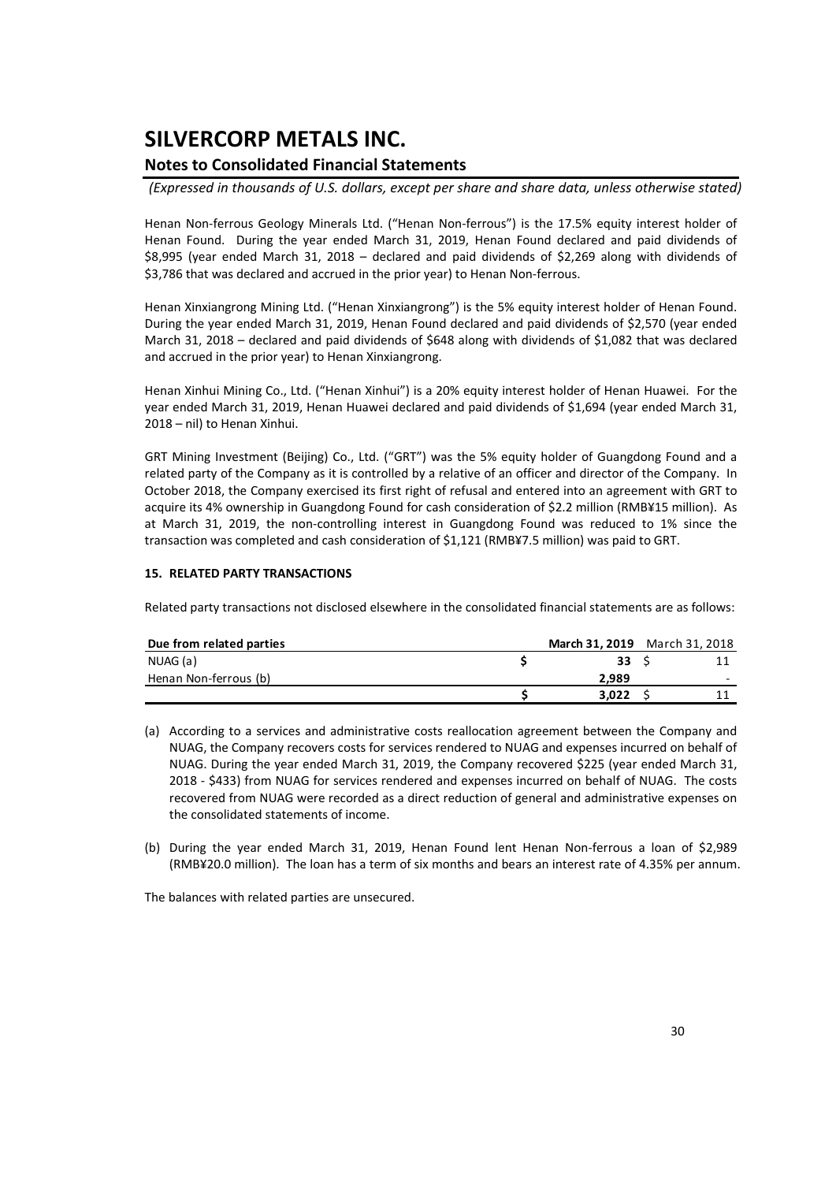### **Notes to Consolidated Financial Statements**

*(Expressed in thousands of U.S. dollars, except per share and share data, unless otherwise stated)*

Henan Non-ferrous Geology Minerals Ltd. ("Henan Non-ferrous") is the 17.5% equity interest holder of Henan Found. During the year ended March 31, 2019, Henan Found declared and paid dividends of \$8,995 (year ended March 31, 2018 – declared and paid dividends of \$2,269 along with dividends of \$3,786 that was declared and accrued in the prior year) to Henan Non-ferrous.

Henan Xinxiangrong Mining Ltd. ("Henan Xinxiangrong") is the 5% equity interest holder of Henan Found. During the year ended March 31, 2019, Henan Found declared and paid dividends of \$2,570 (year ended March 31, 2018 – declared and paid dividends of \$648 along with dividends of \$1,082 that was declared and accrued in the prior year) to Henan Xinxiangrong.

Henan Xinhui Mining Co., Ltd. ("Henan Xinhui") is a 20% equity interest holder of Henan Huawei. For the year ended March 31, 2019, Henan Huawei declared and paid dividends of \$1,694 (year ended March 31, 2018 – nil) to Henan Xinhui.

GRT Mining Investment (Beijing) Co., Ltd. ("GRT") was the 5% equity holder of Guangdong Found and a related party of the Company as it is controlled by a relative of an officer and director of the Company. In October 2018, the Company exercised its first right of refusal and entered into an agreement with GRT to acquire its 4% ownership in Guangdong Found for cash consideration of \$2.2 million (RMB¥15 million). As at March 31, 2019, the non-controlling interest in Guangdong Found was reduced to 1% since the transaction was completed and cash consideration of \$1,121 (RMB¥7.5 million) was paid to GRT.

#### **15. RELATED PARTY TRANSACTIONS**

Related party transactions not disclosed elsewhere in the consolidated financial statements are as follows:

| Due from related parties | March 31, 2019 March 31, 2018 |                          |
|--------------------------|-------------------------------|--------------------------|
| NUAG (a)                 | 33 <sup>5</sup>               |                          |
| Henan Non-ferrous (b)    | 2.989                         | $\overline{\phantom{0}}$ |
|                          | 3.022                         |                          |

- (a) According to a services and administrative costs reallocation agreement between the Company and NUAG, the Company recovers costs for services rendered to NUAG and expenses incurred on behalf of NUAG. During the year ended March 31, 2019, the Company recovered \$225 (year ended March 31, 2018 ‐ \$433) from NUAG for services rendered and expenses incurred on behalf of NUAG. The costs recovered from NUAG were recorded as a direct reduction of general and administrative expenses on the consolidated statements of income.
- (b) During the year ended March 31, 2019, Henan Found lent Henan Non‐ferrous a loan of \$2,989 (RMB¥20.0 million). The loan has a term of six months and bears an interest rate of 4.35% per annum.

The balances with related parties are unsecured.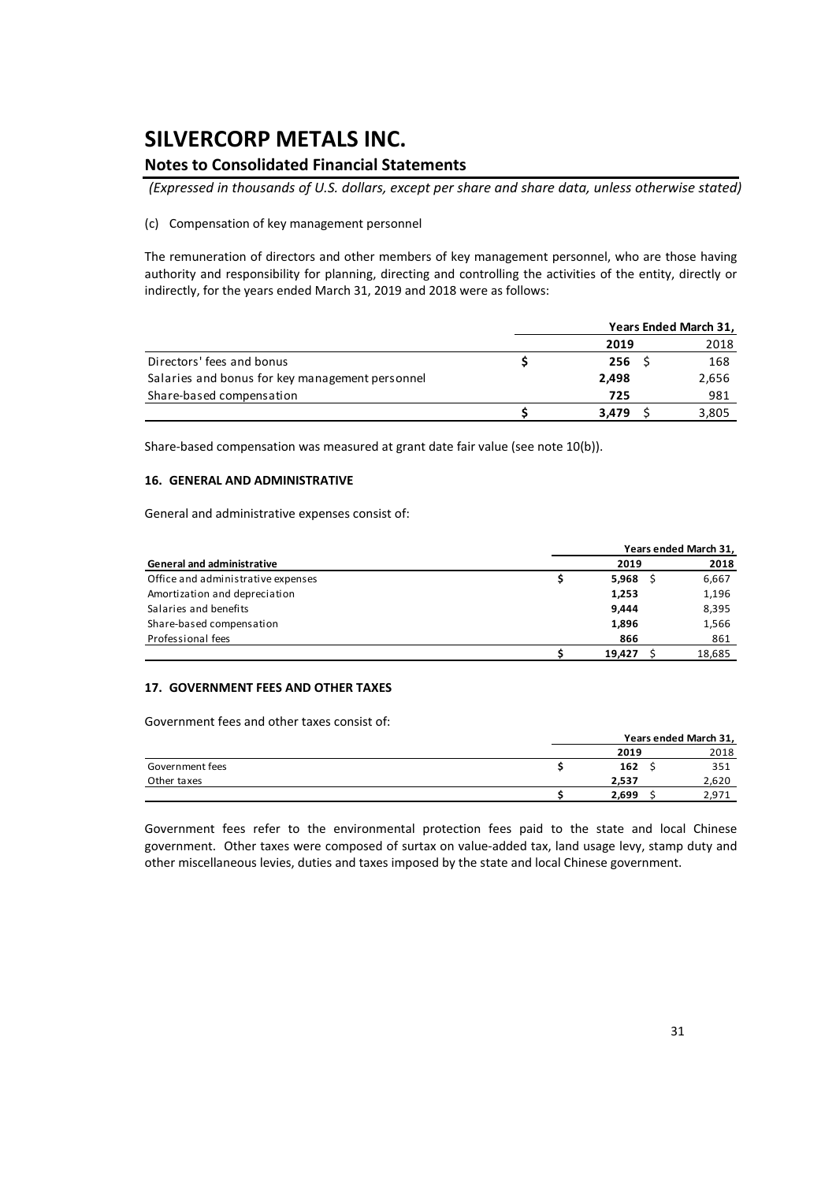### **Notes to Consolidated Financial Statements**

*(Expressed in thousands of U.S. dollars, except per share and share data, unless otherwise stated)*

#### (c) Compensation of key management personnel

The remuneration of directors and other members of key management personnel, who are those having authority and responsibility for planning, directing and controlling the activities of the entity, directly or indirectly, for the years ended March 31, 2019 and 2018 were as follows:

|                                                 | Years Ended March 31, |       |  |  |
|-------------------------------------------------|-----------------------|-------|--|--|
|                                                 | 2019                  | 2018  |  |  |
| Directors' fees and bonus                       | 256                   | 168   |  |  |
| Salaries and bonus for key management personnel | 2.498                 | 2,656 |  |  |
| Share-based compensation                        | 725                   | 981   |  |  |
|                                                 | 3.479                 | 3.805 |  |  |

Share-based compensation was measured at grant date fair value (see note 10(b)).

#### **16. GENERAL AND ADMINISTRATIVE**

General and administrative expenses consist of:

|                                    | Years ended March 31, |        |        |  |  |  |
|------------------------------------|-----------------------|--------|--------|--|--|--|
| <b>General and administrative</b>  |                       | 2019   | 2018   |  |  |  |
| Office and administrative expenses |                       | 5.968  | 6,667  |  |  |  |
| Amortization and depreciation      |                       | 1.253  | 1,196  |  |  |  |
| Salaries and benefits              |                       | 9.444  | 8,395  |  |  |  |
| Share-based compensation           |                       | 1,896  | 1,566  |  |  |  |
| Professional fees                  |                       | 866    | 861    |  |  |  |
|                                    |                       | 19.427 | 18,685 |  |  |  |

#### **17. GOVERNMENT FEES AND OTHER TAXES**

Government fees and other taxes consist of:

|                 | Years ended March 31, |  |       |  |
|-----------------|-----------------------|--|-------|--|
|                 | 2019                  |  | 2018  |  |
| Government fees | 162                   |  | 351   |  |
| Other taxes     | 2.537                 |  | 2,620 |  |
|                 | 2,699                 |  | 2.971 |  |

Government fees refer to the environmental protection fees paid to the state and local Chinese government. Other taxes were composed of surtax on value‐added tax, land usage levy, stamp duty and other miscellaneous levies, duties and taxes imposed by the state and local Chinese government.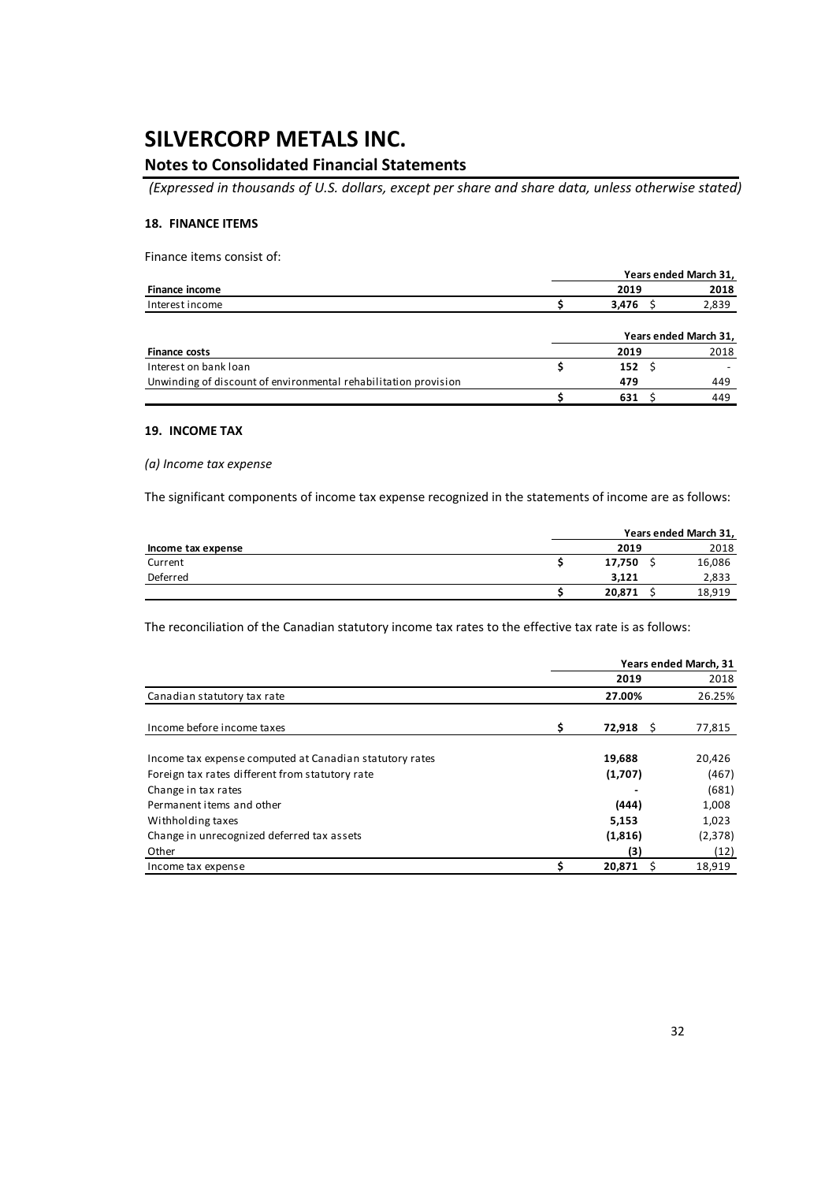## **Notes to Consolidated Financial Statements**

*(Expressed in thousands of U.S. dollars, except per share and share data, unless otherwise stated)*

#### **18. FINANCE ITEMS**

Finance items consist of:

|                                                                 |             | Years ended March 31, |
|-----------------------------------------------------------------|-------------|-----------------------|
| <b>Finance income</b>                                           | 2019        | 2018                  |
| Interest income                                                 | 3,476       | 2,839                 |
|                                                                 |             |                       |
|                                                                 |             | Years ended March 31, |
| <b>Finance costs</b>                                            | 2019        | 2018                  |
| Interest on bank loan                                           | $152 \quad$ |                       |
| Unwinding of discount of environmental rehabilitation provision | 479         | 449                   |
|                                                                 | 631         | 449                   |

#### **19. INCOME TAX**

*(a) Income tax expense* 

The significant components of income tax expense recognized in the statements of income are as follows:

|                    | Years ended March 31, |        |  |
|--------------------|-----------------------|--------|--|
| Income tax expense | 2019                  | 2018   |  |
| Current            | 17.750                | 16,086 |  |
| Deferred           | 3.121                 | 2,833  |  |
|                    | 20.871                | 18,919 |  |

The reconciliation of the Canadian statutory income tax rates to the effective tax rate is as follows:

|                                                         | Years ended March, 31 |         |  |  |
|---------------------------------------------------------|-----------------------|---------|--|--|
|                                                         | 2019                  | 2018    |  |  |
| Canadian statutory tax rate                             | 27.00%                | 26.25%  |  |  |
| Income before income taxes                              | \$<br>$72.918 \quad$  | 77,815  |  |  |
|                                                         |                       |         |  |  |
| Income tax expense computed at Canadian statutory rates | 19,688                | 20,426  |  |  |
| Foreign tax rates different from statutory rate         | (1,707)               | (467)   |  |  |
| Change in tax rates                                     |                       | (681)   |  |  |
| Permanent items and other                               | (444)                 | 1,008   |  |  |
| Withholding taxes                                       | 5,153                 | 1,023   |  |  |
| Change in unrecognized deferred tax assets              | (1,816)               | (2,378) |  |  |
| Other                                                   | (3)                   | (12)    |  |  |
| Income tax expense                                      | \$<br>20.871<br>S     | 18,919  |  |  |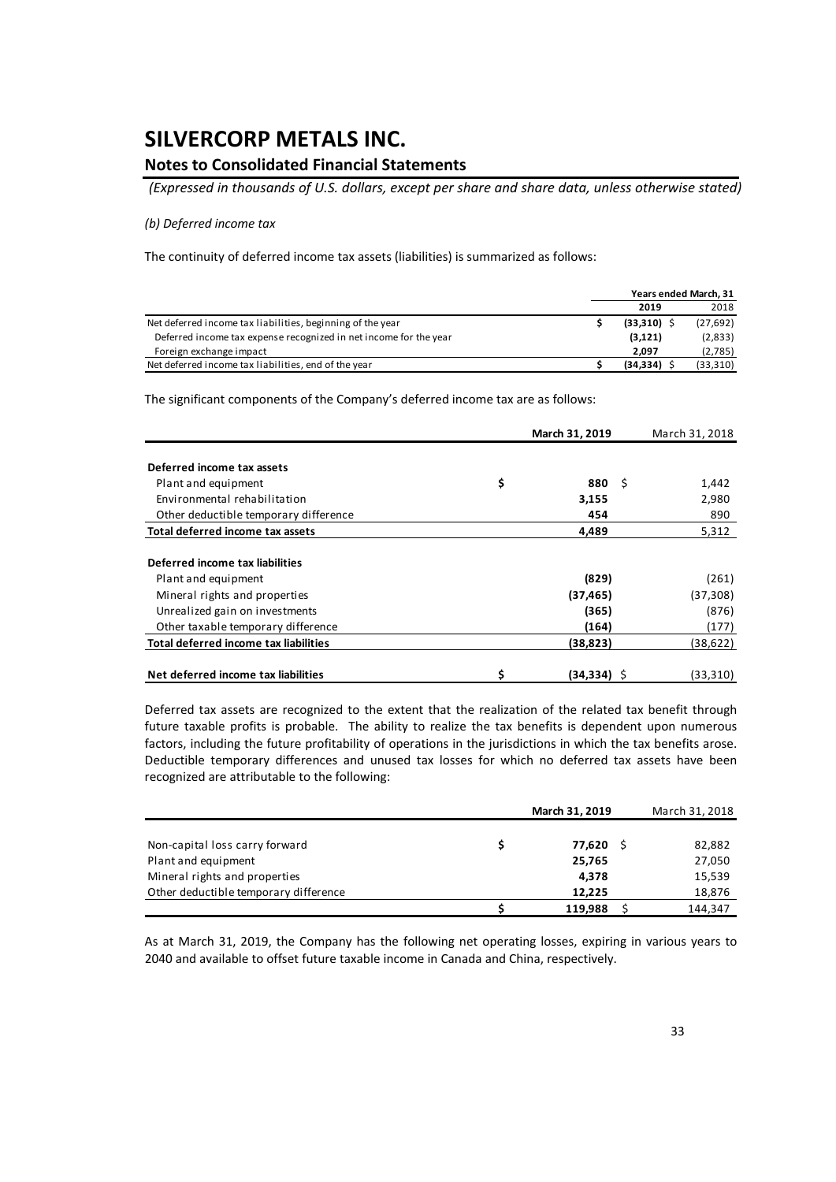*(Expressed in thousands of U.S. dollars, except per share and share data, unless otherwise stated)*

#### *(b) Deferred income tax*

The continuity of deferred income tax assets (liabilities) is summarized as follows:

|                                                                   | Years ended March, 31 |           |  |  |
|-------------------------------------------------------------------|-----------------------|-----------|--|--|
|                                                                   | 2019                  | 2018      |  |  |
| Net deferred income tax liabilities, beginning of the year        | $(33,310)$ \$         | (27, 692) |  |  |
| Deferred income tax expense recognized in net income for the year | (3, 121)              | (2,833)   |  |  |
| Foreign exchange impact                                           | 2.097                 | (2,785)   |  |  |
| Net deferred income tax liabilities, end of the year              | (34.334)              | (33,310)  |  |  |

The significant components of the Company's deferred income tax are as follows:

|                                       | March 31, 2019    | March 31, 2018 |
|---------------------------------------|-------------------|----------------|
| Deferred income tax assets            |                   |                |
| Plant and equipment                   | \$<br>Ŝ.<br>880   | 1,442          |
| Environmental rehabilitation          | 3,155             | 2,980          |
| Other deductible temporary difference | 454               | 890            |
| Total deferred income tax assets      | 4,489             | 5,312          |
|                                       |                   |                |
| Deferred income tax liabilities       |                   |                |
| Plant and equipment                   | (829)             | (261)          |
| Mineral rights and properties         | (37, 465)         | (37, 308)      |
| Unrealized gain on investments        | (365)             | (876)          |
| Other taxable temporary difference    | (164)             | (177)          |
| Total deferred income tax liabilities | (38, 823)         | (38,622)       |
|                                       |                   |                |
| Net deferred income tax liabilities   | \$<br>(34,334) \$ | (33,310)       |

Deferred tax assets are recognized to the extent that the realization of the related tax benefit through future taxable profits is probable. The ability to realize the tax benefits is dependent upon numerous factors, including the future profitability of operations in the jurisdictions in which the tax benefits arose. Deductible temporary differences and unused tax losses for which no deferred tax assets have been recognized are attributable to the following:

|                                       | March 31, 2019 | March 31, 2018 |
|---------------------------------------|----------------|----------------|
|                                       |                |                |
| Non-capital loss carry forward        | 77.620         | 82,882         |
| Plant and equipment                   | 25,765         | 27,050         |
| Mineral rights and properties         | 4.378          | 15,539         |
| Other deductible temporary difference | 12.225         | 18,876         |
|                                       | 119,988        | 144.347        |

As at March 31, 2019, the Company has the following net operating losses, expiring in various years to 2040 and available to offset future taxable income in Canada and China, respectively.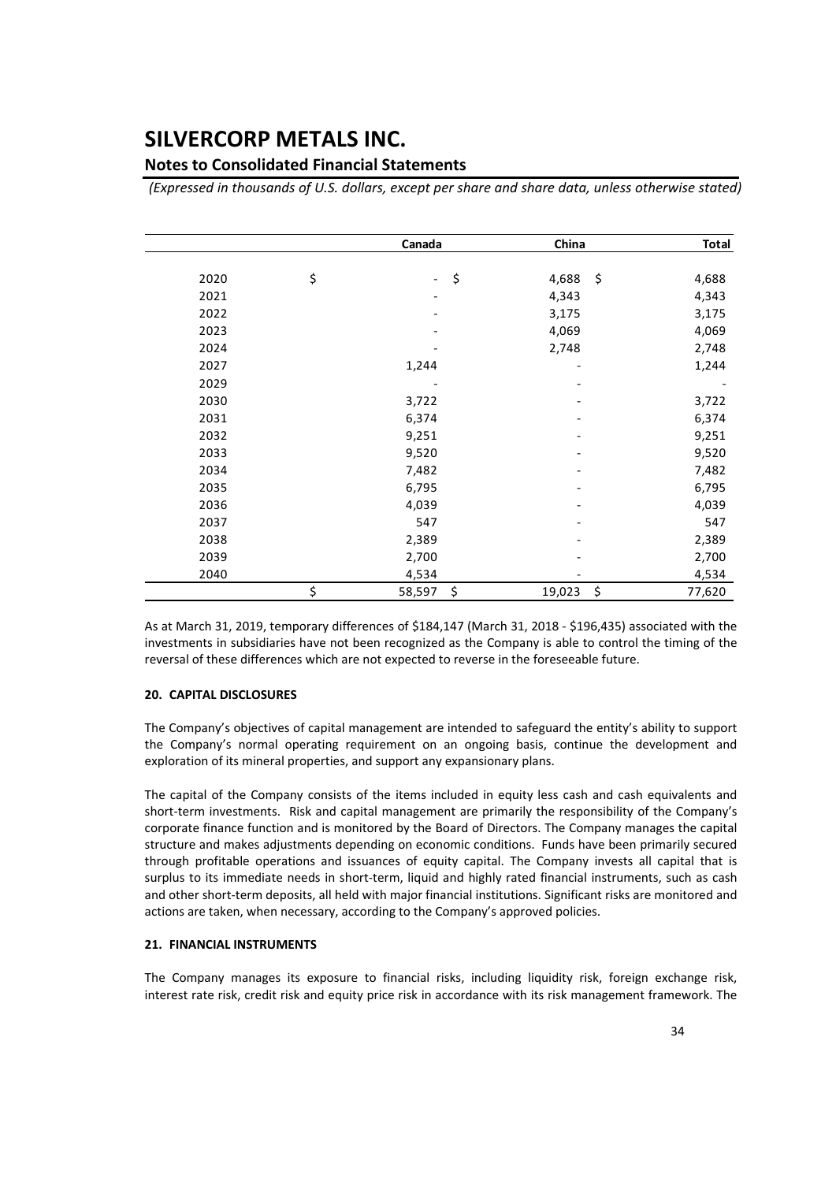*(Expressed in thousands of U.S. dollars, except per share and share data, unless otherwise stated)*

|      | Canada                               | China                        | <b>Total</b> |
|------|--------------------------------------|------------------------------|--------------|
|      |                                      |                              |              |
| 2020 | \$<br>\$<br>$\overline{\phantom{a}}$ | \$<br>4,688                  | 4,688        |
| 2021 |                                      | 4,343                        | 4,343        |
| 2022 |                                      | 3,175                        | 3,175        |
| 2023 |                                      | 4,069                        | 4,069        |
| 2024 |                                      | 2,748                        | 2,748        |
| 2027 | 1,244                                | ٠                            | 1,244        |
| 2029 |                                      |                              |              |
| 2030 | 3,722                                |                              | 3,722        |
| 2031 | 6,374                                | $\qquad \qquad \blacksquare$ | 6,374        |
| 2032 | 9,251                                |                              | 9,251        |
| 2033 | 9,520                                |                              | 9,520        |
| 2034 | 7,482                                |                              | 7,482        |
| 2035 | 6,795                                |                              | 6,795        |
| 2036 | 4,039                                |                              | 4,039        |
| 2037 | 547                                  |                              | 547          |
| 2038 | 2,389                                |                              | 2,389        |
| 2039 | 2,700                                |                              | 2,700        |
| 2040 | 4,534                                |                              | 4,534        |
|      | \$<br>\$<br>58,597                   | \$<br>19,023                 | 77,620       |

As at March 31, 2019, temporary differences of \$184,147 (March 31, 2018 ‐ \$196,435) associated with the investments in subsidiaries have not been recognized as the Company is able to control the timing of the reversal of these differences which are not expected to reverse in the foreseeable future.

#### **20. CAPITAL DISCLOSURES**

The Company's objectives of capital management are intended to safeguard the entity's ability to support the Company's normal operating requirement on an ongoing basis, continue the development and exploration of its mineral properties, and support any expansionary plans.

The capital of the Company consists of the items included in equity less cash and cash equivalents and short-term investments. Risk and capital management are primarily the responsibility of the Company's corporate finance function and is monitored by the Board of Directors. The Company manages the capital structure and makes adjustments depending on economic conditions. Funds have been primarily secured through profitable operations and issuances of equity capital. The Company invests all capital that is surplus to its immediate needs in short-term, liquid and highly rated financial instruments, such as cash and other short-term deposits, all held with major financial institutions. Significant risks are monitored and actions are taken, when necessary, according to the Company's approved policies.

#### **21. FINANCIAL INSTRUMENTS**

The Company manages its exposure to financial risks, including liquidity risk, foreign exchange risk, interest rate risk, credit risk and equity price risk in accordance with its risk management framework. The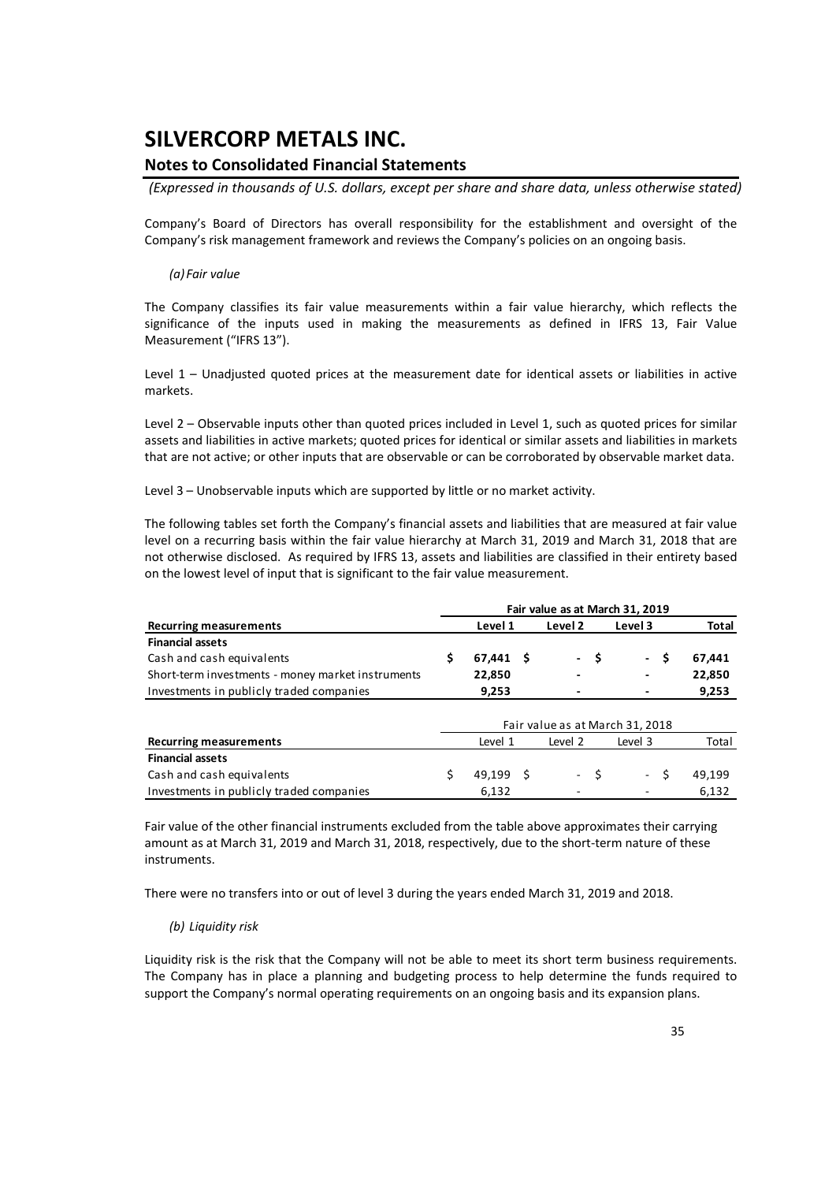*(Expressed in thousands of U.S. dollars, except per share and share data, unless otherwise stated)*

Company's Board of Directors has overall responsibility for the establishment and oversight of the Company's risk management framework and reviews the Company's policies on an ongoing basis.

#### *(a) Fair value*

The Company classifies its fair value measurements within a fair value hierarchy, which reflects the significance of the inputs used in making the measurements as defined in IFRS 13, Fair Value Measurement ("IFRS 13").

Level 1 – Unadjusted quoted prices at the measurement date for identical assets or liabilities in active markets.

Level 2 – Observable inputs other than quoted prices included in Level 1, such as quoted prices for similar assets and liabilities in active markets; quoted prices for identical or similar assets and liabilities in markets that are not active; or other inputs that are observable or can be corroborated by observable market data.

Level 3 – Unobservable inputs which are supported by little or no market activity.

The following tables set forth the Company's financial assets and liabilities that are measured at fair value level on a recurring basis within the fair value hierarchy at March 31, 2019 and March 31, 2018 that are not otherwise disclosed. As required by IFRS 13, assets and liabilities are classified in their entirety based on the lowest level of input that is significant to the fair value measurement.

|                                                   |                 | Fair value as at March 31, 2019 |                                 |        |  |
|---------------------------------------------------|-----------------|---------------------------------|---------------------------------|--------|--|
| <b>Recurring measurements</b>                     | Level 1         | Level 2                         | Level 3                         | Total  |  |
| <b>Financial assets</b>                           |                 |                                 |                                 |        |  |
| Cash and cash equivalents                         | \$<br>67.441 \$ | - \$                            | - \$                            | 67,441 |  |
| Short-term investments - money market instruments | 22,850          |                                 | $\blacksquare$                  | 22,850 |  |
| Investments in publicly traded companies          | 9,253           |                                 |                                 | 9,253  |  |
|                                                   |                 |                                 |                                 |        |  |
|                                                   |                 |                                 | Fair value as at March 31, 2018 |        |  |
| <b>Recurring measurements</b>                     | Level 1         | Level 2                         | Level 3                         | Total  |  |
| <b>Financial assets</b>                           |                 |                                 |                                 |        |  |
| Cash and cash equivalents                         | \$<br>49,199 \$ | $-5$                            | - \$<br>$\sim$                  | 49.199 |  |
| Investments in publicly traded companies          | 6,132           |                                 |                                 | 6.132  |  |

Fair value of the other financial instruments excluded from the table above approximates their carrying amount as at March 31, 2019 and March 31, 2018, respectively, due to the short-term nature of these instruments.

There were no transfers into or out of level 3 during the years ended March 31, 2019 and 2018.

#### *(b) Liquidity risk*

Liquidity risk is the risk that the Company will not be able to meet its short term business requirements. The Company has in place a planning and budgeting process to help determine the funds required to support the Company's normal operating requirements on an ongoing basis and its expansion plans.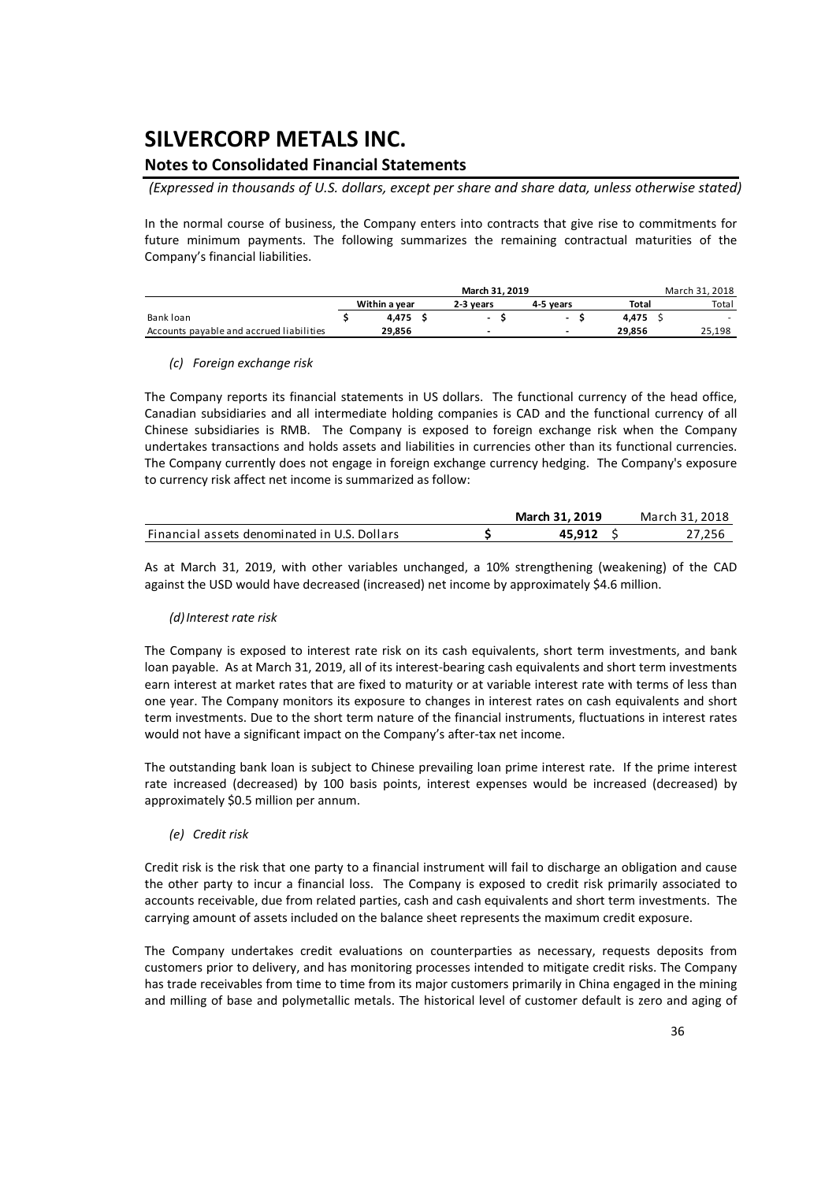*(Expressed in thousands of U.S. dollars, except per share and share data, unless otherwise stated)*

In the normal course of business, the Company enters into contracts that give rise to commitments for future minimum payments. The following summarizes the remaining contractual maturities of the Company's financial liabilities.

|                                          |               | March 31, 2018 |           |        |        |
|------------------------------------------|---------------|----------------|-----------|--------|--------|
|                                          | Within a vear | 2-3 vears      | 4-5 vears | Total  | Total  |
| Bank loan                                | 4.475         |                | $\sim$    | 4.475  |        |
| Accounts payable and accrued liabilities | 29.856        | -              | -         | 29.856 | 25,198 |

#### *(c) Foreign exchange risk*

The Company reports its financial statements in US dollars. The functional currency of the head office, Canadian subsidiaries and all intermediate holding companies is CAD and the functional currency of all Chinese subsidiaries is RMB. The Company is exposed to foreign exchange risk when the Company undertakes transactions and holds assets and liabilities in currencies other than its functional currencies. The Company currently does not engage in foreign exchange currency hedging. The Company's exposure to currency risk affect net income is summarized as follow:

|                                              | March 31, 2019 | March 31. 2018 |
|----------------------------------------------|----------------|----------------|
| Financial assets denominated in U.S. Dollars | 45.912         | ?7.256         |

As at March 31, 2019, with other variables unchanged, a 10% strengthening (weakening) of the CAD against the USD would have decreased (increased) net income by approximately \$4.6 million.

#### *(d)Interest rate risk*

The Company is exposed to interest rate risk on its cash equivalents, short term investments, and bank loan payable. As at March 31, 2019, all of its interest-bearing cash equivalents and short term investments earn interest at market rates that are fixed to maturity or at variable interest rate with terms of less than one year. The Company monitors its exposure to changes in interest rates on cash equivalents and short term investments. Due to the short term nature of the financial instruments, fluctuations in interest rates would not have a significant impact on the Company's after-tax net income.

The outstanding bank loan is subject to Chinese prevailing loan prime interest rate. If the prime interest rate increased (decreased) by 100 basis points, interest expenses would be increased (decreased) by approximately \$0.5 million per annum.

#### *(e) Credit risk*

Credit risk is the risk that one party to a financial instrument will fail to discharge an obligation and cause the other party to incur a financial loss. The Company is exposed to credit risk primarily associated to accounts receivable, due from related parties, cash and cash equivalents and short term investments. The carrying amount of assets included on the balance sheet represents the maximum credit exposure.

The Company undertakes credit evaluations on counterparties as necessary, requests deposits from customers prior to delivery, and has monitoring processes intended to mitigate credit risks. The Company has trade receivables from time to time from its major customers primarily in China engaged in the mining and milling of base and polymetallic metals. The historical level of customer default is zero and aging of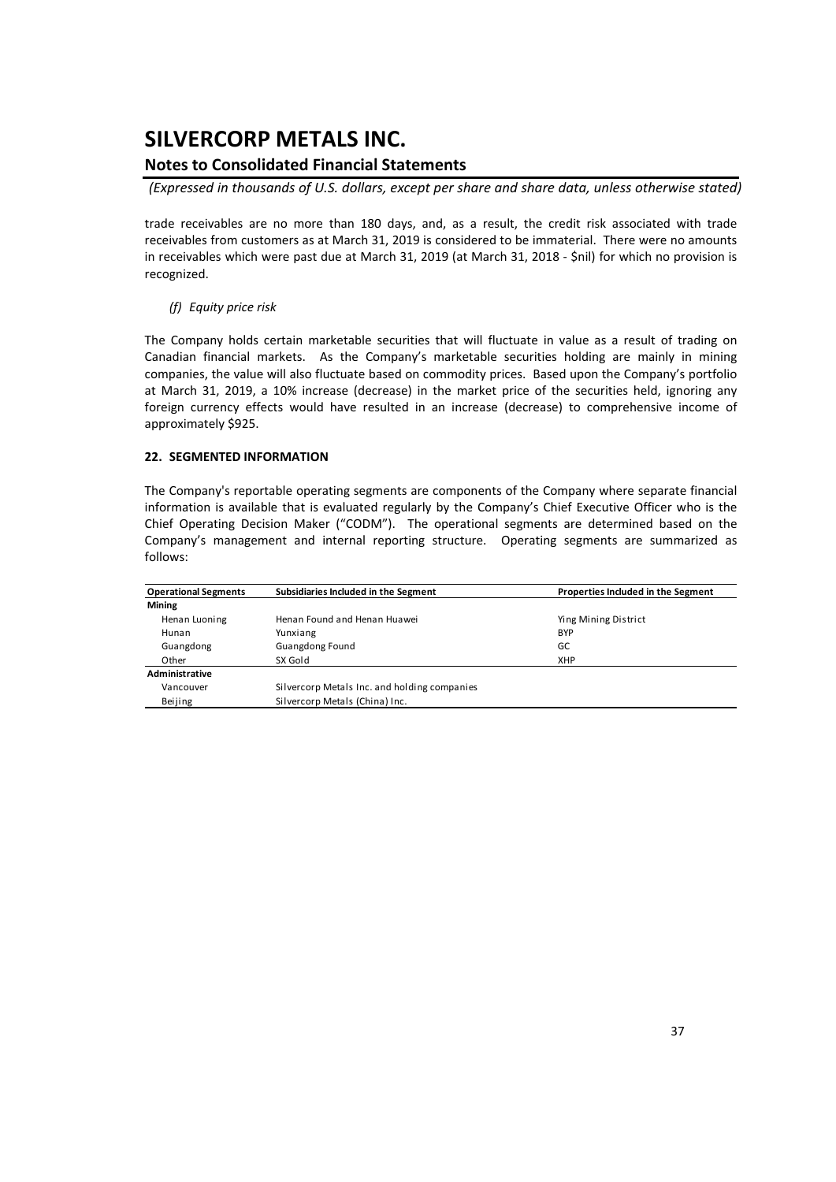### **Notes to Consolidated Financial Statements**

*(Expressed in thousands of U.S. dollars, except per share and share data, unless otherwise stated)*

trade receivables are no more than 180 days, and, as a result, the credit risk associated with trade receivables from customers as at March 31, 2019 is considered to be immaterial. There were no amounts in receivables which were past due at March 31, 2019 (at March 31, 2018 ‐ \$nil) for which no provision is recognized.

#### *(f) Equity price risk*

The Company holds certain marketable securities that will fluctuate in value as a result of trading on Canadian financial markets. As the Company's marketable securities holding are mainly in mining companies, the value will also fluctuate based on commodity prices. Based upon the Company's portfolio at March 31, 2019, a 10% increase (decrease) in the market price of the securities held, ignoring any foreign currency effects would have resulted in an increase (decrease) to comprehensive income of approximately \$925.

#### **22. SEGMENTED INFORMATION**

The Company's reportable operating segments are components of the Company where separate financial information is available that is evaluated regularly by the Company's Chief Executive Officer who is the Chief Operating Decision Maker ("CODM"). The operational segments are determined based on the Company's management and internal reporting structure. Operating segments are summarized as follows:

| <b>Operational Segments</b> | Subsidiaries Included in the Segment         | Properties Included in the Segment |
|-----------------------------|----------------------------------------------|------------------------------------|
| <b>Mining</b>               |                                              |                                    |
| Henan Luoning               | Henan Found and Henan Huawei                 | Ying Mining District               |
| Hunan                       | Yunxiang                                     | <b>BYP</b>                         |
| Guangdong                   | <b>Guangdong Found</b>                       | GC                                 |
| Other                       | SX Gold                                      | <b>XHP</b>                         |
| Administrative              |                                              |                                    |
| Vancouver                   | Silvercorp Metals Inc. and holding companies |                                    |
| Beijing                     | Silvercorp Metals (China) Inc.               |                                    |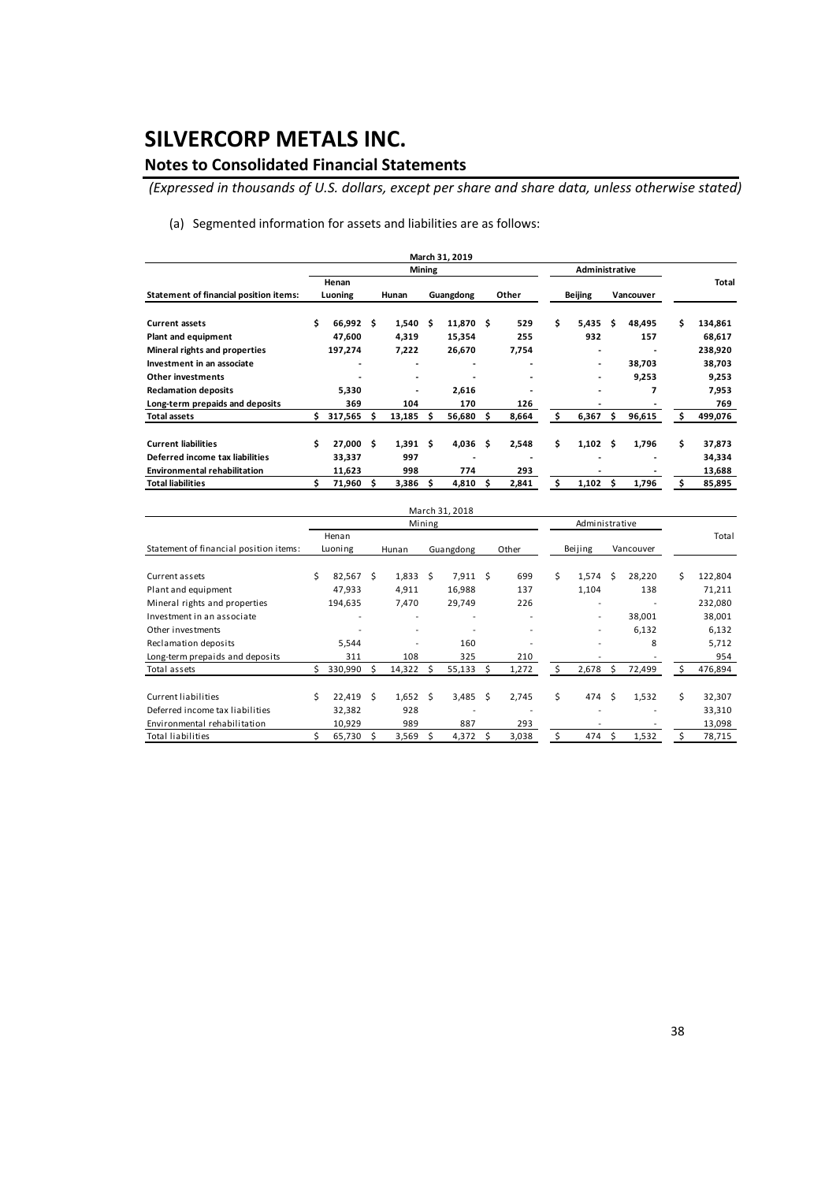*(Expressed in thousands of U.S. dollars, except per share and share data, unless otherwise stated)*

(a) Segmented information for assets and liabilities are as follows:

|                                        |    |                  |   |        |        | March 31, 2019 |   |                |         |                          |           |        |     |              |
|----------------------------------------|----|------------------|---|--------|--------|----------------|---|----------------|---------|--------------------------|-----------|--------|-----|--------------|
|                                        |    |                  |   |        | Mining |                |   | Administrative |         |                          |           |        |     |              |
| Statement of financial position items: |    | Henan<br>Luoning |   | Hunan  |        | Guangdong      |   | Other          | Beijing |                          | Vancouver |        |     | <b>Total</b> |
| <b>Current assets</b>                  | \$ | 66,992           | Ŝ | 1,540  | Ŝ.     | 11,870         | Ŝ | 529            | \$      | 5,435                    | Ŝ         | 48,495 | \$  | 134,861      |
| Plant and equipment                    |    | 47,600           |   | 4,319  |        | 15,354         |   | 255            |         | 932                      |           | 157    |     | 68,617       |
| Mineral rights and properties          |    | 197,274          |   | 7,222  |        | 26,670         |   | 7,754          |         | ٠                        |           |        |     | 238,920      |
| Investment in an associate             |    |                  |   |        |        |                |   |                |         | $\overline{\phantom{a}}$ |           | 38,703 |     | 38,703       |
| <b>Other investments</b>               |    |                  |   | ٠      |        |                |   |                |         | $\overline{\phantom{a}}$ |           | 9,253  |     | 9,253        |
| <b>Reclamation deposits</b>            |    | 5,330            |   | ٠      |        | 2.616          |   |                |         |                          |           | 7      |     | 7,953        |
| Long-term prepaids and deposits        |    | 369              |   | 104    |        | 170            |   | 126            |         |                          |           |        |     | 769          |
| <b>Total assets</b>                    | s  | 317,565          | s | 13,185 | s      | 56,680         | Ŝ | 8,664          | Ś       | 6,367                    | Ŝ         | 96,615 | \$. | 499,076      |
| <b>Current liabilities</b>             | \$ | 27,000 \$        |   | 1,391  | \$     | 4,036          | Ś | 2,548          | \$      | 1,102                    | Ŝ         | 1,796  | \$  | 37,873       |
| Deferred income tax liabilities        |    | 33,337           |   | 997    |        |                |   |                |         |                          |           |        |     | 34,334       |
| <b>Environmental rehabilitation</b>    |    | 11,623           |   | 998    |        | 774            |   | 293            |         |                          |           |        |     | 13,688       |
| <b>Total liabilities</b>               |    | 71,960           | Ś | 3,386  |        | 4,810          | Ś | 2,841          | \$      | 1,102                    | S         | 1,796  | \$  | 85,895       |

|                                        |   |                          |    |            |        | March 31, 2018 |    |                          |    |                          |    |           |    |         |
|----------------------------------------|---|--------------------------|----|------------|--------|----------------|----|--------------------------|----|--------------------------|----|-----------|----|---------|
|                                        |   |                          |    |            | Mining |                |    | Administrative           |    |                          |    |           |    |         |
|                                        |   | Henan                    |    |            |        |                |    |                          |    |                          |    |           |    | Total   |
| Statement of financial position items: |   | Luoning                  |    | Hunan      |        | Guangdong      |    | Other                    |    | Beijing                  |    | Vancouver |    |         |
|                                        |   |                          |    |            |        |                |    |                          |    |                          |    |           |    |         |
| Current assets                         | Ś | 82,567                   | Ŝ. | 1,833      | Ŝ.     | 7,911          | Ŝ  | 699                      | Ś. | 1,574                    | Ŝ. | 28,220    | Ś  | 122,804 |
| Plant and equipment                    |   | 47,933                   |    | 4,911      |        | 16,988         |    | 137                      |    | 1,104                    |    | 138       |    | 71,211  |
| Mineral rights and properties          |   | 194,635                  |    | 7,470      |        | 29,749         |    | 226                      |    | $\overline{\phantom{a}}$ |    |           |    | 232,080 |
| Investment in an associate             |   | $\overline{\phantom{a}}$ |    |            |        | ٠              |    |                          |    | $\overline{\phantom{a}}$ |    | 38,001    |    | 38,001  |
| Other investments                      |   |                          |    | ٠          |        |                |    | $\overline{\phantom{a}}$ |    | $\overline{\phantom{a}}$ |    | 6,132     |    | 6,132   |
| Reclamation deposits                   |   | 5,544                    |    |            |        | 160            |    |                          |    |                          |    | 8         |    | 5,712   |
| Long-term prepaids and deposits        |   | 311                      |    | 108        |        | 325            |    | 210                      |    |                          |    |           |    | 954     |
| Total assets                           |   | 330,990                  |    | 14,322     |        | 55,133         | Ś  | 1,272                    |    | 2,678                    | \$ | 72,499    |    | 476,894 |
| Current liabilities                    | Ś | $22,419$ \$              |    | $1,652$ \$ |        | 3,485          | Ŝ. | 2,745                    | \$ | 474                      | \$ | 1,532     | \$ | 32,307  |
| Deferred income tax liabilities        |   | 32,382                   |    | 928        |        | ٠              |    | $\overline{\phantom{a}}$ |    |                          |    |           |    | 33,310  |
| Environmental rehabilitation           |   | 10,929                   |    | 989        |        | 887            |    | 293                      |    |                          |    |           |    | 13,098  |
| <b>Total liabilities</b>               |   | 65,730                   | S  | 3,569      |        | 4,372          | S  | 3,038                    | Ś. | 474                      | Ŝ  | 1,532     |    | 78,715  |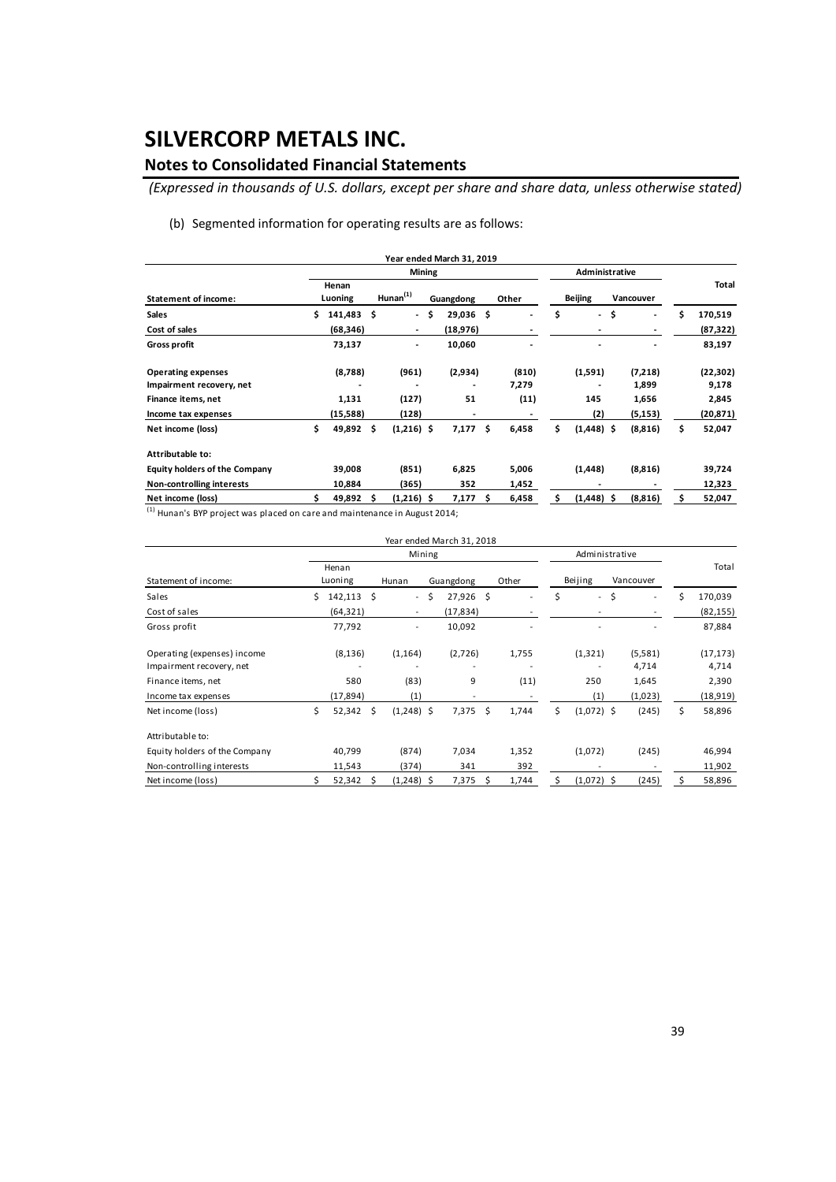*(Expressed in thousands of U.S. dollars, except per share and share data, unless otherwise stated)*

### (b) Segmented information for operating results are as follows:

|                                      |                  |     |                          | Year ended March 31, 2019 |    |       |    |                          |           |               |
|--------------------------------------|------------------|-----|--------------------------|---------------------------|----|-------|----|--------------------------|-----------|---------------|
|                                      |                  |     | Mining                   |                           |    |       |    | Administrative           |           |               |
| <b>Statement of income:</b>          | Henan<br>Luoning |     | $H$ unan $(1)$           | Guangdong                 |    | Other |    | <b>Beijing</b>           | Vancouver | Total         |
| <b>Sales</b>                         | \$<br>141,483 \$ |     | $\overline{\phantom{0}}$ | \$<br>29,036              | \$ |       | \$ | $\overline{\phantom{a}}$ | \$<br>٠   | \$<br>170,519 |
| Cost of sales                        | (68, 346)        |     |                          | (18, 976)                 |    |       |    |                          |           | (87, 322)     |
| Gross profit                         | 73,137           |     |                          | 10,060                    |    |       |    |                          |           | 83,197        |
| <b>Operating expenses</b>            | (8,788)          |     | (961)                    | (2,934)                   |    | (810) |    | (1,591)                  | (7,218)   | (22,302)      |
| Impairment recovery, net             |                  |     |                          | ۰                         |    | 7,279 |    |                          | 1,899     | 9,178         |
| Finance items, net                   | 1,131            |     | (127)                    | 51                        |    | (11)  |    | 145                      | 1,656     | 2,845         |
| Income tax expenses                  | (15, 588)        |     | (128)                    |                           |    |       |    | (2)                      | (5, 153)  | (20,871)      |
| Net income (loss)                    | \$<br>49,892     | -\$ | $(1,216)$ \$             | 7,177                     | \$ | 6,458 | \$ | $(1, 448)$ \$            | (8,816)   | \$<br>52,047  |
| Attributable to:                     |                  |     |                          |                           |    |       |    |                          |           |               |
| <b>Equity holders of the Company</b> | 39,008           |     | (851)                    | 6,825                     |    | 5,006 |    | (1, 448)                 | (8, 816)  | 39,724        |
| Non-controlling interests            | 10,884           |     | (365)                    | 352                       |    | 1,452 |    |                          |           | 12,323        |
| Net income (loss)                    | 49,892 \$        |     | $(1,216)$ \$             | 7,177                     | s  | 6,458 | Ś  | $(1,448)$ \$             | (8, 816)  | 52,047        |
| $\mathbf{z}$                         |                  |     |                          |                           |    |       |    |                          |           |               |

 $\overline{1}$  Hunan's BYP project was placed on care and maintenance in August 2014;

|                                                         |                  |             |       |                          |           | Year ended March 31, 2018 |    |                          |                |              |           |                  |    |                    |
|---------------------------------------------------------|------------------|-------------|-------|--------------------------|-----------|---------------------------|----|--------------------------|----------------|--------------|-----------|------------------|----|--------------------|
|                                                         |                  |             |       | Mining                   |           |                           |    |                          | Administrative |              |           |                  |    |                    |
| Statement of income:                                    | Henan<br>Luoning |             | Hunan |                          | Guangdong |                           |    | Other                    |                | Beijing      | Vancouver |                  |    | Total              |
| Sales                                                   | Ś.               | 142,113     | Ś.    | $\sim$                   | \$        | 27,926                    | \$ | $\overline{\phantom{a}}$ | \$             | ÷.           | \$        | ۰                | \$ | 170,039            |
| Cost of sales                                           |                  | (64, 321)   |       | $\overline{\phantom{a}}$ |           | (17, 834)                 |    |                          |                |              |           |                  |    | (82, 155)          |
| Gross profit                                            |                  | 77,792      |       | $\overline{a}$           |           | 10,092                    |    |                          |                |              |           |                  |    | 87,884             |
| Operating (expenses) income<br>Impairment recovery, net |                  | (8, 136)    |       | (1, 164)                 |           | (2,726)                   |    | 1,755                    |                | (1, 321)     |           | (5,581)<br>4,714 |    | (17, 173)<br>4,714 |
| Finance items, net                                      |                  | 580         |       | (83)                     |           | 9                         |    | (11)                     |                | 250          |           | 1,645            |    | 2,390              |
| Income tax expenses                                     |                  | (17, 894)   |       | (1)                      |           |                           |    |                          |                | (1)          |           | (1,023)          |    | (18, 919)          |
| Net income (loss)                                       | Ś                | $52,342$ \$ |       | $(1,248)$ \$             |           | 7,375                     | Ŝ. | 1,744                    | \$             | $(1,072)$ \$ |           | (245)            | \$ | 58,896             |
| Attributable to:                                        |                  |             |       |                          |           |                           |    |                          |                |              |           |                  |    |                    |
| Equity holders of the Company                           |                  | 40,799      |       | (874)                    |           | 7,034                     |    | 1,352                    |                | (1,072)      |           | (245)            |    | 46,994             |
| Non-controlling interests                               |                  | 11,543      |       | (374)                    |           | 341                       |    | 392                      |                |              |           |                  |    | 11,902             |
| Net income (loss)                                       |                  | 52,342      | Ś.    | $(1,248)$ \$             |           | 7,375                     | Ś  | 1,744                    | \$             | $(1,072)$ \$ |           | (245)            | Ś  | 58,896             |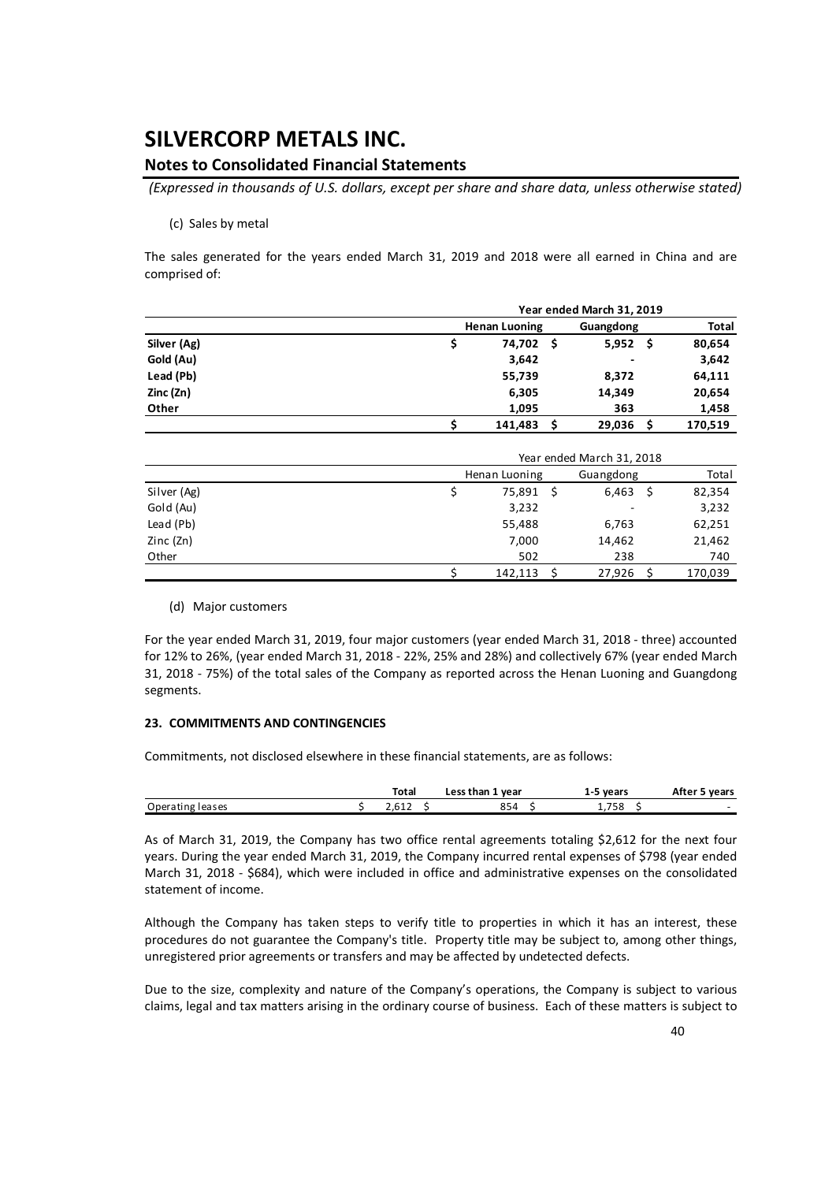*(Expressed in thousands of U.S. dollars, except per share and share data, unless otherwise stated)*

#### (c) Sales by metal

The sales generated for the years ended March 31, 2019 and 2018 were all earned in China and are comprised of:

|             |                      | Year ended March 31, 2019 |    |              |
|-------------|----------------------|---------------------------|----|--------------|
|             | <b>Henan Luoning</b> | Guangdong                 |    | <b>Total</b> |
| Silver (Ag) | 74,702<br>-S         | 5,952                     | .s | 80,654       |
| Gold (Au)   | 3,642                | ٠                         |    | 3,642        |
| Lead (Pb)   | 55,739               | 8,372                     |    | 64,111       |
| Zinc (Zn)   | 6,305                | 14,349                    |    | 20,654       |
| Other       | 1,095                | 363                       |    | 1,458        |
|             | 141.483<br>S         | 29,036                    | S  | 170,519      |

|             |               |     | Year ended March 31, 2018 |       |         |  |  |
|-------------|---------------|-----|---------------------------|-------|---------|--|--|
|             | Henan Luoning |     | Guangdong                 | Total |         |  |  |
| Silver (Ag) | 75,891        | \$. | 6,463                     |       | 82,354  |  |  |
| Gold (Au)   | 3,232         |     | ۰                         |       | 3,232   |  |  |
| Lead (Pb)   | 55,488        |     | 6,763                     |       | 62,251  |  |  |
| Zinc $(Zn)$ | 7,000         |     | 14,462                    |       | 21,462  |  |  |
| Other       | 502           |     | 238                       |       | 740     |  |  |
|             | 142.113       |     | 27,926                    | S     | 170,039 |  |  |

#### (d) Major customers

For the year ended March 31, 2019, four major customers (year ended March 31, 2018 ‐ three) accounted for 12% to 26%, (year ended March 31, 2018 ‐ 22%, 25% and 28%) and collectively 67% (year ended March 31, 2018 ‐ 75%) of the total sales of the Company as reported across the Henan Luoning and Guangdong segments.

#### **23. COMMITMENTS AND CONTINGENCIES**

Commitments, not disclosed elsewhere in these financial statements, are as follows:

|                  | Total | vear<br>Less than | 1-5 I<br>vears | After<br>vears |
|------------------|-------|-------------------|----------------|----------------|
| Operating leases | 2.012 | $\Omega$<br>854   | ာဝ             |                |

As of March 31, 2019, the Company has two office rental agreements totaling \$2,612 for the next four years. During the year ended March 31, 2019, the Company incurred rental expenses of \$798 (year ended March 31, 2018 - \$684), which were included in office and administrative expenses on the consolidated statement of income.

Although the Company has taken steps to verify title to properties in which it has an interest, these procedures do not guarantee the Company's title. Property title may be subject to, among other things, unregistered prior agreements or transfers and may be affected by undetected defects.

Due to the size, complexity and nature of the Company's operations, the Company is subject to various claims, legal and tax matters arising in the ordinary course of business. Each of these matters is subject to